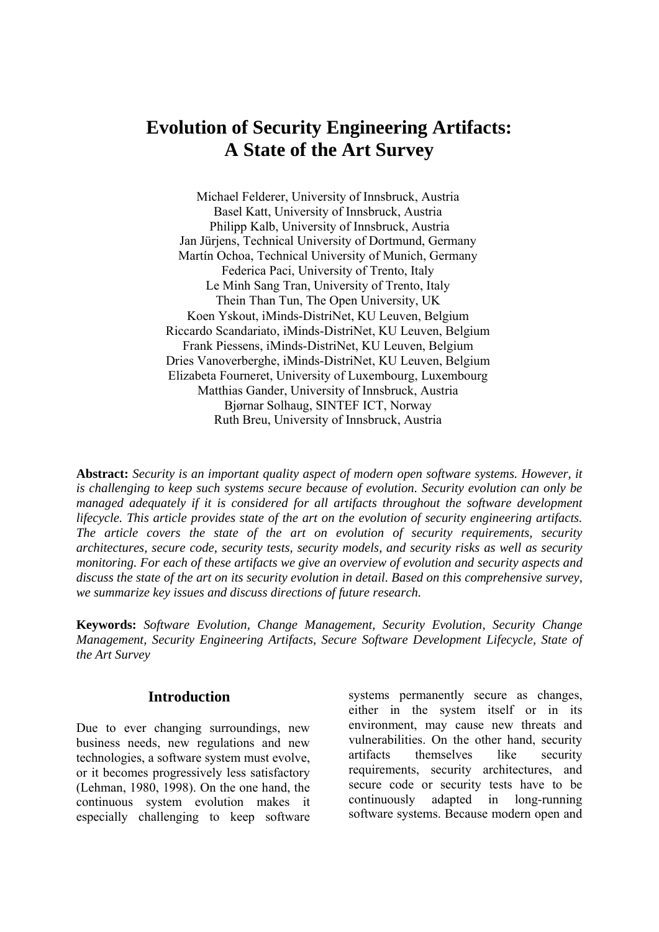# **Evolution of Security Engineering Artifacts: A State of the Art Survey**

Michael Felderer, University of Innsbruck, Austria Basel Katt, University of Innsbruck, Austria Philipp Kalb, University of Innsbruck, Austria Jan Jürjens, Technical University of Dortmund, Germany Martín Ochoa, Technical University of Munich, Germany Federica Paci, University of Trento, Italy Le Minh Sang Tran, University of Trento, Italy Thein Than Tun, The Open University, UK Koen Yskout, iMinds-DistriNet, KU Leuven, Belgium Riccardo Scandariato, iMinds-DistriNet, KU Leuven, Belgium Frank Piessens, iMinds-DistriNet, KU Leuven, Belgium Dries Vanoverberghe, iMinds-DistriNet, KU Leuven, Belgium Elizabeta Fourneret, University of Luxembourg, Luxembourg Matthias Gander, University of Innsbruck, Austria Bjørnar Solhaug, SINTEF ICT, Norway Ruth Breu, University of Innsbruck, Austria

**Abstract:** *Security is an important quality aspect of modern open software systems. However, it is challenging to keep such systems secure because of evolution. Security evolution can only be managed adequately if it is considered for all artifacts throughout the software development lifecycle. This article provides state of the art on the evolution of security engineering artifacts. The article covers the state of the art on evolution of security requirements, security architectures, secure code, security tests, security models, and security risks as well as security monitoring. For each of these artifacts we give an overview of evolution and security aspects and discuss the state of the art on its security evolution in detail. Based on this comprehensive survey, we summarize key issues and discuss directions of future research.*

**Keywords:** *Software Evolution, Change Management, Security Evolution, Security Change Management, Security Engineering Artifacts, Secure Software Development Lifecycle, State of the Art Survey*

### **Introduction**

Due to ever changing surroundings, new business needs, new regulations and new technologies, a software system must evolve, or it becomes progressively less satisfactory (Lehman, 1980, 1998). On the one hand, the continuous system evolution makes it especially challenging to keep software

systems permanently secure as changes, either in the system itself or in its environment, may cause new threats and vulnerabilities. On the other hand, security artifacts themselves like security requirements, security architectures, and secure code or security tests have to be continuously adapted in long-running software systems. Because modern open and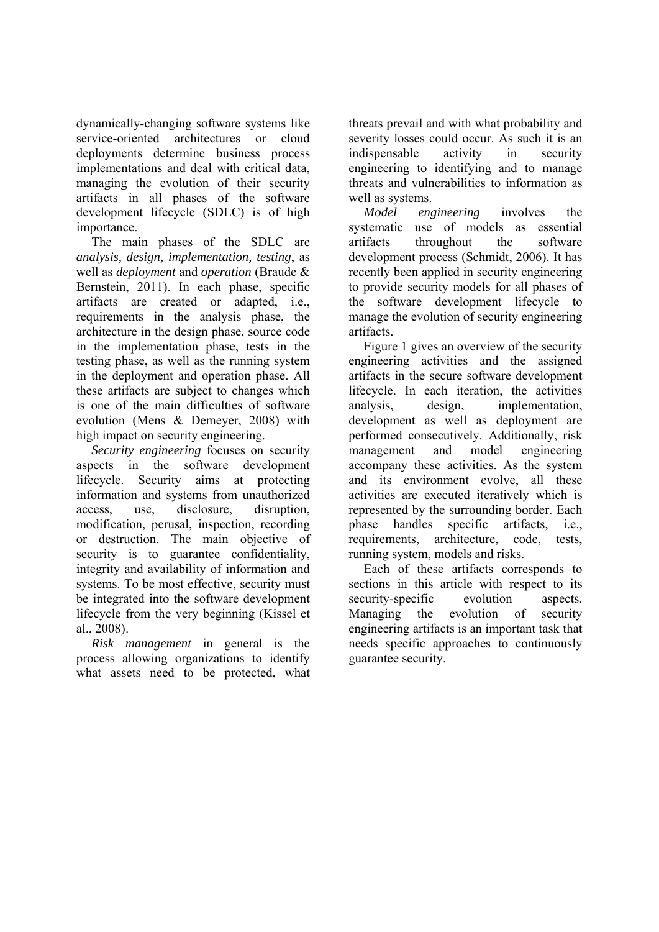dynamically-changing software systems like service-oriented architectures or cloud deployments determine business process implementations and deal with critical data, managing the evolution of their security artifacts in all phases of the software development lifecycle (SDLC) is of high importance.

The main phases of the SDLC are *analysis, design, implementation, testing*, as well as *deployment* and *operation* (Braude & Bernstein, 2011). In each phase, specific artifacts are created or adapted, i.e., requirements in the analysis phase, the architecture in the design phase, source code in the implementation phase, tests in the testing phase, as well as the running system in the deployment and operation phase. All these artifacts are subject to changes which is one of the main difficulties of software evolution (Mens & Demeyer, 2008) with high impact on security engineering.

*Security engineering* focuses on security aspects in the software development lifecycle. Security aims at protecting information and systems from unauthorized access, use, disclosure, disruption, modification, perusal, inspection, recording or destruction. The main objective of security is to guarantee confidentiality, integrity and availability of information and systems. To be most effective, security must be integrated into the software development lifecycle from the very beginning (Kissel et al., 2008).

*Risk management* in general is the process allowing organizations to identify what assets need to be protected, what threats prevail and with what probability and severity losses could occur. As such it is an indispensable activity in security engineering to identifying and to manage threats and vulnerabilities to information as well as systems.

*Model engineering* involves the systematic use of models as essential artifacts throughout the software development process (Schmidt, 2006). It has recently been applied in security engineering to provide security models for all phases of the software development lifecycle to manage the evolution of security engineering artifacts.

Figure 1 gives an overview of the security engineering activities and the assigned artifacts in the secure software development lifecycle. In each iteration, the activities analysis, design, implementation, development as well as deployment are performed consecutively. Additionally, risk management and model engineering accompany these activities. As the system and its environment evolve, all these activities are executed iteratively which is represented by the surrounding border. Each phase handles specific artifacts, i.e., requirements, architecture, code, tests, running system, models and risks.

Each of these artifacts corresponds to sections in this article with respect to its security-specific evolution aspects. Managing the evolution of security engineering artifacts is an important task that needs specific approaches to continuously guarantee security.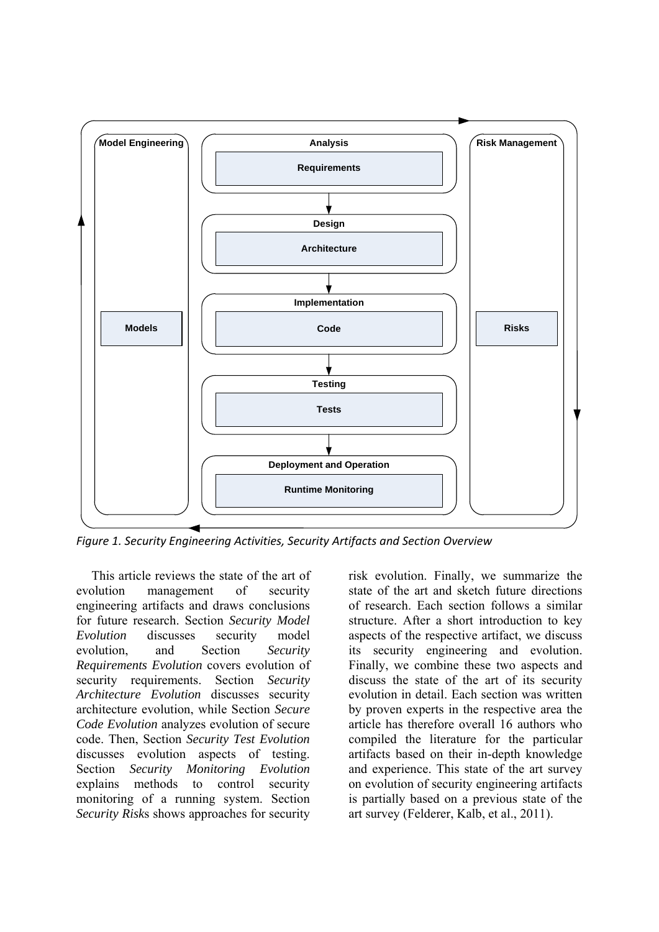

*Figure 1. Security Engineering Activities, Security Artifacts and Section Overview*

This article reviews the state of the art of evolution management of security engineering artifacts and draws conclusions for future research. Section *Security Model Evolution* discusses security model evolution, and Section *Security Requirements Evolution* covers evolution of security requirements. Section *Security Architecture Evolution* discusses security architecture evolution, while Section *Secure Code Evolution* analyzes evolution of secure code. Then, Section *Security Test Evolution* discusses evolution aspects of testing. Section *Security Monitoring Evolution*  explains methods to control security monitoring of a running system. Section *Security Risk*s shows approaches for security risk evolution. Finally, we summarize the state of the art and sketch future directions of research. Each section follows a similar structure. After a short introduction to key aspects of the respective artifact, we discuss its security engineering and evolution. Finally, we combine these two aspects and discuss the state of the art of its security evolution in detail. Each section was written by proven experts in the respective area the article has therefore overall 16 authors who compiled the literature for the particular artifacts based on their in-depth knowledge and experience. This state of the art survey on evolution of security engineering artifacts is partially based on a previous state of the art survey (Felderer, Kalb, et al., 2011).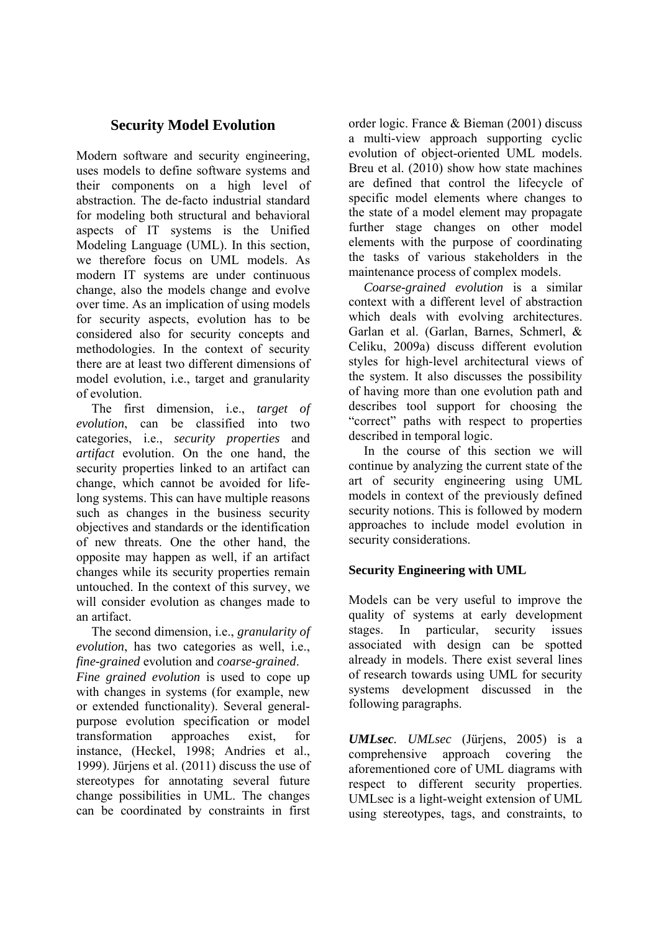# **Security Model Evolution**

Modern software and security engineering, uses models to define software systems and their components on a high level of abstraction. The de-facto industrial standard for modeling both structural and behavioral aspects of IT systems is the Unified Modeling Language (UML). In this section, we therefore focus on UML models. As modern IT systems are under continuous change, also the models change and evolve over time. As an implication of using models for security aspects, evolution has to be considered also for security concepts and methodologies. In the context of security there are at least two different dimensions of model evolution, i.e., target and granularity of evolution.

The first dimension, i.e., *target of evolution*, can be classified into two categories, i.e., *security properties* and *artifact* evolution. On the one hand, the security properties linked to an artifact can change, which cannot be avoided for lifelong systems. This can have multiple reasons such as changes in the business security objectives and standards or the identification of new threats. One the other hand, the opposite may happen as well, if an artifact changes while its security properties remain untouched. In the context of this survey, we will consider evolution as changes made to an artifact.

The second dimension, i.e., *granularity of evolution*, has two categories as well, i.e., *fine-grained* evolution and *coarse-grained*.

*Fine grained evolution* is used to cope up with changes in systems (for example, new or extended functionality). Several generalpurpose evolution specification or model transformation approaches exist for instance, (Heckel, 1998; Andries et al., 1999). Jürjens et al. (2011) discuss the use of stereotypes for annotating several future change possibilities in UML. The changes can be coordinated by constraints in first

order logic. France & Bieman (2001) discuss a multi-view approach supporting cyclic evolution of object-oriented UML models. Breu et al. (2010) show how state machines are defined that control the lifecycle of specific model elements where changes to the state of a model element may propagate further stage changes on other model elements with the purpose of coordinating the tasks of various stakeholders in the maintenance process of complex models.

*Coarse-grained evolution* is a similar context with a different level of abstraction which deals with evolving architectures. Garlan et al. (Garlan, Barnes, Schmerl, & Celiku, 2009a) discuss different evolution styles for high-level architectural views of the system. It also discusses the possibility of having more than one evolution path and describes tool support for choosing the "correct" paths with respect to properties described in temporal logic.

In the course of this section we will continue by analyzing the current state of the art of security engineering using UML models in context of the previously defined security notions. This is followed by modern approaches to include model evolution in security considerations.

# **Security Engineering with UML**

Models can be very useful to improve the quality of systems at early development stages. In particular, security issues associated with design can be spotted already in models. There exist several lines of research towards using UML for security systems development discussed in the following paragraphs.

*UMLsec. UMLsec* (Jürjens, 2005) is a comprehensive approach covering the aforementioned core of UML diagrams with respect to different security properties. UMLsec is a light-weight extension of UML using stereotypes, tags, and constraints, to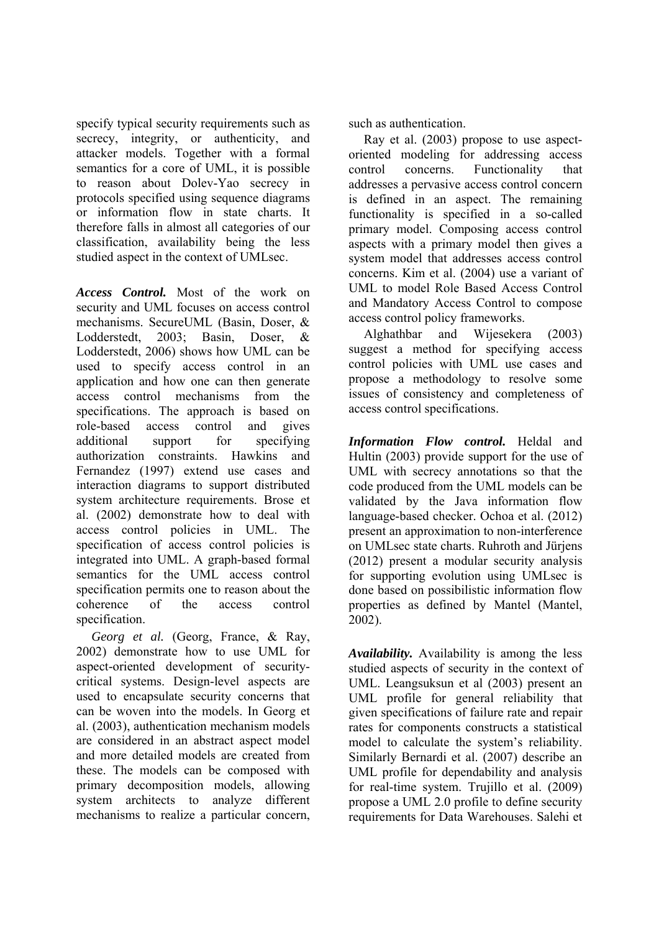specify typical security requirements such as secrecy, integrity, or authenticity, and attacker models. Together with a formal semantics for a core of UML, it is possible to reason about Dolev-Yao secrecy in protocols specified using sequence diagrams or information flow in state charts. It therefore falls in almost all categories of our classification, availability being the less studied aspect in the context of UMLsec.

*Access Control.* Most of the work on security and UML focuses on access control mechanisms. SecureUML (Basin, Doser, & Lodderstedt, 2003; Basin, Doser, & Lodderstedt, 2006) shows how UML can be used to specify access control in an application and how one can then generate access control mechanisms from the specifications. The approach is based on role-based access control and gives additional support for specifying authorization constraints. Hawkins and Fernandez (1997) extend use cases and interaction diagrams to support distributed system architecture requirements. Brose et al. (2002) demonstrate how to deal with access control policies in UML. The specification of access control policies is integrated into UML. A graph-based formal semantics for the UML access control specification permits one to reason about the coherence of the access control specification.

*Georg et al.* (Georg, France, & Ray, 2002) demonstrate how to use UML for aspect-oriented development of securitycritical systems. Design-level aspects are used to encapsulate security concerns that can be woven into the models. In Georg et al. (2003), authentication mechanism models are considered in an abstract aspect model and more detailed models are created from these. The models can be composed with primary decomposition models, allowing system architects to analyze different mechanisms to realize a particular concern, such as authentication.

Ray et al. (2003) propose to use aspectoriented modeling for addressing access control concerns. Functionality that addresses a pervasive access control concern is defined in an aspect. The remaining functionality is specified in a so-called primary model. Composing access control aspects with a primary model then gives a system model that addresses access control concerns. Kim et al. (2004) use a variant of UML to model Role Based Access Control and Mandatory Access Control to compose access control policy frameworks.

Alghathbar and Wijesekera (2003) suggest a method for specifying access control policies with UML use cases and propose a methodology to resolve some issues of consistency and completeness of access control specifications.

*Information Flow control.* Heldal and Hultin (2003) provide support for the use of UML with secrecy annotations so that the code produced from the UML models can be validated by the Java information flow language-based checker. Ochoa et al. (2012) present an approximation to non-interference on UMLsec state charts. Ruhroth and Jürjens (2012) present a modular security analysis for supporting evolution using UMLsec is done based on possibilistic information flow properties as defined by Mantel (Mantel, 2002).

*Availability.* Availability is among the less studied aspects of security in the context of UML. Leangsuksun et al (2003) present an UML profile for general reliability that given specifications of failure rate and repair rates for components constructs a statistical model to calculate the system's reliability. Similarly Bernardi et al. (2007) describe an UML profile for dependability and analysis for real-time system. Trujillo et al. (2009) propose a UML 2.0 profile to define security requirements for Data Warehouses. Salehi et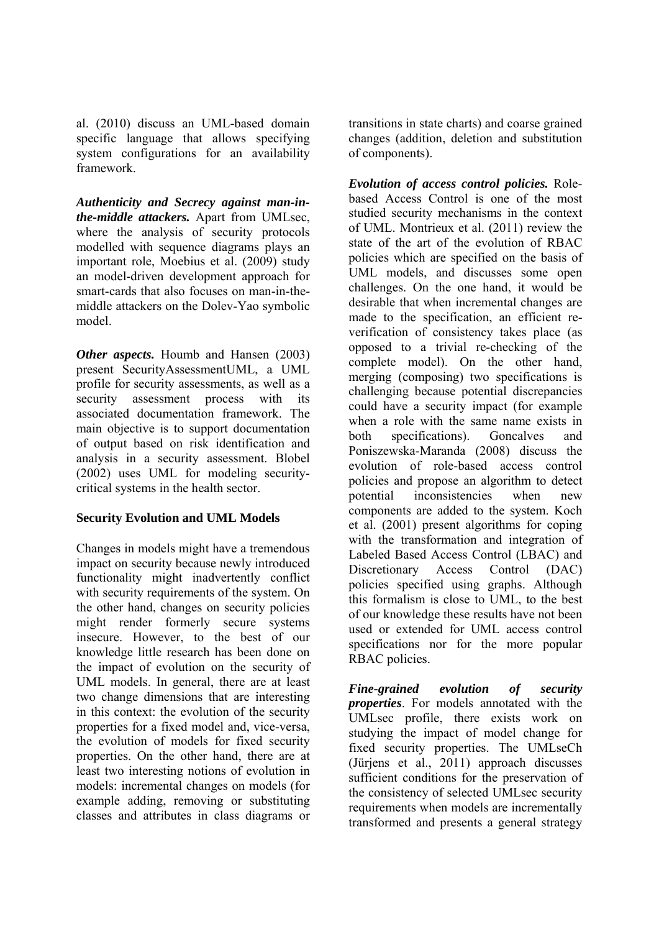al. (2010) discuss an UML-based domain specific language that allows specifying system configurations for an availability framework.

*Authenticity and Secrecy against man-inthe-middle attackers.* Apart from UMLsec, where the analysis of security protocols modelled with sequence diagrams plays an important role, Moebius et al. (2009) study an model-driven development approach for smart-cards that also focuses on man-in-themiddle attackers on the Dolev-Yao symbolic model.

*Other aspects.* Houmb and Hansen (2003) present SecurityAssessmentUML, a UML profile for security assessments, as well as a security assessment process with its associated documentation framework. The main objective is to support documentation of output based on risk identification and analysis in a security assessment. Blobel (2002) uses UML for modeling securitycritical systems in the health sector.

#### **Security Evolution and UML Models**

Changes in models might have a tremendous impact on security because newly introduced functionality might inadvertently conflict with security requirements of the system. On the other hand, changes on security policies might render formerly secure systems insecure. However, to the best of our knowledge little research has been done on the impact of evolution on the security of UML models. In general, there are at least two change dimensions that are interesting in this context: the evolution of the security properties for a fixed model and, vice-versa, the evolution of models for fixed security properties. On the other hand, there are at least two interesting notions of evolution in models: incremental changes on models (for example adding, removing or substituting classes and attributes in class diagrams or transitions in state charts) and coarse grained changes (addition, deletion and substitution of components).

*Evolution of access control policies.* Rolebased Access Control is one of the most studied security mechanisms in the context of UML. Montrieux et al. (2011) review the state of the art of the evolution of RBAC policies which are specified on the basis of UML models, and discusses some open challenges. On the one hand, it would be desirable that when incremental changes are made to the specification, an efficient reverification of consistency takes place (as opposed to a trivial re-checking of the complete model). On the other hand, merging (composing) two specifications is challenging because potential discrepancies could have a security impact (for example when a role with the same name exists in both specifications). Goncalves and Poniszewska-Maranda (2008) discuss the evolution of role-based access control policies and propose an algorithm to detect potential inconsistencies when new components are added to the system. Koch et al. (2001) present algorithms for coping with the transformation and integration of Labeled Based Access Control (LBAC) and Discretionary Access Control (DAC) policies specified using graphs. Although this formalism is close to UML, to the best of our knowledge these results have not been used or extended for UML access control specifications nor for the more popular RBAC policies.

*Fine-grained evolution of security properties*. For models annotated with the UMLsec profile, there exists work on studying the impact of model change for fixed security properties. The UMLseCh (Jürjens et al., 2011) approach discusses sufficient conditions for the preservation of the consistency of selected UMLsec security requirements when models are incrementally transformed and presents a general strategy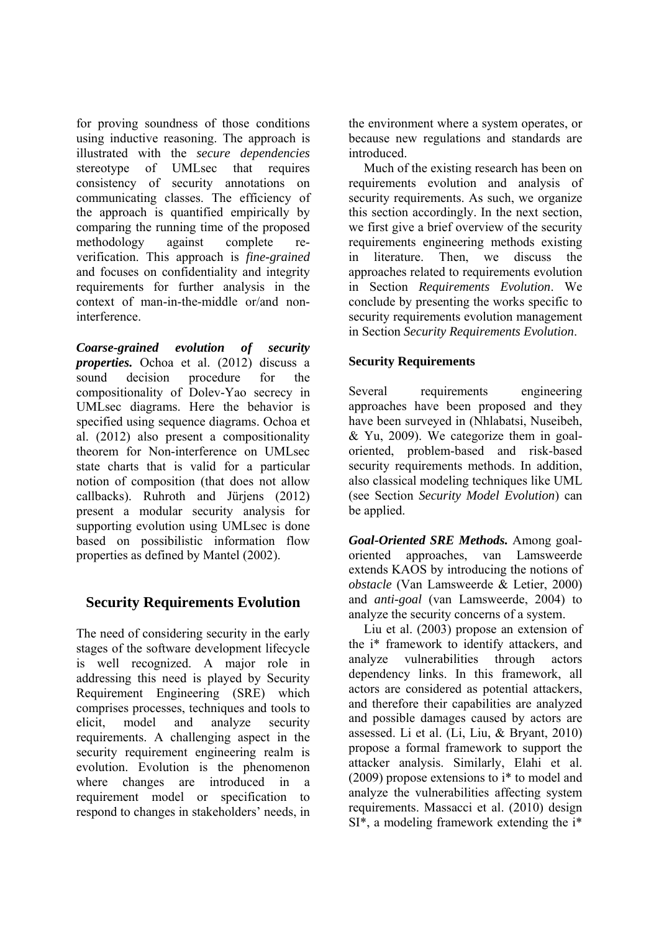for proving soundness of those conditions using inductive reasoning. The approach is illustrated with the *secure dependencies* stereotype of UMLsec that requires consistency of security annotations on communicating classes. The efficiency of the approach is quantified empirically by comparing the running time of the proposed methodology against complete reverification. This approach is *fine-grained* and focuses on confidentiality and integrity requirements for further analysis in the context of man-in-the-middle or/and noninterference.

*Coarse-grained evolution of security properties.* Ochoa et al. (2012) discuss a sound decision procedure for the compositionality of Dolev-Yao secrecy in UMLsec diagrams. Here the behavior is specified using sequence diagrams. Ochoa et al. (2012) also present a compositionality theorem for Non-interference on UMLsec state charts that is valid for a particular notion of composition (that does not allow callbacks). Ruhroth and Jürjens (2012) present a modular security analysis for supporting evolution using UMLsec is done based on possibilistic information flow properties as defined by Mantel (2002).

# **Security Requirements Evolution**

The need of considering security in the early stages of the software development lifecycle is well recognized. A major role in addressing this need is played by Security Requirement Engineering (SRE) which comprises processes, techniques and tools to elicit, model and analyze security requirements. A challenging aspect in the security requirement engineering realm is evolution. Evolution is the phenomenon where changes are introduced in a requirement model or specification to respond to changes in stakeholders' needs, in the environment where a system operates, or because new regulations and standards are introduced.

Much of the existing research has been on requirements evolution and analysis of security requirements. As such, we organize this section accordingly. In the next section, we first give a brief overview of the security requirements engineering methods existing in literature. Then, we discuss the approaches related to requirements evolution in Section *Requirements Evolution*. We conclude by presenting the works specific to security requirements evolution management in Section *Security Requirements Evolution*.

# **Security Requirements**

Several requirements engineering approaches have been proposed and they have been surveyed in (Nhlabatsi, Nuseibeh, & Yu, 2009). We categorize them in goaloriented, problem-based and risk-based security requirements methods. In addition, also classical modeling techniques like UML (see Section *Security Model Evolution*) can be applied.

*Goal-Oriented SRE Methods.* Among goaloriented approaches, van Lamsweerde extends KAOS by introducing the notions of *obstacle* (Van Lamsweerde & Letier, 2000) and *anti-goal* (van Lamsweerde, 2004) to analyze the security concerns of a system.

Liu et al. (2003) propose an extension of the i\* framework to identify attackers, and analyze vulnerabilities through actors dependency links. In this framework, all actors are considered as potential attackers, and therefore their capabilities are analyzed and possible damages caused by actors are assessed. Li et al. (Li, Liu, & Bryant, 2010) propose a formal framework to support the attacker analysis. Similarly, Elahi et al. (2009) propose extensions to i\* to model and analyze the vulnerabilities affecting system requirements. Massacci et al. (2010) design SI\*, a modeling framework extending the i\*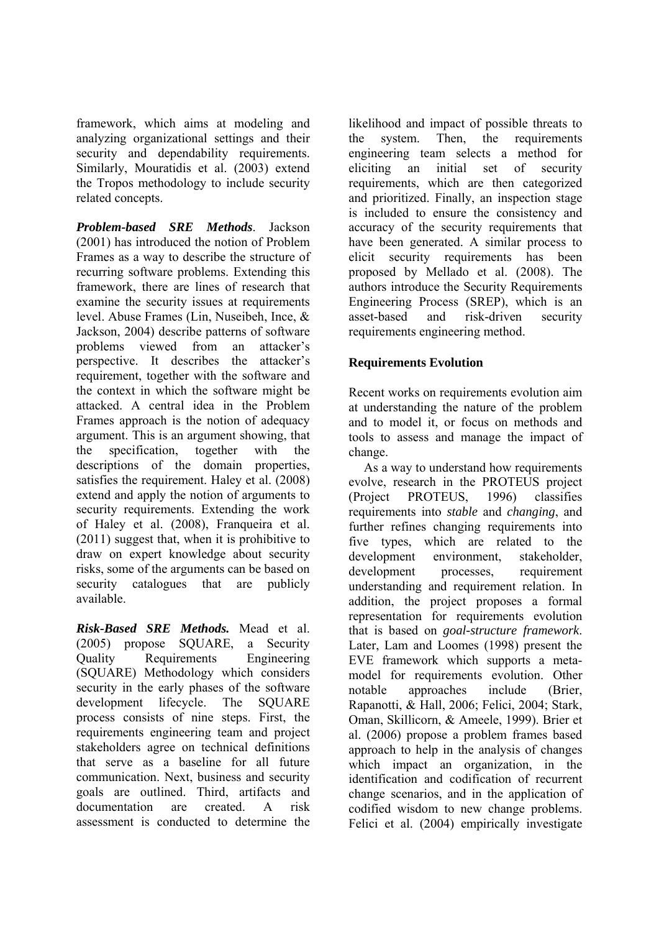framework, which aims at modeling and analyzing organizational settings and their security and dependability requirements. Similarly, Mouratidis et al. (2003) extend the Tropos methodology to include security related concepts.

*Problem-based SRE Methods*. Jackson (2001) has introduced the notion of Problem Frames as a way to describe the structure of recurring software problems. Extending this framework, there are lines of research that examine the security issues at requirements level. Abuse Frames (Lin, Nuseibeh, Ince, & Jackson, 2004) describe patterns of software problems viewed from an attacker's perspective. It describes the attacker's requirement, together with the software and the context in which the software might be attacked. A central idea in the Problem Frames approach is the notion of adequacy argument. This is an argument showing, that the specification, together with the descriptions of the domain properties, satisfies the requirement. Haley et al. (2008) extend and apply the notion of arguments to security requirements. Extending the work of Haley et al. (2008), Franqueira et al. (2011) suggest that, when it is prohibitive to draw on expert knowledge about security risks, some of the arguments can be based on security catalogues that are publicly available.

*Risk-Based SRE Methods.* Mead et al. (2005) propose SQUARE, a Security Quality Requirements Engineering (SQUARE) Methodology which considers security in the early phases of the software development lifecycle. The SQUARE process consists of nine steps. First, the requirements engineering team and project stakeholders agree on technical definitions that serve as a baseline for all future communication. Next, business and security goals are outlined. Third, artifacts and documentation are created. A risk assessment is conducted to determine the

likelihood and impact of possible threats to the system. Then, the requirements engineering team selects a method for eliciting an initial set of security requirements, which are then categorized and prioritized. Finally, an inspection stage is included to ensure the consistency and accuracy of the security requirements that have been generated. A similar process to elicit security requirements has been proposed by Mellado et al. (2008). The authors introduce the Security Requirements Engineering Process (SREP), which is an asset-based and risk-driven security requirements engineering method.

#### **Requirements Evolution**

Recent works on requirements evolution aim at understanding the nature of the problem and to model it, or focus on methods and tools to assess and manage the impact of change.

As a way to understand how requirements evolve, research in the PROTEUS project (Project PROTEUS, 1996) classifies requirements into *stable* and *changing*, and further refines changing requirements into five types, which are related to the development environment, stakeholder, development processes, requirement understanding and requirement relation. In addition, the project proposes a formal representation for requirements evolution that is based on *goal-structure framework*. Later, Lam and Loomes (1998) present the EVE framework which supports a metamodel for requirements evolution. Other notable approaches include (Brier, Rapanotti, & Hall, 2006; Felici, 2004; Stark, Oman, Skillicorn, & Ameele, 1999). Brier et al. (2006) propose a problem frames based approach to help in the analysis of changes which impact an organization, in the identification and codification of recurrent change scenarios, and in the application of codified wisdom to new change problems. Felici et al. (2004) empirically investigate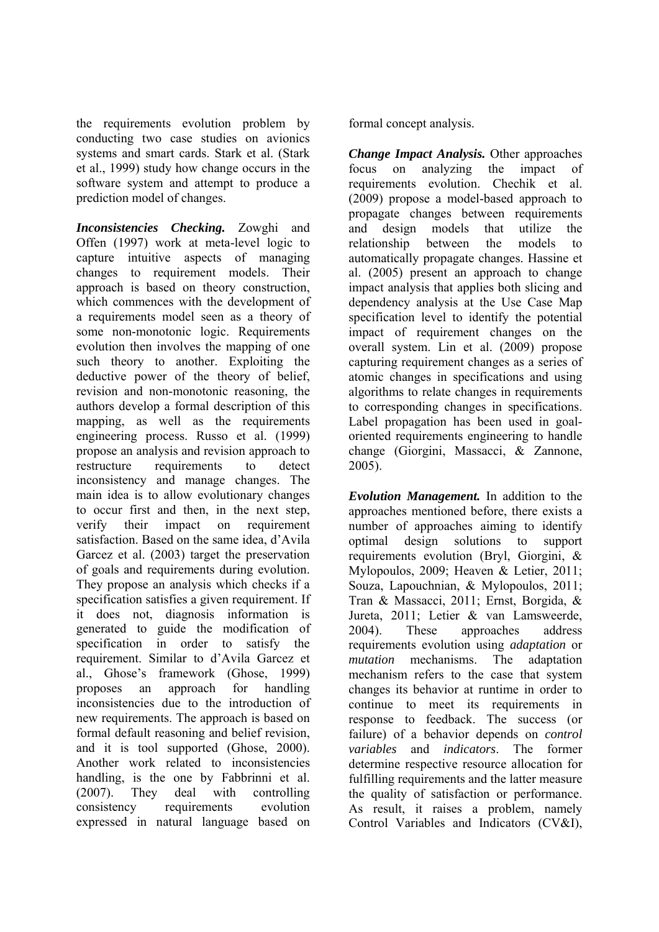the requirements evolution problem by conducting two case studies on avionics systems and smart cards. Stark et al. (Stark et al., 1999) study how change occurs in the software system and attempt to produce a prediction model of changes.

*Inconsistencies Checking.* Zowghi and Offen (1997) work at meta-level logic to capture intuitive aspects of managing changes to requirement models. Their approach is based on theory construction, which commences with the development of a requirements model seen as a theory of some non-monotonic logic. Requirements evolution then involves the mapping of one such theory to another. Exploiting the deductive power of the theory of belief, revision and non-monotonic reasoning, the authors develop a formal description of this mapping, as well as the requirements engineering process. Russo et al. (1999) propose an analysis and revision approach to restructure requirements to detect inconsistency and manage changes. The main idea is to allow evolutionary changes to occur first and then, in the next step, verify their impact on requirement satisfaction. Based on the same idea, d'Avila Garcez et al. (2003) target the preservation of goals and requirements during evolution. They propose an analysis which checks if a specification satisfies a given requirement. If it does not, diagnosis information is generated to guide the modification of specification in order to satisfy the requirement. Similar to d'Avila Garcez et al., Ghose's framework (Ghose, 1999) proposes an approach for handling inconsistencies due to the introduction of new requirements. The approach is based on formal default reasoning and belief revision, and it is tool supported (Ghose, 2000). Another work related to inconsistencies handling, is the one by Fabbrinni et al. (2007). They deal with controlling consistency requirements evolution expressed in natural language based on

formal concept analysis.

*Change Impact Analysis.* Other approaches focus on analyzing the impact of requirements evolution. Chechik et al. (2009) propose a model-based approach to propagate changes between requirements and design models that utilize the relationship between the models to automatically propagate changes. Hassine et al. (2005) present an approach to change impact analysis that applies both slicing and dependency analysis at the Use Case Map specification level to identify the potential impact of requirement changes on the overall system. Lin et al. (2009) propose capturing requirement changes as a series of atomic changes in specifications and using algorithms to relate changes in requirements to corresponding changes in specifications. Label propagation has been used in goaloriented requirements engineering to handle change (Giorgini, Massacci, & Zannone, 2005).

*Evolution Management.* In addition to the approaches mentioned before, there exists a number of approaches aiming to identify optimal design solutions to support requirements evolution (Bryl, Giorgini, & Mylopoulos, 2009; Heaven & Letier, 2011; Souza, Lapouchnian, & Mylopoulos, 2011; Tran & Massacci, 2011; Ernst, Borgida, & Jureta, 2011; Letier & van Lamsweerde, 2004). These approaches address requirements evolution using *adaptation* or *mutation* mechanisms. The adaptation mechanism refers to the case that system changes its behavior at runtime in order to continue to meet its requirements in response to feedback. The success (or failure) of a behavior depends on *control variables* and *indicators*. The former determine respective resource allocation for fulfilling requirements and the latter measure the quality of satisfaction or performance. As result, it raises a problem, namely Control Variables and Indicators (CV&I),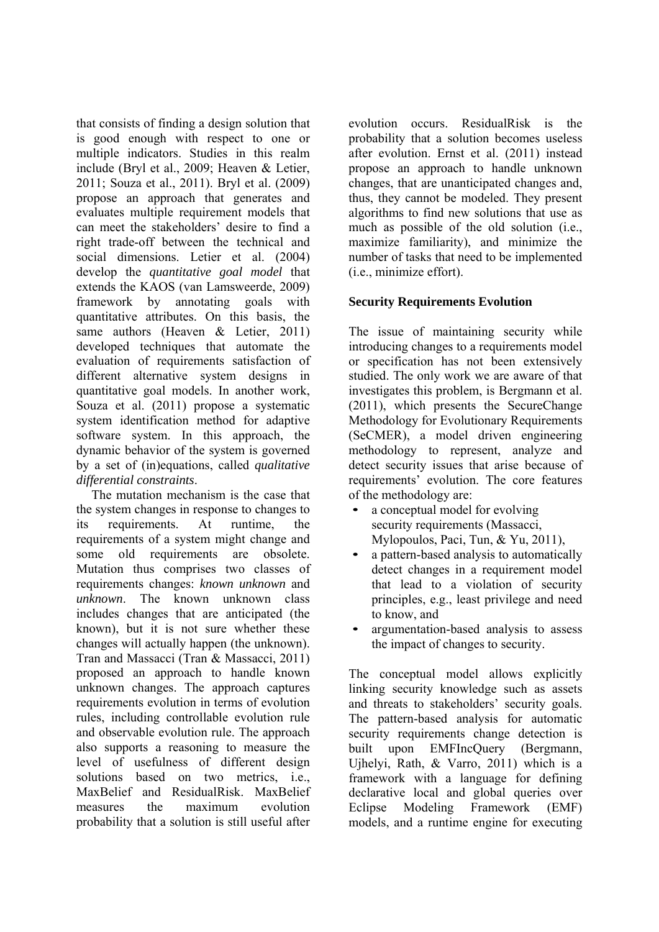that consists of finding a design solution that is good enough with respect to one or multiple indicators. Studies in this realm include (Bryl et al., 2009; Heaven & Letier, 2011; Souza et al., 2011). Bryl et al. (2009) propose an approach that generates and evaluates multiple requirement models that can meet the stakeholders' desire to find a right trade-off between the technical and social dimensions. Letier et al. (2004) develop the *quantitative goal model* that extends the KAOS (van Lamsweerde, 2009) framework by annotating goals with quantitative attributes. On this basis, the same authors (Heaven & Letier, 2011) developed techniques that automate the evaluation of requirements satisfaction of different alternative system designs in quantitative goal models. In another work, Souza et al. (2011) propose a systematic system identification method for adaptive software system. In this approach, the dynamic behavior of the system is governed by a set of (in)equations, called *qualitative differential constraints*.

The mutation mechanism is the case that the system changes in response to changes to its requirements. At runtime, the requirements of a system might change and some old requirements are obsolete. Mutation thus comprises two classes of requirements changes: *known unknown* and *unknown*. The known unknown class includes changes that are anticipated (the known), but it is not sure whether these changes will actually happen (the unknown). Tran and Massacci (Tran & Massacci, 2011) proposed an approach to handle known unknown changes. The approach captures requirements evolution in terms of evolution rules, including controllable evolution rule and observable evolution rule. The approach also supports a reasoning to measure the level of usefulness of different design solutions based on two metrics, *i.e.*, MaxBelief and ResidualRisk. MaxBelief measures the maximum evolution probability that a solution is still useful after

evolution occurs. ResidualRisk is the probability that a solution becomes useless after evolution. Ernst et al. (2011) instead propose an approach to handle unknown changes, that are unanticipated changes and, thus, they cannot be modeled. They present algorithms to find new solutions that use as much as possible of the old solution (i.e., maximize familiarity), and minimize the number of tasks that need to be implemented (i.e., minimize effort).

# **Security Requirements Evolution**

The issue of maintaining security while introducing changes to a requirements model or specification has not been extensively studied. The only work we are aware of that investigates this problem, is Bergmann et al. (2011), which presents the SecureChange Methodology for Evolutionary Requirements (SeCMER), a model driven engineering methodology to represent, analyze and detect security issues that arise because of requirements' evolution. The core features of the methodology are:

- a conceptual model for evolving security requirements (Massacci, Mylopoulos, Paci, Tun, & Yu, 2011),
- a pattern-based analysis to automatically detect changes in a requirement model that lead to a violation of security principles, e.g., least privilege and need to know, and
- argumentation-based analysis to assess the impact of changes to security.

The conceptual model allows explicitly linking security knowledge such as assets and threats to stakeholders' security goals. The pattern-based analysis for automatic security requirements change detection is built upon EMFIncQuery (Bergmann, Ujhelyi, Rath, & Varro, 2011) which is a framework with a language for defining declarative local and global queries over Eclipse Modeling Framework (EMF) models, and a runtime engine for executing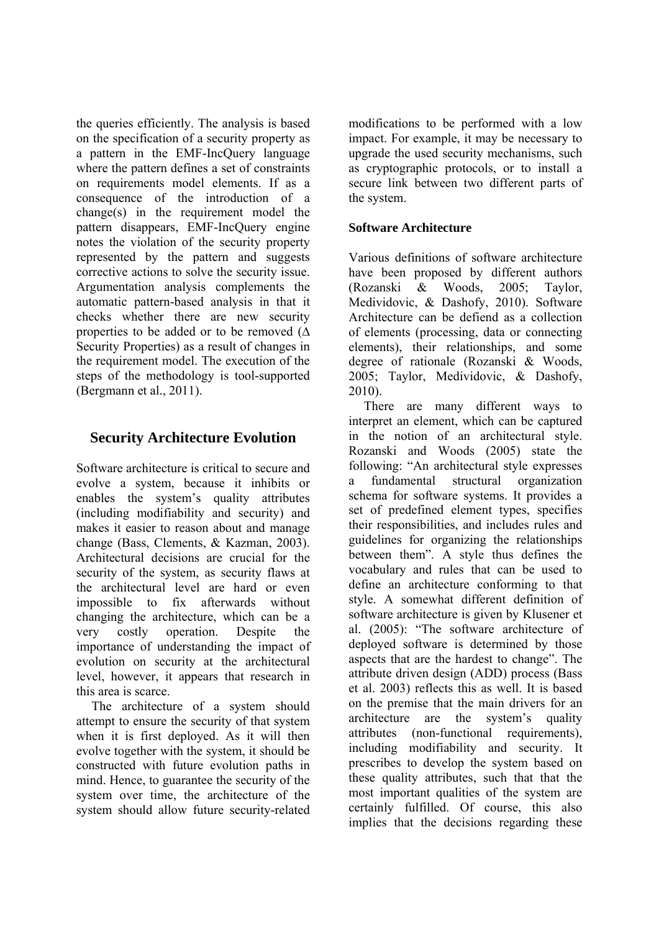the queries efficiently. The analysis is based on the specification of a security property as a pattern in the EMF-IncQuery language where the pattern defines a set of constraints on requirements model elements. If as a consequence of the introduction of a change(s) in the requirement model the pattern disappears, EMF-IncQuery engine notes the violation of the security property represented by the pattern and suggests corrective actions to solve the security issue. Argumentation analysis complements the automatic pattern-based analysis in that it checks whether there are new security properties to be added or to be removed  $(\Delta)$ Security Properties) as a result of changes in the requirement model. The execution of the steps of the methodology is tool-supported (Bergmann et al., 2011).

# **Security Architecture Evolution**

Software architecture is critical to secure and evolve a system, because it inhibits or enables the system's quality attributes (including modifiability and security) and makes it easier to reason about and manage change (Bass, Clements, & Kazman, 2003). Architectural decisions are crucial for the security of the system, as security flaws at the architectural level are hard or even impossible to fix afterwards without changing the architecture, which can be a very costly operation. Despite the importance of understanding the impact of evolution on security at the architectural level, however, it appears that research in this area is scarce.

The architecture of a system should attempt to ensure the security of that system when it is first deployed. As it will then evolve together with the system, it should be constructed with future evolution paths in mind. Hence, to guarantee the security of the system over time, the architecture of the system should allow future security-related

modifications to be performed with a low impact. For example, it may be necessary to upgrade the used security mechanisms, such as cryptographic protocols, or to install a secure link between two different parts of the system.

### **Software Architecture**

Various definitions of software architecture have been proposed by different authors (Rozanski & Woods, 2005; Taylor, Medividovic, & Dashofy, 2010). Software Architecture can be defiend as a collection of elements (processing, data or connecting elements), their relationships, and some degree of rationale (Rozanski & Woods, 2005; Taylor, Medividovic, & Dashofy, 2010).

There are many different ways to interpret an element, which can be captured in the notion of an architectural style. Rozanski and Woods (2005) state the following: "An architectural style expresses a fundamental structural organization schema for software systems. It provides a set of predefined element types, specifies their responsibilities, and includes rules and guidelines for organizing the relationships between them". A style thus defines the vocabulary and rules that can be used to define an architecture conforming to that style. A somewhat different definition of software architecture is given by Klusener et al. (2005): "The software architecture of deployed software is determined by those aspects that are the hardest to change". The attribute driven design (ADD) process (Bass et al. 2003) reflects this as well. It is based on the premise that the main drivers for an architecture are the system's quality attributes (non-functional requirements), including modifiability and security. It prescribes to develop the system based on these quality attributes, such that that the most important qualities of the system are certainly fulfilled. Of course, this also implies that the decisions regarding these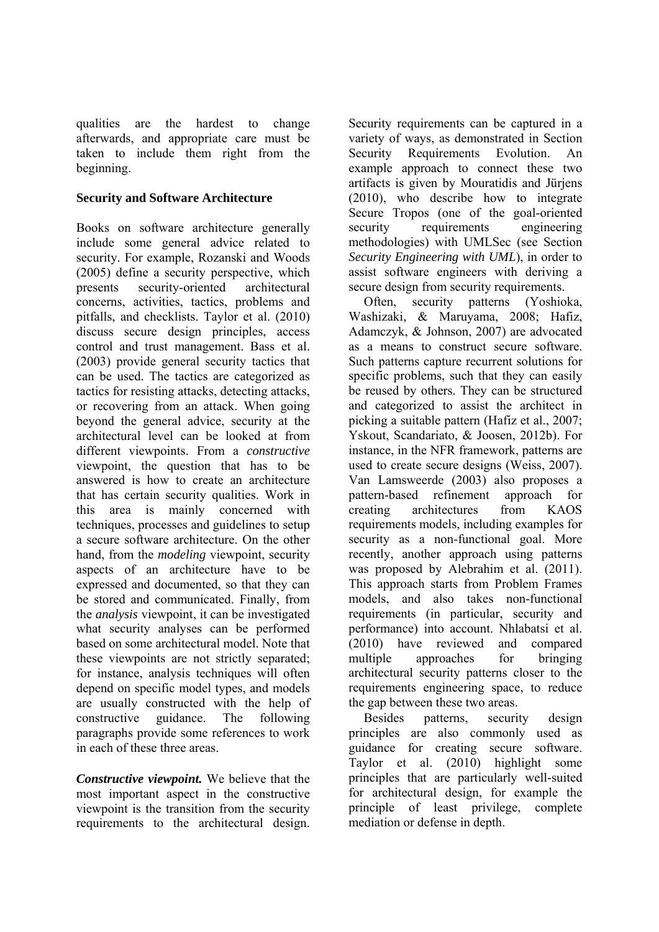qualities are the hardest to change afterwards, and appropriate care must be taken to include them right from the beginning.

#### **Security and Software Architecture**

Books on software architecture generally include some general advice related to security. For example, Rozanski and Woods (2005) define a security perspective, which presents security-oriented architectural concerns, activities, tactics, problems and pitfalls, and checklists. Taylor et al. (2010) discuss secure design principles, access control and trust management. Bass et al. (2003) provide general security tactics that can be used. The tactics are categorized as tactics for resisting attacks, detecting attacks, or recovering from an attack. When going beyond the general advice, security at the architectural level can be looked at from different viewpoints. From a *constructive* viewpoint, the question that has to be answered is how to create an architecture that has certain security qualities. Work in this area is mainly concerned with techniques, processes and guidelines to setup a secure software architecture. On the other hand, from the *modeling* viewpoint, security aspects of an architecture have to be expressed and documented, so that they can be stored and communicated. Finally, from the *analysis* viewpoint, it can be investigated what security analyses can be performed based on some architectural model. Note that these viewpoints are not strictly separated; for instance, analysis techniques will often depend on specific model types, and models are usually constructed with the help of constructive guidance. The following paragraphs provide some references to work in each of these three areas.

*Constructive viewpoint.* We believe that the most important aspect in the constructive viewpoint is the transition from the security requirements to the architectural design. Security requirements can be captured in a variety of ways, as demonstrated in Section Security Requirements Evolution. An example approach to connect these two artifacts is given by Mouratidis and Jürjens (2010), who describe how to integrate Secure Tropos (one of the goal-oriented security requirements engineering methodologies) with UMLSec (see Section *Security Engineering with UML*), in order to assist software engineers with deriving a secure design from security requirements.

Often, security patterns (Yoshioka, Washizaki, & Maruyama, 2008; Hafiz, Adamczyk, & Johnson, 2007) are advocated as a means to construct secure software. Such patterns capture recurrent solutions for specific problems, such that they can easily be reused by others. They can be structured and categorized to assist the architect in picking a suitable pattern (Hafiz et al., 2007; Yskout, Scandariato, & Joosen, 2012b). For instance, in the NFR framework, patterns are used to create secure designs (Weiss, 2007). Van Lamsweerde (2003) also proposes a pattern-based refinement approach for creating architectures from KAOS requirements models, including examples for security as a non-functional goal. More recently, another approach using patterns was proposed by Alebrahim et al. (2011). This approach starts from Problem Frames models, and also takes non-functional requirements (in particular, security and performance) into account. Nhlabatsi et al. (2010) have reviewed and compared multiple approaches for bringing architectural security patterns closer to the requirements engineering space, to reduce the gap between these two areas.

Besides patterns, security design principles are also commonly used as guidance for creating secure software. Taylor et al. (2010) highlight some principles that are particularly well-suited for architectural design, for example the principle of least privilege, complete mediation or defense in depth.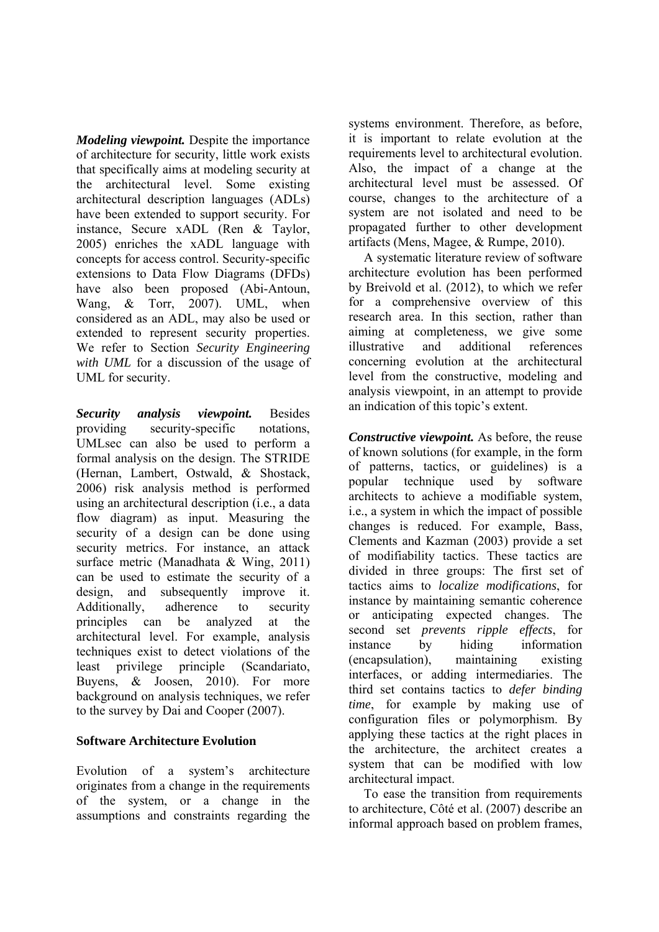*Modeling viewpoint.* Despite the importance of architecture for security, little work exists that specifically aims at modeling security at the architectural level. Some existing architectural description languages (ADLs) have been extended to support security. For instance, Secure xADL (Ren & Taylor, 2005) enriches the xADL language with concepts for access control. Security-specific extensions to Data Flow Diagrams (DFDs) have also been proposed (Abi-Antoun, Wang, & Torr, 2007). UML, when considered as an ADL, may also be used or extended to represent security properties. We refer to Section *Security Engineering with UML* for a discussion of the usage of UML for security.

*Security analysis viewpoint.* Besides providing security-specific notations, UMLsec can also be used to perform a formal analysis on the design. The STRIDE (Hernan, Lambert, Ostwald, & Shostack, 2006) risk analysis method is performed using an architectural description (i.e., a data flow diagram) as input. Measuring the security of a design can be done using security metrics. For instance, an attack surface metric (Manadhata & Wing, 2011) can be used to estimate the security of a design, and subsequently improve it. Additionally, adherence to security principles can be analyzed at the architectural level. For example, analysis techniques exist to detect violations of the least privilege principle (Scandariato, Buyens, & Joosen, 2010). For more background on analysis techniques, we refer to the survey by Dai and Cooper (2007).

#### **Software Architecture Evolution**

Evolution of a system's architecture originates from a change in the requirements of the system, or a change in the assumptions and constraints regarding the

systems environment. Therefore, as before, it is important to relate evolution at the requirements level to architectural evolution. Also, the impact of a change at the architectural level must be assessed. Of course, changes to the architecture of a system are not isolated and need to be propagated further to other development artifacts (Mens, Magee, & Rumpe, 2010).

A systematic literature review of software architecture evolution has been performed by Breivold et al. (2012), to which we refer for a comprehensive overview of this research area. In this section, rather than aiming at completeness, we give some illustrative and additional references concerning evolution at the architectural level from the constructive, modeling and analysis viewpoint, in an attempt to provide an indication of this topic's extent.

*Constructive viewpoint.* As before, the reuse of known solutions (for example, in the form of patterns, tactics, or guidelines) is a popular technique used by software architects to achieve a modifiable system, i.e., a system in which the impact of possible changes is reduced. For example, Bass, Clements and Kazman (2003) provide a set of modifiability tactics. These tactics are divided in three groups: The first set of tactics aims to *localize modifications*, for instance by maintaining semantic coherence or anticipating expected changes. The second set *prevents ripple effects*, for instance by hiding information (encapsulation), maintaining existing interfaces, or adding intermediaries. The third set contains tactics to *defer binding time*, for example by making use of configuration files or polymorphism. By applying these tactics at the right places in the architecture, the architect creates a system that can be modified with low architectural impact.

To ease the transition from requirements to architecture, Côté et al. (2007) describe an informal approach based on problem frames,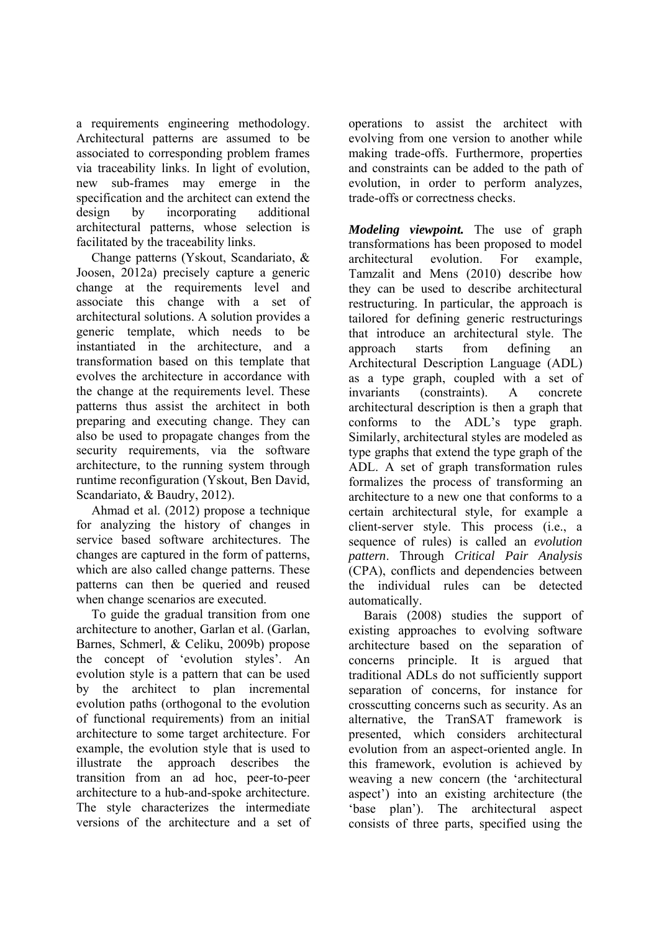a requirements engineering methodology. Architectural patterns are assumed to be associated to corresponding problem frames via traceability links. In light of evolution, new sub-frames may emerge in the specification and the architect can extend the design by incorporating additional architectural patterns, whose selection is facilitated by the traceability links.

Change patterns (Yskout, Scandariato, & Joosen, 2012a) precisely capture a generic change at the requirements level and associate this change with a set of architectural solutions. A solution provides a generic template, which needs to be instantiated in the architecture, and a transformation based on this template that evolves the architecture in accordance with the change at the requirements level. These patterns thus assist the architect in both preparing and executing change. They can also be used to propagate changes from the security requirements, via the software architecture, to the running system through runtime reconfiguration (Yskout, Ben David, Scandariato, & Baudry, 2012).

Ahmad et al. (2012) propose a technique for analyzing the history of changes in service based software architectures. The changes are captured in the form of patterns, which are also called change patterns. These patterns can then be queried and reused when change scenarios are executed.

To guide the gradual transition from one architecture to another, Garlan et al. (Garlan, Barnes, Schmerl, & Celiku, 2009b) propose the concept of 'evolution styles'. An evolution style is a pattern that can be used by the architect to plan incremental evolution paths (orthogonal to the evolution of functional requirements) from an initial architecture to some target architecture. For example, the evolution style that is used to illustrate the approach describes the transition from an ad hoc, peer-to-peer architecture to a hub-and-spoke architecture. The style characterizes the intermediate versions of the architecture and a set of

operations to assist the architect with evolving from one version to another while making trade-offs. Furthermore, properties and constraints can be added to the path of evolution, in order to perform analyzes, trade-offs or correctness checks.

*Modeling viewpoint.* The use of graph transformations has been proposed to model architectural evolution. For example, Tamzalit and Mens (2010) describe how they can be used to describe architectural restructuring. In particular, the approach is tailored for defining generic restructurings that introduce an architectural style. The approach starts from defining an Architectural Description Language (ADL) as a type graph, coupled with a set of invariants (constraints). A concrete architectural description is then a graph that conforms to the ADL's type graph. Similarly, architectural styles are modeled as type graphs that extend the type graph of the ADL. A set of graph transformation rules formalizes the process of transforming an architecture to a new one that conforms to a certain architectural style, for example a client-server style. This process (i.e., a sequence of rules) is called an *evolution pattern*. Through *Critical Pair Analysis* (CPA), conflicts and dependencies between the individual rules can be detected automatically.

Barais (2008) studies the support of existing approaches to evolving software architecture based on the separation of concerns principle. It is argued that traditional ADLs do not sufficiently support separation of concerns, for instance for crosscutting concerns such as security. As an alternative, the TranSAT framework is presented, which considers architectural evolution from an aspect-oriented angle. In this framework, evolution is achieved by weaving a new concern (the 'architectural aspect') into an existing architecture (the 'base plan'). The architectural aspect consists of three parts, specified using the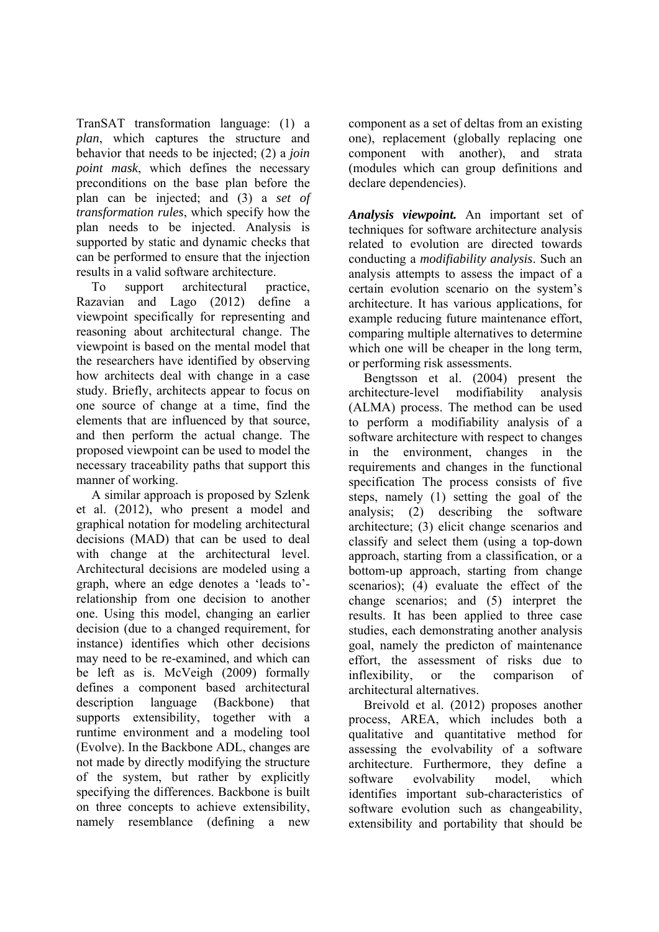TranSAT transformation language: (1) a *plan*, which captures the structure and behavior that needs to be injected; (2) a *join point mask*, which defines the necessary preconditions on the base plan before the plan can be injected; and (3) a *set of transformation rules*, which specify how the plan needs to be injected. Analysis is supported by static and dynamic checks that can be performed to ensure that the injection results in a valid software architecture.

To support architectural practice, Razavian and Lago (2012) define a viewpoint specifically for representing and reasoning about architectural change. The viewpoint is based on the mental model that the researchers have identified by observing how architects deal with change in a case study. Briefly, architects appear to focus on one source of change at a time, find the elements that are influenced by that source, and then perform the actual change. The proposed viewpoint can be used to model the necessary traceability paths that support this manner of working.

A similar approach is proposed by Szlenk et al. (2012), who present a model and graphical notation for modeling architectural decisions (MAD) that can be used to deal with change at the architectural level. Architectural decisions are modeled using a graph, where an edge denotes a 'leads to' relationship from one decision to another one. Using this model, changing an earlier decision (due to a changed requirement, for instance) identifies which other decisions may need to be re-examined, and which can be left as is. McVeigh (2009) formally defines a component based architectural description language (Backbone) that supports extensibility, together with a runtime environment and a modeling tool (Evolve). In the Backbone ADL, changes are not made by directly modifying the structure of the system, but rather by explicitly specifying the differences. Backbone is built on three concepts to achieve extensibility, namely resemblance (defining a new

component as a set of deltas from an existing one), replacement (globally replacing one component with another), and strata (modules which can group definitions and declare dependencies).

*Analysis viewpoint.* An important set of techniques for software architecture analysis related to evolution are directed towards conducting a *modifiability analysis*. Such an analysis attempts to assess the impact of a certain evolution scenario on the system's architecture. It has various applications, for example reducing future maintenance effort, comparing multiple alternatives to determine which one will be cheaper in the long term. or performing risk assessments.

Bengtsson et al. (2004) present the architecture-level modifiability analysis (ALMA) process. The method can be used to perform a modifiability analysis of a software architecture with respect to changes in the environment, changes in the requirements and changes in the functional specification The process consists of five steps, namely (1) setting the goal of the analysis; (2) describing the software architecture; (3) elicit change scenarios and classify and select them (using a top-down approach, starting from a classification, or a bottom-up approach, starting from change scenarios); (4) evaluate the effect of the change scenarios; and (5) interpret the results. It has been applied to three case studies, each demonstrating another analysis goal, namely the predicton of maintenance effort, the assessment of risks due to inflexibility, or the comparison of architectural alternatives.

Breivold et al. (2012) proposes another process, AREA, which includes both a qualitative and quantitative method for assessing the evolvability of a software architecture. Furthermore, they define a software evolvability model, which identifies important sub-characteristics of software evolution such as changeability, extensibility and portability that should be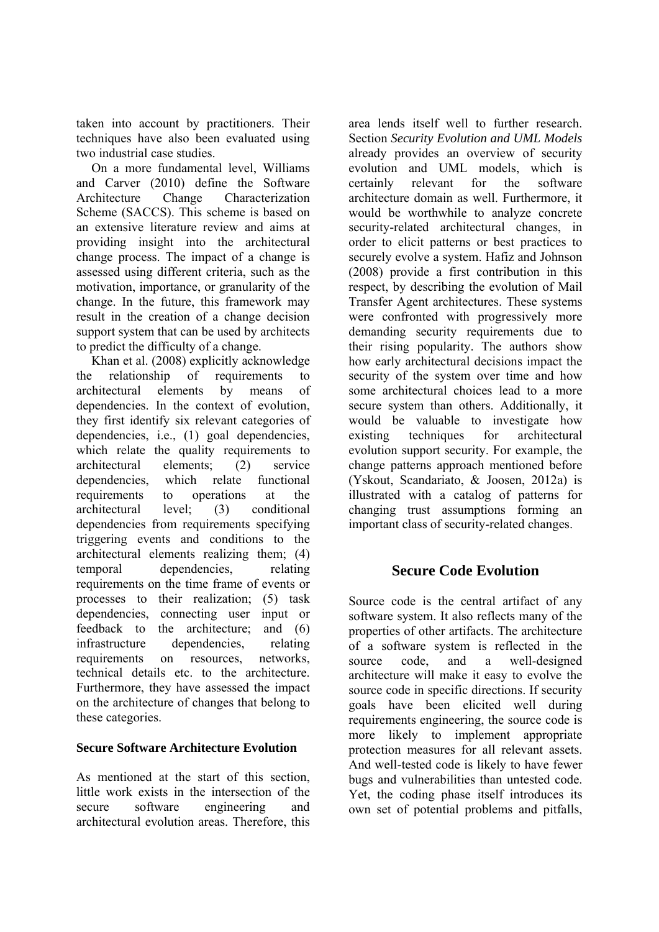taken into account by practitioners. Their techniques have also been evaluated using two industrial case studies.

On a more fundamental level, Williams and Carver (2010) define the Software Architecture Change Characterization Scheme (SACCS). This scheme is based on an extensive literature review and aims at providing insight into the architectural change process. The impact of a change is assessed using different criteria, such as the motivation, importance, or granularity of the change. In the future, this framework may result in the creation of a change decision support system that can be used by architects to predict the difficulty of a change.

Khan et al. (2008) explicitly acknowledge the relationship of requirements to architectural elements by means of dependencies. In the context of evolution, they first identify six relevant categories of dependencies, i.e., (1) goal dependencies, which relate the quality requirements to architectural elements; (2) service dependencies, which relate functional requirements to operations at the architectural level; (3) conditional dependencies from requirements specifying triggering events and conditions to the architectural elements realizing them; (4) temporal dependencies, relating requirements on the time frame of events or processes to their realization; (5) task dependencies, connecting user input or feedback to the architecture; and (6) infrastructure dependencies, relating requirements on resources, networks, technical details etc. to the architecture. Furthermore, they have assessed the impact on the architecture of changes that belong to these categories.

# **Secure Software Architecture Evolution**

As mentioned at the start of this section, little work exists in the intersection of the secure software engineering and architectural evolution areas. Therefore, this

area lends itself well to further research. Section *Security Evolution and UML Models* already provides an overview of security evolution and UML models, which is certainly relevant for the software architecture domain as well. Furthermore, it would be worthwhile to analyze concrete security-related architectural changes, in order to elicit patterns or best practices to securely evolve a system. Hafiz and Johnson (2008) provide a first contribution in this respect, by describing the evolution of Mail Transfer Agent architectures. These systems were confronted with progressively more demanding security requirements due to their rising popularity. The authors show how early architectural decisions impact the security of the system over time and how some architectural choices lead to a more secure system than others. Additionally, it would be valuable to investigate how existing techniques for architectural evolution support security. For example, the change patterns approach mentioned before (Yskout, Scandariato, & Joosen, 2012a) is illustrated with a catalog of patterns for changing trust assumptions forming an important class of security-related changes.

# **Secure Code Evolution**

Source code is the central artifact of any software system. It also reflects many of the properties of other artifacts. The architecture of a software system is reflected in the source code, and a well-designed architecture will make it easy to evolve the source code in specific directions. If security goals have been elicited well during requirements engineering, the source code is more likely to implement appropriate protection measures for all relevant assets. And well-tested code is likely to have fewer bugs and vulnerabilities than untested code. Yet, the coding phase itself introduces its own set of potential problems and pitfalls,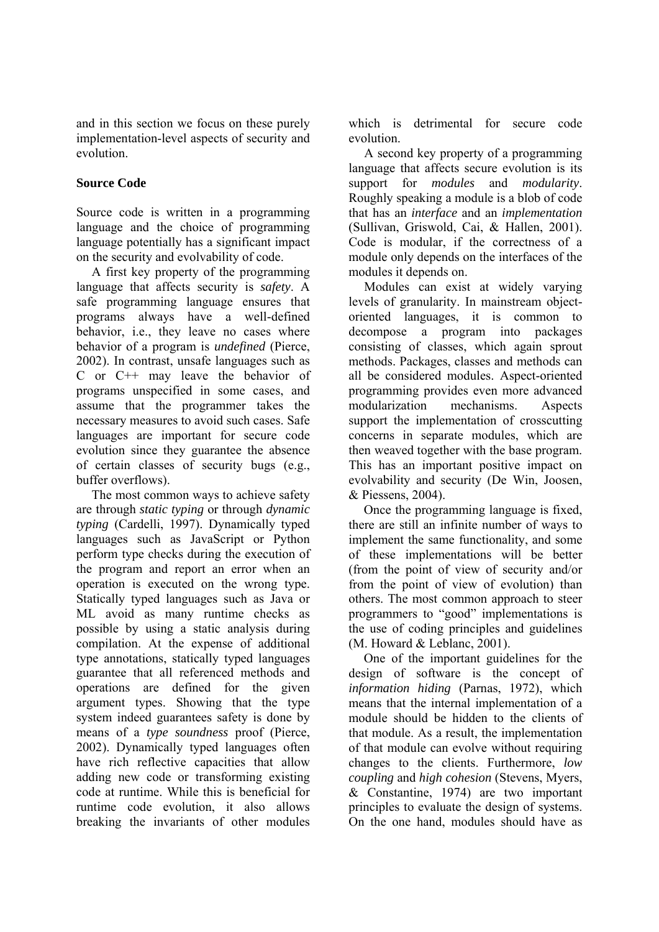and in this section we focus on these purely implementation-level aspects of security and evolution.

### **Source Code**

Source code is written in a programming language and the choice of programming language potentially has a significant impact on the security and evolvability of code.

A first key property of the programming language that affects security is *safety*. A safe programming language ensures that programs always have a well-defined behavior, i.e., they leave no cases where behavior of a program is *undefined* (Pierce, 2002). In contrast, unsafe languages such as C or C++ may leave the behavior of programs unspecified in some cases, and assume that the programmer takes the necessary measures to avoid such cases. Safe languages are important for secure code evolution since they guarantee the absence of certain classes of security bugs (e.g., buffer overflows).

The most common ways to achieve safety are through *static typing* or through *dynamic typing* (Cardelli, 1997). Dynamically typed languages such as JavaScript or Python perform type checks during the execution of the program and report an error when an operation is executed on the wrong type. Statically typed languages such as Java or ML avoid as many runtime checks as possible by using a static analysis during compilation. At the expense of additional type annotations, statically typed languages guarantee that all referenced methods and operations are defined for the given argument types. Showing that the type system indeed guarantees safety is done by means of a *type soundness* proof (Pierce, 2002). Dynamically typed languages often have rich reflective capacities that allow adding new code or transforming existing code at runtime. While this is beneficial for runtime code evolution, it also allows breaking the invariants of other modules

which is detrimental for secure code evolution.

A second key property of a programming language that affects secure evolution is its support for *modules* and *modularity*. Roughly speaking a module is a blob of code that has an *interface* and an *implementation* (Sullivan, Griswold, Cai, & Hallen, 2001). Code is modular, if the correctness of a module only depends on the interfaces of the modules it depends on.

Modules can exist at widely varying levels of granularity. In mainstream objectoriented languages, it is common to decompose a program into packages consisting of classes, which again sprout methods. Packages, classes and methods can all be considered modules. Aspect-oriented programming provides even more advanced modularization mechanisms. Aspects support the implementation of crosscutting concerns in separate modules, which are then weaved together with the base program. This has an important positive impact on evolvability and security (De Win, Joosen, & Piessens, 2004).

Once the programming language is fixed, there are still an infinite number of ways to implement the same functionality, and some of these implementations will be better (from the point of view of security and/or from the point of view of evolution) than others. The most common approach to steer programmers to "good" implementations is the use of coding principles and guidelines (M. Howard & Leblanc, 2001).

One of the important guidelines for the design of software is the concept of *information hiding* (Parnas, 1972), which means that the internal implementation of a module should be hidden to the clients of that module. As a result, the implementation of that module can evolve without requiring changes to the clients. Furthermore, *low coupling* and *high cohesion* (Stevens, Myers, & Constantine, 1974) are two important principles to evaluate the design of systems. On the one hand, modules should have as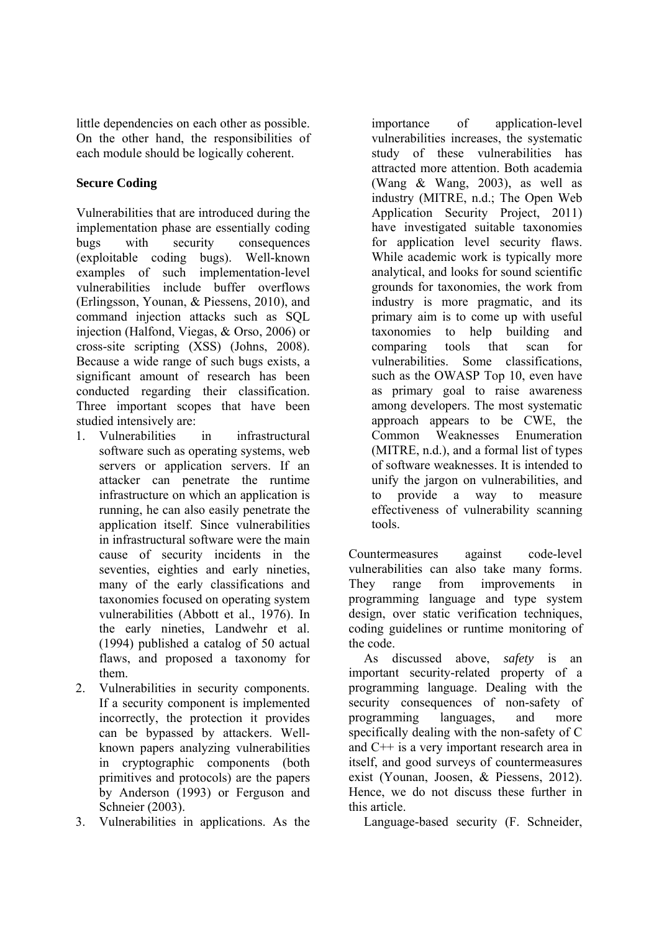little dependencies on each other as possible. On the other hand, the responsibilities of each module should be logically coherent.

# **Secure Coding**

Vulnerabilities that are introduced during the implementation phase are essentially coding bugs with security consequences (exploitable coding bugs). Well-known examples of such implementation-level vulnerabilities include buffer overflows (Erlingsson, Younan, & Piessens, 2010), and command injection attacks such as SQL injection (Halfond, Viegas, & Orso, 2006) or cross-site scripting (XSS) (Johns, 2008). Because a wide range of such bugs exists, a significant amount of research has been conducted regarding their classification. Three important scopes that have been studied intensively are:

- 1. Vulnerabilities in infrastructural software such as operating systems, web servers or application servers. If an attacker can penetrate the runtime infrastructure on which an application is running, he can also easily penetrate the application itself. Since vulnerabilities in infrastructural software were the main cause of security incidents in the seventies, eighties and early nineties, many of the early classifications and taxonomies focused on operating system vulnerabilities (Abbott et al., 1976). In the early nineties, Landwehr et al. (1994) published a catalog of 50 actual flaws, and proposed a taxonomy for them.
- 2. Vulnerabilities in security components. If a security component is implemented incorrectly, the protection it provides can be bypassed by attackers. Wellknown papers analyzing vulnerabilities in cryptographic components (both primitives and protocols) are the papers by Anderson (1993) or Ferguson and Schneier (2003).
- 3. Vulnerabilities in applications. As the

importance of application-level vulnerabilities increases, the systematic study of these vulnerabilities has attracted more attention. Both academia (Wang & Wang, 2003), as well as industry (MITRE, n.d.; The Open Web Application Security Project, 2011) have investigated suitable taxonomies for application level security flaws. While academic work is typically more analytical, and looks for sound scientific grounds for taxonomies, the work from industry is more pragmatic, and its primary aim is to come up with useful taxonomies to help building and comparing tools that scan for vulnerabilities. Some classifications, such as the OWASP Top 10, even have as primary goal to raise awareness among developers. The most systematic approach appears to be CWE, the Common Weaknesses Enumeration (MITRE, n.d.), and a formal list of types of software weaknesses. It is intended to unify the jargon on vulnerabilities, and to provide a way to measure effectiveness of vulnerability scanning tools.

Countermeasures against code-level vulnerabilities can also take many forms. They range from improvements programming language and type system design, over static verification techniques, coding guidelines or runtime monitoring of the code.

As discussed above, *safety* is an important security-related property of a programming language. Dealing with the security consequences of non-safety of programming languages, and more specifically dealing with the non-safety of C and C++ is a very important research area in itself, and good surveys of countermeasures exist (Younan, Joosen, & Piessens, 2012). Hence, we do not discuss these further in this article.

Language-based security (F. Schneider,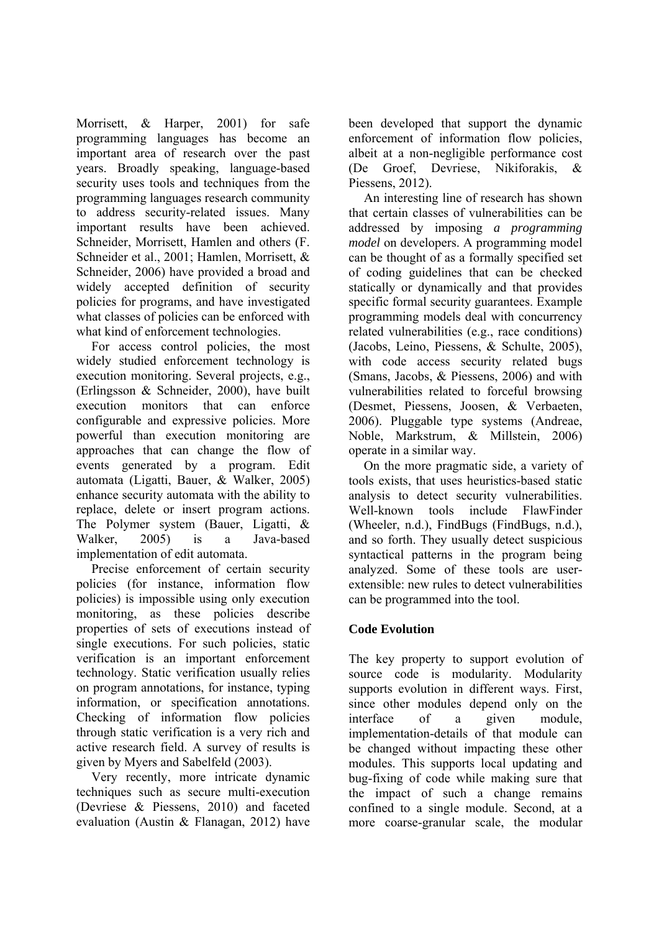Morrisett, & Harper, 2001) for safe programming languages has become an important area of research over the past years. Broadly speaking, language-based security uses tools and techniques from the programming languages research community to address security-related issues. Many important results have been achieved. Schneider, Morrisett, Hamlen and others (F. Schneider et al., 2001; Hamlen, Morrisett, & Schneider, 2006) have provided a broad and widely accepted definition of security policies for programs, and have investigated what classes of policies can be enforced with what kind of enforcement technologies.

For access control policies, the most widely studied enforcement technology is execution monitoring. Several projects, e.g., (Erlingsson & Schneider, 2000), have built execution monitors that can enforce configurable and expressive policies. More powerful than execution monitoring are approaches that can change the flow of events generated by a program. Edit automata (Ligatti, Bauer, & Walker, 2005) enhance security automata with the ability to replace, delete or insert program actions. The Polymer system (Bauer, Ligatti, & Walker, 2005) is a Java-based implementation of edit automata.

Precise enforcement of certain security policies (for instance, information flow policies) is impossible using only execution monitoring, as these policies describe properties of sets of executions instead of single executions. For such policies, static verification is an important enforcement technology. Static verification usually relies on program annotations, for instance, typing information, or specification annotations. Checking of information flow policies through static verification is a very rich and active research field. A survey of results is given by Myers and Sabelfeld (2003).

Very recently, more intricate dynamic techniques such as secure multi-execution (Devriese & Piessens, 2010) and faceted evaluation (Austin & Flanagan, 2012) have

been developed that support the dynamic enforcement of information flow policies, albeit at a non-negligible performance cost (De Groef, Devriese, Nikiforakis, & Piessens, 2012).

An interesting line of research has shown that certain classes of vulnerabilities can be addressed by imposing *a programming model* on developers. A programming model can be thought of as a formally specified set of coding guidelines that can be checked statically or dynamically and that provides specific formal security guarantees. Example programming models deal with concurrency related vulnerabilities (e.g., race conditions) (Jacobs, Leino, Piessens, & Schulte, 2005), with code access security related bugs (Smans, Jacobs, & Piessens, 2006) and with vulnerabilities related to forceful browsing (Desmet, Piessens, Joosen, & Verbaeten, 2006). Pluggable type systems (Andreae, Noble, Markstrum, & Millstein, 2006) operate in a similar way.

On the more pragmatic side, a variety of tools exists, that uses heuristics-based static analysis to detect security vulnerabilities. Well-known tools include FlawFinder (Wheeler, n.d.), FindBugs (FindBugs, n.d.), and so forth. They usually detect suspicious syntactical patterns in the program being analyzed. Some of these tools are userextensible: new rules to detect vulnerabilities can be programmed into the tool.

# **Code Evolution**

The key property to support evolution of source code is modularity. Modularity supports evolution in different ways. First, since other modules depend only on the interface of a given module, implementation-details of that module can be changed without impacting these other modules. This supports local updating and bug-fixing of code while making sure that the impact of such a change remains confined to a single module. Second, at a more coarse-granular scale, the modular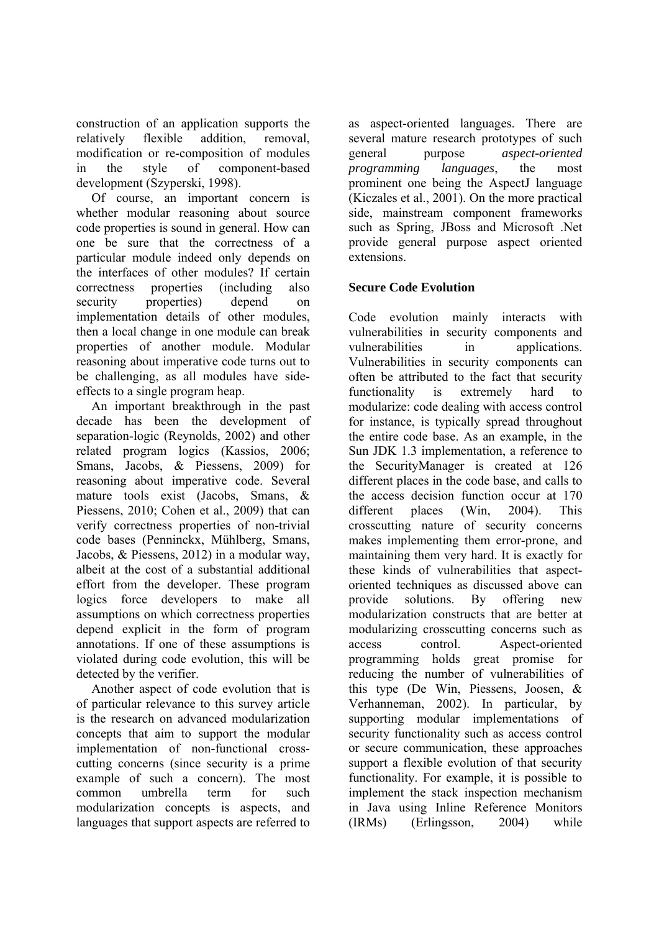construction of an application supports the relatively flexible addition, removal, modification or re-composition of modules in the style of component-based development (Szyperski, 1998).

Of course, an important concern is whether modular reasoning about source code properties is sound in general. How can one be sure that the correctness of a particular module indeed only depends on the interfaces of other modules? If certain correctness properties (including also security properties) depend on implementation details of other modules, then a local change in one module can break properties of another module. Modular reasoning about imperative code turns out to be challenging, as all modules have sideeffects to a single program heap.

An important breakthrough in the past decade has been the development of separation-logic (Reynolds, 2002) and other related program logics (Kassios, 2006; Smans, Jacobs, & Piessens, 2009) for reasoning about imperative code. Several mature tools exist (Jacobs, Smans, & Piessens, 2010; Cohen et al., 2009) that can verify correctness properties of non-trivial code bases (Penninckx, Mühlberg, Smans, Jacobs, & Piessens, 2012) in a modular way, albeit at the cost of a substantial additional effort from the developer. These program logics force developers to make all assumptions on which correctness properties depend explicit in the form of program annotations. If one of these assumptions is violated during code evolution, this will be detected by the verifier.

Another aspect of code evolution that is of particular relevance to this survey article is the research on advanced modularization concepts that aim to support the modular implementation of non-functional crosscutting concerns (since security is a prime example of such a concern). The most common umbrella term for such modularization concepts is aspects, and languages that support aspects are referred to

as aspect-oriented languages. There are several mature research prototypes of such general purpose *aspect-oriented programming languages*, the most prominent one being the AspectJ language (Kiczales et al., 2001). On the more practical side, mainstream component frameworks such as Spring, JBoss and Microsoft .Net provide general purpose aspect oriented extensions.

# **Secure Code Evolution**

Code evolution mainly interacts with vulnerabilities in security components and vulnerabilities in applications. Vulnerabilities in security components can often be attributed to the fact that security functionality is extremely hard to modularize: code dealing with access control for instance, is typically spread throughout the entire code base. As an example, in the Sun JDK 1.3 implementation, a reference to the SecurityManager is created at 126 different places in the code base, and calls to the access decision function occur at 170 different places (Win, 2004). This crosscutting nature of security concerns makes implementing them error-prone, and maintaining them very hard. It is exactly for these kinds of vulnerabilities that aspectoriented techniques as discussed above can provide solutions. By offering new modularization constructs that are better at modularizing crosscutting concerns such as access control. Aspect-oriented programming holds great promise for reducing the number of vulnerabilities of this type (De Win, Piessens, Joosen, & Verhanneman, 2002). In particular, by supporting modular implementations of security functionality such as access control or secure communication, these approaches support a flexible evolution of that security functionality. For example, it is possible to implement the stack inspection mechanism in Java using Inline Reference Monitors (IRMs) (Erlingsson, 2004) while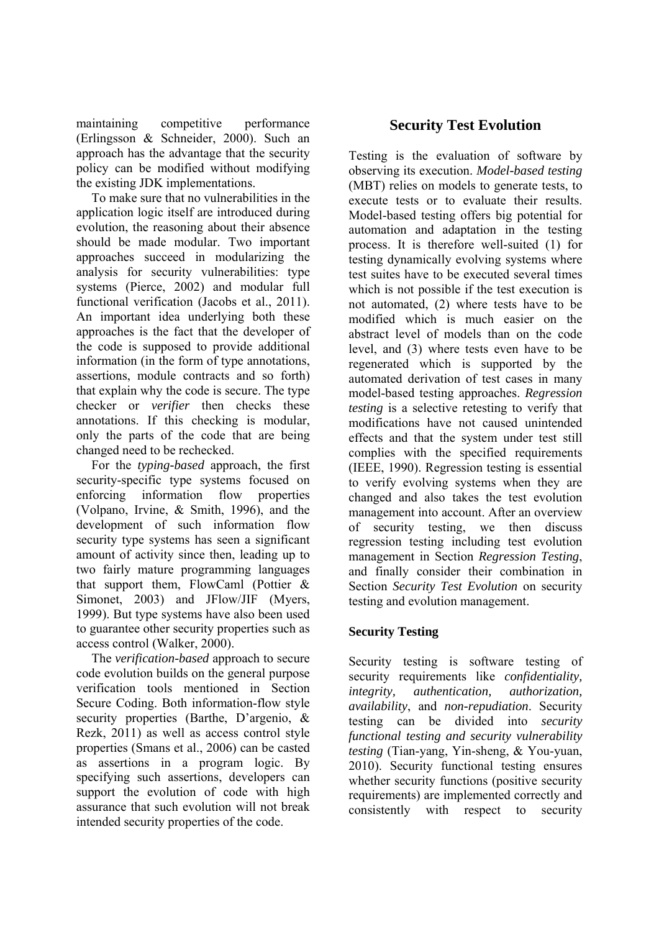maintaining competitive performance (Erlingsson & Schneider, 2000). Such an approach has the advantage that the security policy can be modified without modifying the existing JDK implementations.

To make sure that no vulnerabilities in the application logic itself are introduced during evolution, the reasoning about their absence should be made modular. Two important approaches succeed in modularizing the analysis for security vulnerabilities: type systems (Pierce, 2002) and modular full functional verification (Jacobs et al., 2011). An important idea underlying both these approaches is the fact that the developer of the code is supposed to provide additional information (in the form of type annotations, assertions, module contracts and so forth) that explain why the code is secure. The type checker or *verifier* then checks these annotations. If this checking is modular, only the parts of the code that are being changed need to be rechecked.

For the *typing-based* approach, the first security-specific type systems focused on enforcing information flow properties (Volpano, Irvine, & Smith, 1996), and the development of such information flow security type systems has seen a significant amount of activity since then, leading up to two fairly mature programming languages that support them, FlowCaml (Pottier & Simonet, 2003) and JFlow/JIF (Mvers, 1999). But type systems have also been used to guarantee other security properties such as access control (Walker, 2000).

The *verification-based* approach to secure code evolution builds on the general purpose verification tools mentioned in Section Secure Coding. Both information-flow style security properties (Barthe, D'argenio, & Rezk, 2011) as well as access control style properties (Smans et al., 2006) can be casted as assertions in a program logic. By specifying such assertions, developers can support the evolution of code with high assurance that such evolution will not break intended security properties of the code.

# **Security Test Evolution**

Testing is the evaluation of software by observing its execution. *Model-based testing* (MBT) relies on models to generate tests, to execute tests or to evaluate their results. Model-based testing offers big potential for automation and adaptation in the testing process. It is therefore well-suited (1) for testing dynamically evolving systems where test suites have to be executed several times which is not possible if the test execution is not automated, (2) where tests have to be modified which is much easier on the abstract level of models than on the code level, and (3) where tests even have to be regenerated which is supported by the automated derivation of test cases in many model-based testing approaches. *Regression testing* is a selective retesting to verify that modifications have not caused unintended effects and that the system under test still complies with the specified requirements (IEEE, 1990). Regression testing is essential to verify evolving systems when they are changed and also takes the test evolution management into account. After an overview of security testing, we then discuss regression testing including test evolution management in Section *Regression Testing*, and finally consider their combination in Section *Security Test Evolution* on security testing and evolution management.

# **Security Testing**

Security testing is software testing of security requirements like *confidentiality, integrity, authentication, authorization, availability*, and *non-repudiation*. Security testing can be divided into *security functional testing and security vulnerability testing* (Tian-yang, Yin-sheng, & You-yuan, 2010). Security functional testing ensures whether security functions (positive security requirements) are implemented correctly and consistently with respect to security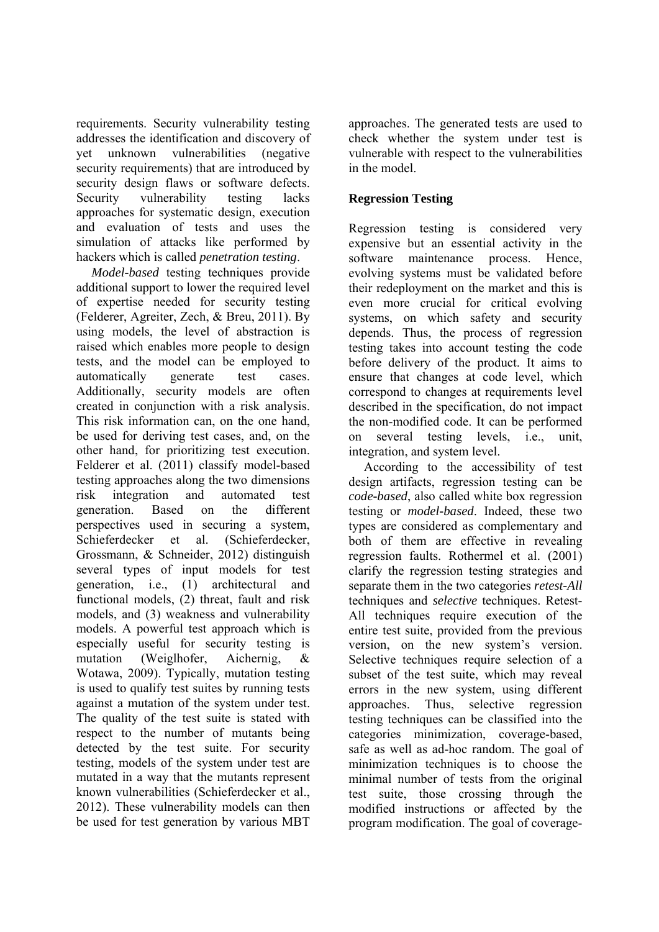requirements. Security vulnerability testing addresses the identification and discovery of yet unknown vulnerabilities (negative security requirements) that are introduced by security design flaws or software defects. Security vulnerability testing lacks approaches for systematic design, execution and evaluation of tests and uses the simulation of attacks like performed by hackers which is called *penetration testing*.

*Model-based* testing techniques provide additional support to lower the required level of expertise needed for security testing (Felderer, Agreiter, Zech, & Breu, 2011). By using models, the level of abstraction is raised which enables more people to design tests, and the model can be employed to automatically generate test cases. Additionally, security models are often created in conjunction with a risk analysis. This risk information can, on the one hand, be used for deriving test cases, and, on the other hand, for prioritizing test execution. Felderer et al. (2011) classify model-based testing approaches along the two dimensions risk integration and automated test generation. Based on the different perspectives used in securing a system, Schieferdecker et al. (Schieferdecker, Grossmann, & Schneider, 2012) distinguish several types of input models for test generation, i.e., (1) architectural and functional models, (2) threat, fault and risk models, and (3) weakness and vulnerability models. A powerful test approach which is especially useful for security testing is mutation (Weiglhofer, Aichernig, & Wotawa, 2009). Typically, mutation testing is used to qualify test suites by running tests against a mutation of the system under test. The quality of the test suite is stated with respect to the number of mutants being detected by the test suite. For security testing, models of the system under test are mutated in a way that the mutants represent known vulnerabilities (Schieferdecker et al., 2012). These vulnerability models can then be used for test generation by various MBT

approaches. The generated tests are used to check whether the system under test is vulnerable with respect to the vulnerabilities in the model.

### **Regression Testing**

Regression testing is considered very expensive but an essential activity in the software maintenance process. Hence, evolving systems must be validated before their redeployment on the market and this is even more crucial for critical evolving systems, on which safety and security depends. Thus, the process of regression testing takes into account testing the code before delivery of the product. It aims to ensure that changes at code level, which correspond to changes at requirements level described in the specification, do not impact the non-modified code. It can be performed on several testing levels, i.e., unit, integration, and system level.

According to the accessibility of test design artifacts, regression testing can be *code-based*, also called white box regression testing or *model-based*. Indeed, these two types are considered as complementary and both of them are effective in revealing regression faults. Rothermel et al. (2001) clarify the regression testing strategies and separate them in the two categories *retest-All* techniques and *selective* techniques. Retest-All techniques require execution of the entire test suite, provided from the previous version, on the new system's version. Selective techniques require selection of a subset of the test suite, which may reveal errors in the new system, using different approaches. Thus, selective regression testing techniques can be classified into the categories minimization, coverage-based, safe as well as ad-hoc random. The goal of minimization techniques is to choose the minimal number of tests from the original test suite, those crossing through the modified instructions or affected by the program modification. The goal of coverage-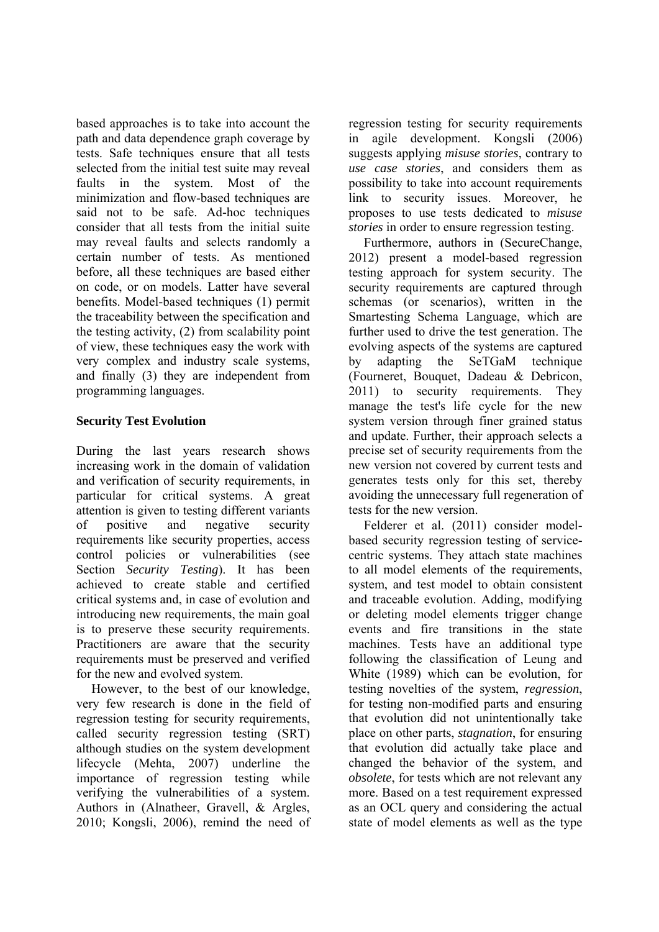based approaches is to take into account the path and data dependence graph coverage by tests. Safe techniques ensure that all tests selected from the initial test suite may reveal faults in the system. Most of the minimization and flow-based techniques are said not to be safe. Ad-hoc techniques consider that all tests from the initial suite may reveal faults and selects randomly a certain number of tests. As mentioned before, all these techniques are based either on code, or on models. Latter have several benefits. Model-based techniques (1) permit the traceability between the specification and the testing activity, (2) from scalability point of view, these techniques easy the work with very complex and industry scale systems, and finally (3) they are independent from programming languages.

# **Security Test Evolution**

During the last years research shows increasing work in the domain of validation and verification of security requirements, in particular for critical systems. A great attention is given to testing different variants of positive and negative security requirements like security properties, access control policies or vulnerabilities (see Section *Security Testing*). It has been achieved to create stable and certified critical systems and, in case of evolution and introducing new requirements, the main goal is to preserve these security requirements. Practitioners are aware that the security requirements must be preserved and verified for the new and evolved system.

However, to the best of our knowledge, very few research is done in the field of regression testing for security requirements, called security regression testing (SRT) although studies on the system development lifecycle (Mehta, 2007) underline the importance of regression testing while verifying the vulnerabilities of a system. Authors in (Alnatheer, Gravell, & Argles, 2010; Kongsli, 2006), remind the need of regression testing for security requirements in agile development. Kongsli (2006) suggests applying *misuse stories*, contrary to *use case stories*, and considers them as possibility to take into account requirements link to security issues. Moreover, he proposes to use tests dedicated to *misuse stories* in order to ensure regression testing.

Furthermore, authors in (SecureChange, 2012) present a model-based regression testing approach for system security. The security requirements are captured through schemas (or scenarios), written in the Smartesting Schema Language, which are further used to drive the test generation. The evolving aspects of the systems are captured by adapting the SeTGaM technique (Fourneret, Bouquet, Dadeau & Debricon, 2011) to security requirements. They manage the test's life cycle for the new system version through finer grained status and update. Further, their approach selects a precise set of security requirements from the new version not covered by current tests and generates tests only for this set, thereby avoiding the unnecessary full regeneration of tests for the new version.

Felderer et al. (2011) consider modelbased security regression testing of servicecentric systems. They attach state machines to all model elements of the requirements, system, and test model to obtain consistent and traceable evolution. Adding, modifying or deleting model elements trigger change events and fire transitions in the state machines. Tests have an additional type following the classification of Leung and White (1989) which can be evolution, for testing novelties of the system, *regression*, for testing non-modified parts and ensuring that evolution did not unintentionally take place on other parts, *stagnation*, for ensuring that evolution did actually take place and changed the behavior of the system, and *obsolete*, for tests which are not relevant any more. Based on a test requirement expressed as an OCL query and considering the actual state of model elements as well as the type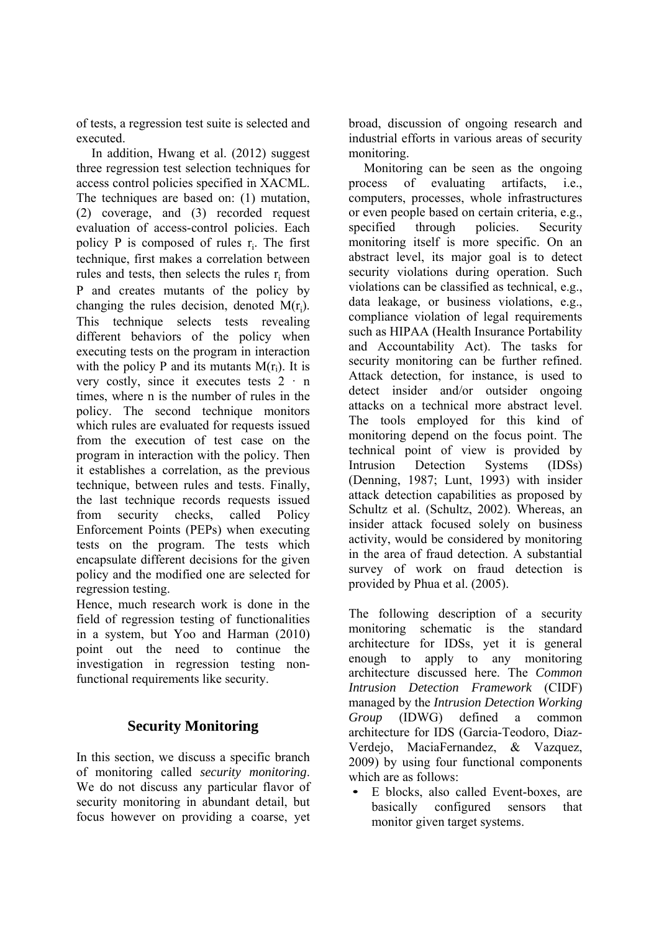of tests, a regression test suite is selected and executed.

In addition, Hwang et al. (2012) suggest three regression test selection techniques for access control policies specified in XACML. The techniques are based on: (1) mutation, (2) coverage, and (3) recorded request evaluation of access-control policies. Each policy P is composed of rules  $r_i$ . The first technique, first makes a correlation between rules and tests, then selects the rules  $r_i$  from P and creates mutants of the policy by changing the rules decision, denoted  $M(r_i)$ . This technique selects tests revealing different behaviors of the policy when executing tests on the program in interaction with the policy P and its mutants  $M(r_i)$ . It is very costly, since it executes tests  $2 \cdot n$ times, where n is the number of rules in the policy. The second technique monitors which rules are evaluated for requests issued from the execution of test case on the program in interaction with the policy. Then it establishes a correlation, as the previous technique, between rules and tests. Finally, the last technique records requests issued from security checks, called Policy Enforcement Points (PEPs) when executing tests on the program. The tests which encapsulate different decisions for the given policy and the modified one are selected for regression testing.

Hence, much research work is done in the field of regression testing of functionalities in a system, but Yoo and Harman (2010) point out the need to continue the investigation in regression testing nonfunctional requirements like security.

# **Security Monitoring**

In this section, we discuss a specific branch of monitoring called *security monitoring*. We do not discuss any particular flavor of security monitoring in abundant detail, but focus however on providing a coarse, yet

broad, discussion of ongoing research and industrial efforts in various areas of security monitoring.

Monitoring can be seen as the ongoing process of evaluating artifacts, i.e., computers, processes, whole infrastructures or even people based on certain criteria, e.g., specified through policies. Security monitoring itself is more specific. On an abstract level, its major goal is to detect security violations during operation. Such violations can be classified as technical, e.g., data leakage, or business violations, e.g., compliance violation of legal requirements such as HIPAA (Health Insurance Portability and Accountability Act). The tasks for security monitoring can be further refined. Attack detection, for instance, is used to detect insider and/or outsider ongoing attacks on a technical more abstract level. The tools employed for this kind of monitoring depend on the focus point. The technical point of view is provided by Intrusion Detection Systems (IDSs) (Denning, 1987; Lunt, 1993) with insider attack detection capabilities as proposed by Schultz et al. (Schultz, 2002). Whereas, an insider attack focused solely on business activity, would be considered by monitoring in the area of fraud detection. A substantial survey of work on fraud detection is provided by Phua et al. (2005).

The following description of a security monitoring schematic is the standard architecture for IDSs, yet it is general enough to apply to any monitoring architecture discussed here. The *Common Intrusion Detection Framework* (CIDF) managed by the *Intrusion Detection Working Group* (IDWG) defined a common architecture for IDS (Garcia-Teodoro, Diaz-Verdejo, MaciaFernandez, & Vazquez, 2009) by using four functional components which are as follows:

• E blocks, also called Event-boxes, are basically configured sensors that monitor given target systems.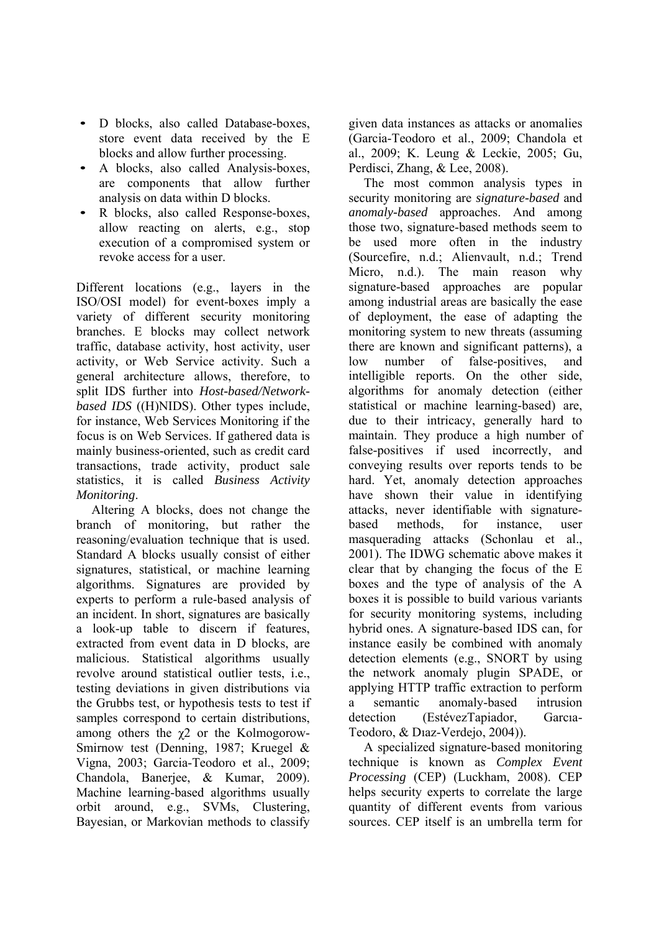- D blocks, also called Database-boxes, store event data received by the E blocks and allow further processing.
- A blocks, also called Analysis-boxes, are components that allow further analysis on data within D blocks.
- R blocks, also called Response-boxes, allow reacting on alerts, e.g., stop execution of a compromised system or revoke access for a user.

Different locations (e.g., layers in the ISO/OSI model) for event-boxes imply a variety of different security monitoring branches. E blocks may collect network traffic, database activity, host activity, user activity, or Web Service activity. Such a general architecture allows, therefore, to split IDS further into *Host-based/Networkbased IDS* ((H)NIDS). Other types include, for instance, Web Services Monitoring if the focus is on Web Services. If gathered data is mainly business-oriented, such as credit card transactions, trade activity, product sale statistics, it is called *Business Activity Monitoring*.

Altering A blocks, does not change the branch of monitoring, but rather the reasoning/evaluation technique that is used. Standard A blocks usually consist of either signatures, statistical, or machine learning algorithms. Signatures are provided by experts to perform a rule-based analysis of an incident. In short, signatures are basically a look-up table to discern if features, extracted from event data in D blocks, are malicious. Statistical algorithms usually revolve around statistical outlier tests, i.e., testing deviations in given distributions via the Grubbs test, or hypothesis tests to test if samples correspond to certain distributions, among others the χ2 or the Kolmogorow-Smirnow test (Denning, 1987; Kruegel & Vigna, 2003; Garcia-Teodoro et al., 2009; Chandola, Banerjee, & Kumar, 2009). Machine learning-based algorithms usually orbit around, e.g., SVMs, Clustering, Bayesian, or Markovian methods to classify

given data instances as attacks or anomalies (Garcia-Teodoro et al., 2009; Chandola et al., 2009; K. Leung & Leckie, 2005; Gu, Perdisci, Zhang, & Lee, 2008).

The most common analysis types in security monitoring are *signature-based* and *anomaly-based* approaches. And among those two, signature-based methods seem to be used more often in the industry (Sourcefire, n.d.; Alienvault, n.d.; Trend Micro, n.d.). The main reason why signature-based approaches are popular among industrial areas are basically the ease of deployment, the ease of adapting the monitoring system to new threats (assuming there are known and significant patterns), a low number of false-positives, and intelligible reports. On the other side, algorithms for anomaly detection (either statistical or machine learning-based) are, due to their intricacy, generally hard to maintain. They produce a high number of false-positives if used incorrectly, and conveying results over reports tends to be hard. Yet, anomaly detection approaches have shown their value in identifying attacks, never identifiable with signaturebased methods, for instance, user masquerading attacks (Schonlau et al., 2001). The IDWG schematic above makes it clear that by changing the focus of the E boxes and the type of analysis of the A boxes it is possible to build various variants for security monitoring systems, including hybrid ones. A signature-based IDS can, for instance easily be combined with anomaly detection elements (e.g., SNORT by using the network anomaly plugin SPADE, or applying HTTP traffic extraction to perform a semantic anomaly-based intrusion detection (EstévezTapiador, Garcıa-Teodoro, & Dıaz-Verdejo, 2004)).

A specialized signature-based monitoring technique is known as *Complex Event Processing* (CEP) (Luckham, 2008). CEP helps security experts to correlate the large quantity of different events from various sources. CEP itself is an umbrella term for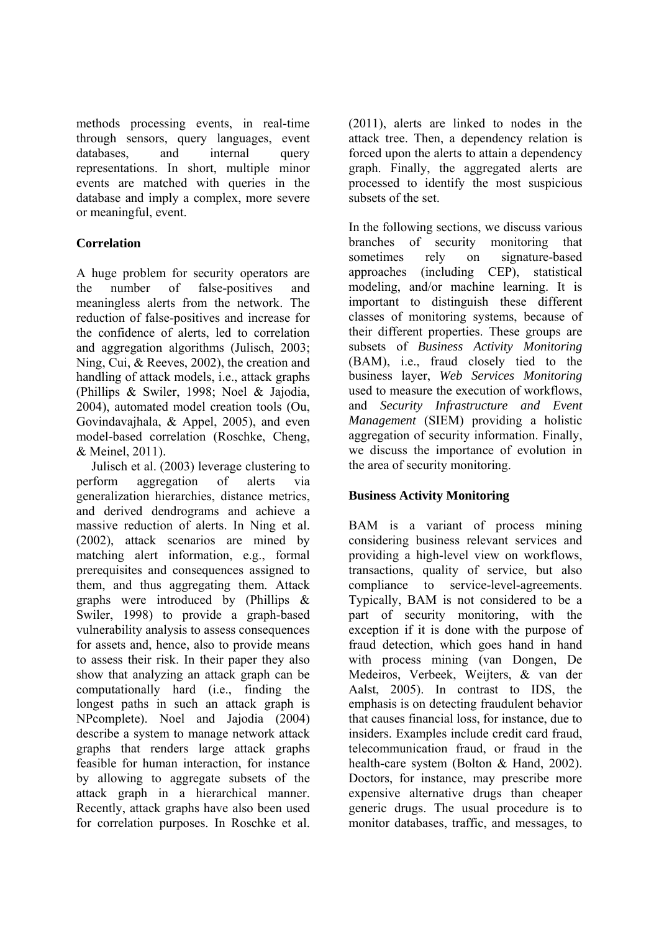methods processing events, in real-time through sensors, query languages, event databases, and internal query representations. In short, multiple minor events are matched with queries in the database and imply a complex, more severe or meaningful, event.

# **Correlation**

A huge problem for security operators are the number of false-positives and meaningless alerts from the network. The reduction of false-positives and increase for the confidence of alerts, led to correlation and aggregation algorithms (Julisch, 2003; Ning, Cui, & Reeves, 2002), the creation and handling of attack models, i.e., attack graphs (Phillips & Swiler, 1998; Noel & Jajodia, 2004), automated model creation tools (Ou, Govindavajhala, & Appel, 2005), and even model-based correlation (Roschke, Cheng, & Meinel, 2011).

Julisch et al. (2003) leverage clustering to perform aggregation of alerts via generalization hierarchies, distance metrics, and derived dendrograms and achieve a massive reduction of alerts. In Ning et al. (2002), attack scenarios are mined by matching alert information, e.g., formal prerequisites and consequences assigned to them, and thus aggregating them. Attack graphs were introduced by (Phillips & Swiler, 1998) to provide a graph-based vulnerability analysis to assess consequences for assets and, hence, also to provide means to assess their risk. In their paper they also show that analyzing an attack graph can be computationally hard (i.e., finding the longest paths in such an attack graph is NPcomplete). Noel and Jajodia (2004) describe a system to manage network attack graphs that renders large attack graphs feasible for human interaction, for instance by allowing to aggregate subsets of the attack graph in a hierarchical manner. Recently, attack graphs have also been used for correlation purposes. In Roschke et al.

(2011), alerts are linked to nodes in the attack tree. Then, a dependency relation is forced upon the alerts to attain a dependency graph. Finally, the aggregated alerts are processed to identify the most suspicious subsets of the set.

In the following sections, we discuss various branches of security monitoring that sometimes rely on signature-based approaches (including CEP), statistical modeling, and/or machine learning. It is important to distinguish these different classes of monitoring systems, because of their different properties. These groups are subsets of *Business Activity Monitoring* (BAM), i.e., fraud closely tied to the business layer, *Web Services Monitoring* used to measure the execution of workflows, and *Security Infrastructure and Event Management* (SIEM) providing a holistic aggregation of security information. Finally, we discuss the importance of evolution in the area of security monitoring.

# **Business Activity Monitoring**

BAM is a variant of process mining considering business relevant services and providing a high-level view on workflows, transactions, quality of service, but also compliance to service-level-agreements. Typically, BAM is not considered to be a part of security monitoring, with the exception if it is done with the purpose of fraud detection, which goes hand in hand with process mining (van Dongen, De Medeiros, Verbeek, Weijters, & van der Aalst, 2005). In contrast to IDS, the emphasis is on detecting fraudulent behavior that causes financial loss, for instance, due to insiders. Examples include credit card fraud, telecommunication fraud, or fraud in the health-care system (Bolton & Hand, 2002). Doctors, for instance, may prescribe more expensive alternative drugs than cheaper generic drugs. The usual procedure is to monitor databases, traffic, and messages, to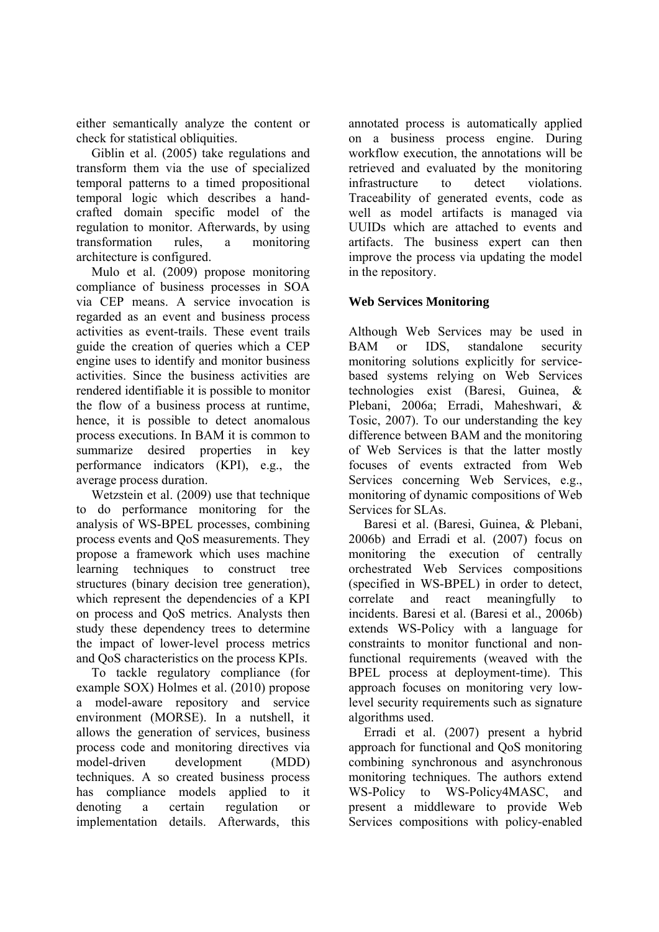either semantically analyze the content or check for statistical obliquities.

Giblin et al. (2005) take regulations and transform them via the use of specialized temporal patterns to a timed propositional temporal logic which describes a handcrafted domain specific model of the regulation to monitor. Afterwards, by using transformation rules, a monitoring architecture is configured.

Mulo et al. (2009) propose monitoring compliance of business processes in SOA via CEP means. A service invocation is regarded as an event and business process activities as event-trails. These event trails guide the creation of queries which a CEP engine uses to identify and monitor business activities. Since the business activities are rendered identifiable it is possible to monitor the flow of a business process at runtime, hence, it is possible to detect anomalous process executions. In BAM it is common to summarize desired properties in key performance indicators (KPI), e.g., the average process duration.

Wetzstein et al. (2009) use that technique to do performance monitoring for the analysis of WS-BPEL processes, combining process events and QoS measurements. They propose a framework which uses machine learning techniques to construct tree structures (binary decision tree generation), which represent the dependencies of a KPI on process and QoS metrics. Analysts then study these dependency trees to determine the impact of lower-level process metrics and QoS characteristics on the process KPIs.

To tackle regulatory compliance (for example SOX) Holmes et al. (2010) propose a model-aware repository and service environment (MORSE). In a nutshell, it allows the generation of services, business process code and monitoring directives via model-driven development (MDD) techniques. A so created business process has compliance models applied to it denoting a certain regulation or implementation details. Afterwards, this

annotated process is automatically applied on a business process engine. During workflow execution, the annotations will be retrieved and evaluated by the monitoring infrastructure to detect violations. Traceability of generated events, code as well as model artifacts is managed via UUIDs which are attached to events and artifacts. The business expert can then improve the process via updating the model in the repository.

# **Web Services Monitoring**

Although Web Services may be used in BAM or IDS standalone security monitoring solutions explicitly for servicebased systems relying on Web Services technologies exist (Baresi, Guinea, & Plebani, 2006a; Erradi, Maheshwari, & Tosic, 2007). To our understanding the key difference between BAM and the monitoring of Web Services is that the latter mostly focuses of events extracted from Web Services concerning Web Services, e.g., monitoring of dynamic compositions of Web Services for SLAs.

Baresi et al. (Baresi, Guinea, & Plebani, 2006b) and Erradi et al. (2007) focus on monitoring the execution of centrally orchestrated Web Services compositions (specified in WS-BPEL) in order to detect, correlate and react meaningfully to incidents. Baresi et al. (Baresi et al., 2006b) extends WS-Policy with a language for constraints to monitor functional and nonfunctional requirements (weaved with the BPEL process at deployment-time). This approach focuses on monitoring very lowlevel security requirements such as signature algorithms used.

Erradi et al. (2007) present a hybrid approach for functional and QoS monitoring combining synchronous and asynchronous monitoring techniques. The authors extend WS-Policy to WS-Policy4MASC, and present a middleware to provide Web Services compositions with policy-enabled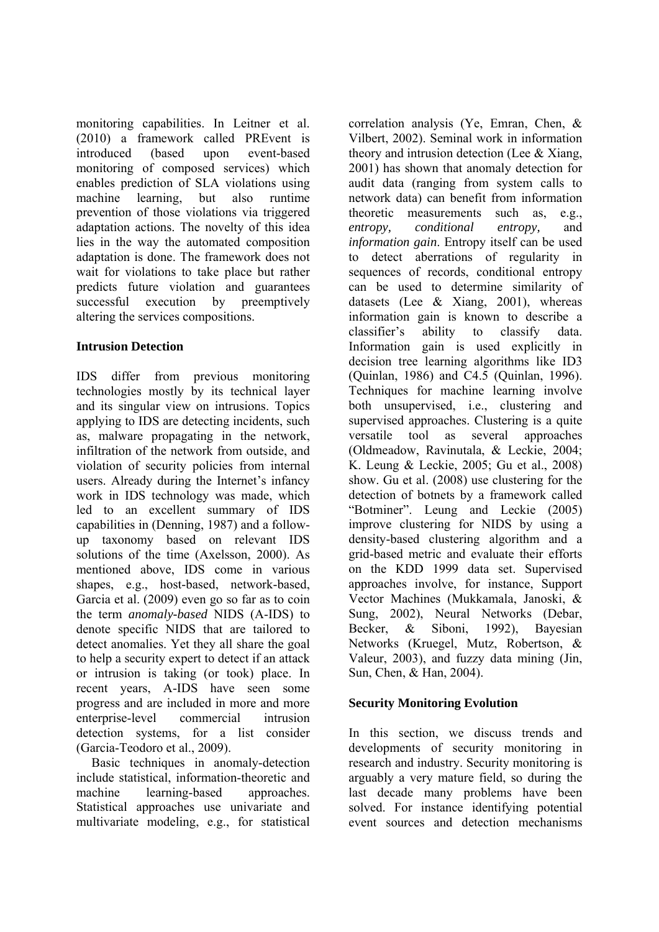monitoring capabilities. In Leitner et al. (2010) a framework called PREvent is introduced (based upon event-based monitoring of composed services) which enables prediction of SLA violations using machine learning, but also runtime prevention of those violations via triggered adaptation actions. The novelty of this idea lies in the way the automated composition adaptation is done. The framework does not wait for violations to take place but rather predicts future violation and guarantees successful execution by preemptively altering the services compositions.

# **Intrusion Detection**

IDS differ from previous monitoring technologies mostly by its technical layer and its singular view on intrusions. Topics applying to IDS are detecting incidents, such as, malware propagating in the network, infiltration of the network from outside, and violation of security policies from internal users. Already during the Internet's infancy work in IDS technology was made, which led to an excellent summary of IDS capabilities in (Denning, 1987) and a followup taxonomy based on relevant IDS solutions of the time (Axelsson, 2000). As mentioned above, IDS come in various shapes, e.g., host-based, network-based, Garcia et al. (2009) even go so far as to coin the term *anomaly-based* NIDS (A-IDS) to denote specific NIDS that are tailored to detect anomalies. Yet they all share the goal to help a security expert to detect if an attack or intrusion is taking (or took) place. In recent years, A-IDS have seen some progress and are included in more and more enterprise-level commercial intrusion detection systems, for a list consider (Garcia-Teodoro et al., 2009).

Basic techniques in anomaly-detection include statistical, information-theoretic and machine learning-based approaches. Statistical approaches use univariate and multivariate modeling, e.g., for statistical

correlation analysis (Ye, Emran, Chen, & Vilbert, 2002). Seminal work in information theory and intrusion detection (Lee & Xiang, 2001) has shown that anomaly detection for audit data (ranging from system calls to network data) can benefit from information theoretic measurements such as, e.g., *entropy, conditional entropy,* and *information gain*. Entropy itself can be used to detect aberrations of regularity in sequences of records, conditional entropy can be used to determine similarity of datasets (Lee & Xiang, 2001), whereas information gain is known to describe a classifier's ability to classify data. Information gain is used explicitly in decision tree learning algorithms like ID3 (Quinlan, 1986) and C4.5 (Quinlan, 1996). Techniques for machine learning involve both unsupervised, i.e., clustering and supervised approaches. Clustering is a quite versatile tool as several approaches (Oldmeadow, Ravinutala, & Leckie, 2004; K. Leung & Leckie, 2005; Gu et al., 2008) show. Gu et al. (2008) use clustering for the detection of botnets by a framework called "Botminer". Leung and Leckie (2005) improve clustering for NIDS by using a density-based clustering algorithm and a grid-based metric and evaluate their efforts on the KDD 1999 data set. Supervised approaches involve, for instance, Support Vector Machines (Mukkamala, Janoski, & Sung, 2002), Neural Networks (Debar, Becker, & Siboni, 1992), Bayesian Networks (Kruegel, Mutz, Robertson, & Valeur, 2003), and fuzzy data mining (Jin, Sun, Chen, & Han, 2004).

# **Security Monitoring Evolution**

In this section, we discuss trends and developments of security monitoring in research and industry. Security monitoring is arguably a very mature field, so during the last decade many problems have been solved. For instance identifying potential event sources and detection mechanisms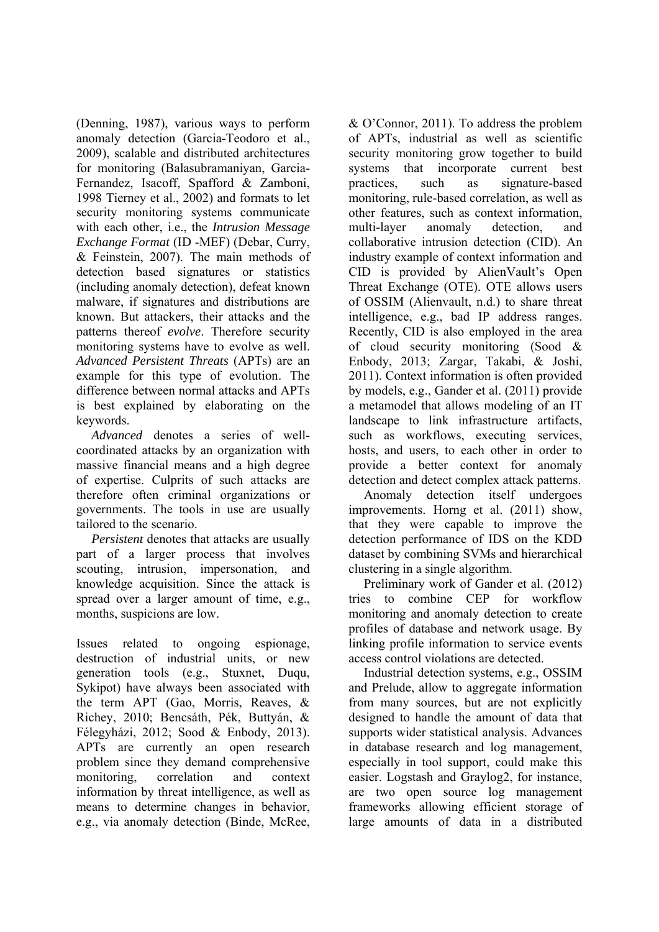(Denning, 1987), various ways to perform anomaly detection (Garcia-Teodoro et al., 2009), scalable and distributed architectures for monitoring (Balasubramaniyan, Garcia-Fernandez, Isacoff, Spafford & Zamboni, 1998 Tierney et al., 2002) and formats to let security monitoring systems communicate with each other, i.e., the *Intrusion Message Exchange Format* (ID -MEF) (Debar, Curry, & Feinstein, 2007). The main methods of detection based signatures or statistics (including anomaly detection), defeat known malware, if signatures and distributions are known. But attackers, their attacks and the patterns thereof *evolve*. Therefore security monitoring systems have to evolve as well. *Advanced Persistent Threats* (APTs) are an example for this type of evolution. The difference between normal attacks and APTs is best explained by elaborating on the keywords.

*Advanced* denotes a series of wellcoordinated attacks by an organization with massive financial means and a high degree of expertise. Culprits of such attacks are therefore often criminal organizations or governments. The tools in use are usually tailored to the scenario.

*Persistent* denotes that attacks are usually part of a larger process that involves scouting, intrusion, impersonation, and knowledge acquisition. Since the attack is spread over a larger amount of time, e.g., months, suspicions are low.

Issues related to ongoing espionage, destruction of industrial units, or new generation tools (e.g., Stuxnet, Duqu, Sykipot) have always been associated with the term APT (Gao, Morris, Reaves, & Richey, 2010; Bencsáth, Pék, Buttyán, & Félegyházi, 2012; Sood & Enbody, 2013). APTs are currently an open research problem since they demand comprehensive monitoring, correlation and context information by threat intelligence, as well as means to determine changes in behavior, e.g., via anomaly detection (Binde, McRee,

& O'Connor, 2011). To address the problem of APTs, industrial as well as scientific security monitoring grow together to build systems that incorporate current best practices, such as signature-based monitoring, rule-based correlation, as well as other features, such as context information, multi-layer anomaly detection, and collaborative intrusion detection (CID). An industry example of context information and CID is provided by AlienVault's Open Threat Exchange (OTE). OTE allows users of OSSIM (Alienvault, n.d.) to share threat intelligence, e.g., bad IP address ranges. Recently, CID is also employed in the area of cloud security monitoring (Sood & Enbody, 2013; Zargar, Takabi, & Joshi, 2011). Context information is often provided by models, e.g., Gander et al. (2011) provide a metamodel that allows modeling of an IT landscape to link infrastructure artifacts, such as workflows, executing services, hosts, and users, to each other in order to provide a better context for anomaly detection and detect complex attack patterns.

Anomaly detection itself undergoes improvements. Horng et al. (2011) show, that they were capable to improve the detection performance of IDS on the KDD dataset by combining SVMs and hierarchical clustering in a single algorithm.

Preliminary work of Gander et al. (2012) tries to combine CEP for workflow monitoring and anomaly detection to create profiles of database and network usage. By linking profile information to service events access control violations are detected.

Industrial detection systems, e.g., OSSIM and Prelude, allow to aggregate information from many sources, but are not explicitly designed to handle the amount of data that supports wider statistical analysis. Advances in database research and log management, especially in tool support, could make this easier. Logstash and Graylog2, for instance, are two open source log management frameworks allowing efficient storage of large amounts of data in a distributed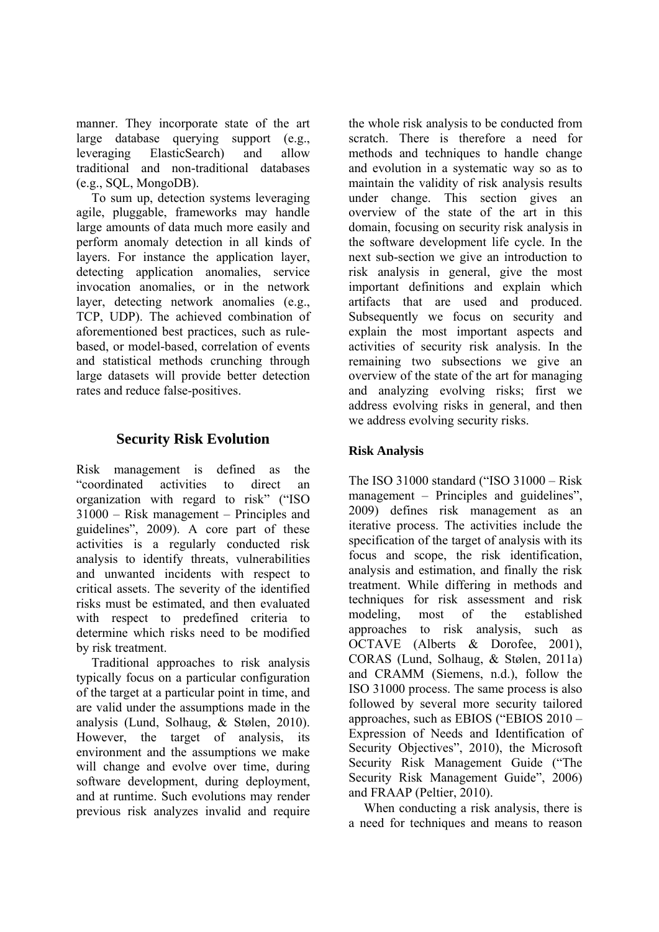manner. They incorporate state of the art large database querying support (e.g., leveraging ElasticSearch) and allow traditional and non-traditional databases (e.g., SQL, MongoDB).

To sum up, detection systems leveraging agile, pluggable, frameworks may handle large amounts of data much more easily and perform anomaly detection in all kinds of layers. For instance the application layer, detecting application anomalies, service invocation anomalies, or in the network layer, detecting network anomalies (e.g., TCP, UDP). The achieved combination of aforementioned best practices, such as rulebased, or model-based, correlation of events and statistical methods crunching through large datasets will provide better detection rates and reduce false-positives.

# **Security Risk Evolution**

Risk management is defined as the "coordinated activities to direct an organization with regard to risk" ("ISO 31000 – Risk management – Principles and guidelines", 2009). A core part of these activities is a regularly conducted risk analysis to identify threats, vulnerabilities and unwanted incidents with respect to critical assets. The severity of the identified risks must be estimated, and then evaluated with respect to predefined criteria to determine which risks need to be modified by risk treatment.

Traditional approaches to risk analysis typically focus on a particular configuration of the target at a particular point in time, and are valid under the assumptions made in the analysis (Lund, Solhaug, & Stølen, 2010). However, the target of analysis, its environment and the assumptions we make will change and evolve over time, during software development, during deployment, and at runtime. Such evolutions may render previous risk analyzes invalid and require

the whole risk analysis to be conducted from scratch. There is therefore a need for methods and techniques to handle change and evolution in a systematic way so as to maintain the validity of risk analysis results under change. This section gives an overview of the state of the art in this domain, focusing on security risk analysis in the software development life cycle. In the next sub-section we give an introduction to risk analysis in general, give the most important definitions and explain which artifacts that are used and produced. Subsequently we focus on security and explain the most important aspects and activities of security risk analysis. In the remaining two subsections we give an overview of the state of the art for managing and analyzing evolving risks; first we address evolving risks in general, and then we address evolving security risks.

# **Risk Analysis**

The ISO 31000 standard ("ISO 31000 – Risk management – Principles and guidelines", 2009) defines risk management as an iterative process. The activities include the specification of the target of analysis with its focus and scope, the risk identification, analysis and estimation, and finally the risk treatment. While differing in methods and techniques for risk assessment and risk modeling, most of the established approaches to risk analysis, such as OCTAVE (Alberts & Dorofee, 2001), CORAS (Lund, Solhaug, & Stølen, 2011a) and CRAMM (Siemens, n.d.), follow the ISO 31000 process. The same process is also followed by several more security tailored approaches, such as EBIOS ("EBIOS 2010 – Expression of Needs and Identification of Security Objectives", 2010), the Microsoft Security Risk Management Guide ("The Security Risk Management Guide", 2006) and FRAAP (Peltier, 2010).

When conducting a risk analysis, there is a need for techniques and means to reason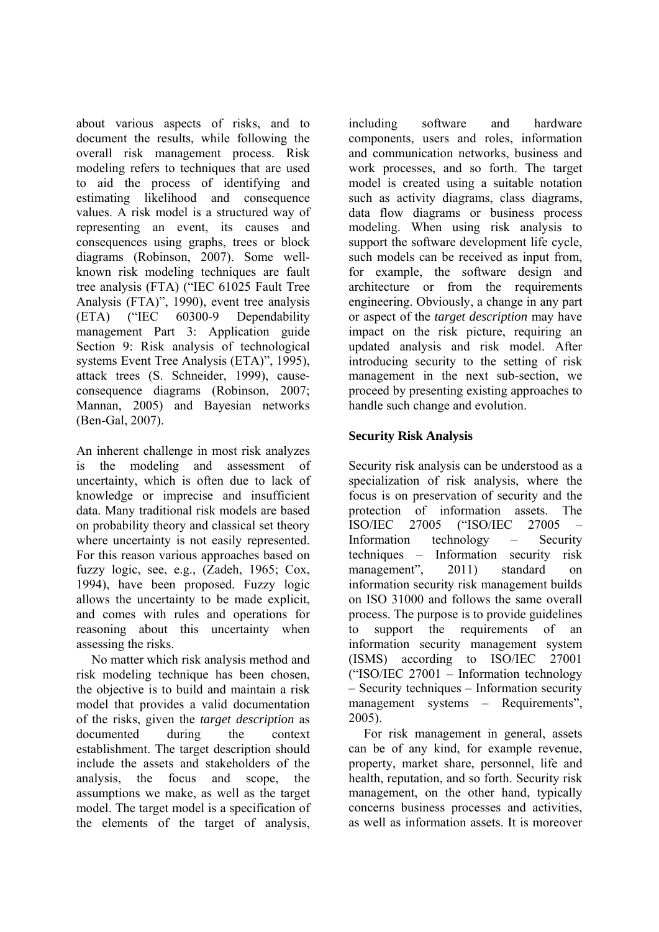about various aspects of risks, and to document the results, while following the overall risk management process. Risk modeling refers to techniques that are used to aid the process of identifying and estimating likelihood and consequence values. A risk model is a structured way of representing an event, its causes and consequences using graphs, trees or block diagrams (Robinson, 2007). Some wellknown risk modeling techniques are fault tree analysis (FTA) ("IEC 61025 Fault Tree Analysis (FTA)", 1990), event tree analysis (ETA) ("IEC 60300-9 Dependability management Part 3: Application guide Section 9: Risk analysis of technological systems Event Tree Analysis (ETA)", 1995), attack trees (S. Schneider, 1999), causeconsequence diagrams (Robinson, 2007; Mannan, 2005) and Bayesian networks (Ben-Gal, 2007).

An inherent challenge in most risk analyzes is the modeling and assessment of uncertainty, which is often due to lack of knowledge or imprecise and insufficient data. Many traditional risk models are based on probability theory and classical set theory where uncertainty is not easily represented. For this reason various approaches based on fuzzy logic, see, e.g., (Zadeh, 1965; Cox, 1994), have been proposed. Fuzzy logic allows the uncertainty to be made explicit, and comes with rules and operations for reasoning about this uncertainty when assessing the risks.

No matter which risk analysis method and risk modeling technique has been chosen, the objective is to build and maintain a risk model that provides a valid documentation of the risks, given the *target description* as documented during the context establishment. The target description should include the assets and stakeholders of the analysis, the focus and scope, the assumptions we make, as well as the target model. The target model is a specification of the elements of the target of analysis,

including software and hardware components, users and roles, information and communication networks, business and work processes, and so forth. The target model is created using a suitable notation such as activity diagrams, class diagrams, data flow diagrams or business process modeling. When using risk analysis to support the software development life cycle, such models can be received as input from, for example, the software design and architecture or from the requirements engineering. Obviously, a change in any part or aspect of the *target description* may have impact on the risk picture, requiring an updated analysis and risk model. After introducing security to the setting of risk management in the next sub-section, we proceed by presenting existing approaches to handle such change and evolution.

### **Security Risk Analysis**

Security risk analysis can be understood as a specialization of risk analysis, where the focus is on preservation of security and the protection of information assets. The ISO/IEC 27005 ("ISO/IEC 27005 – Information technology – Security techniques – Information security risk management", 2011) standard on information security risk management builds on ISO 31000 and follows the same overall process. The purpose is to provide guidelines to support the requirements of an information security management system (ISMS) according to ISO/IEC 27001 ("ISO/IEC 27001 – Information technology – Security techniques – Information security management systems – Requirements", 2005).

For risk management in general, assets can be of any kind, for example revenue, property, market share, personnel, life and health, reputation, and so forth. Security risk management, on the other hand, typically concerns business processes and activities as well as information assets. It is moreover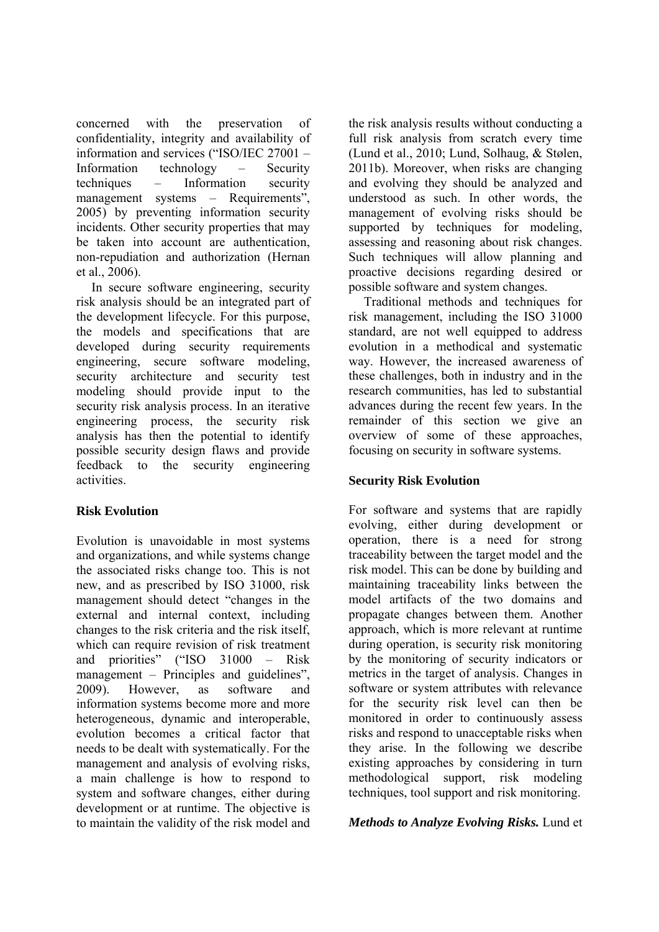concerned with the preservation of confidentiality, integrity and availability of information and services ("ISO/IEC 27001 – Information technology – Security techniques – Information security management systems – Requirements", 2005) by preventing information security incidents. Other security properties that may be taken into account are authentication, non-repudiation and authorization (Hernan et al., 2006).

In secure software engineering, security risk analysis should be an integrated part of the development lifecycle. For this purpose, the models and specifications that are developed during security requirements engineering, secure software modeling, security architecture and security test modeling should provide input to the security risk analysis process. In an iterative engineering process, the security risk analysis has then the potential to identify possible security design flaws and provide feedback to the security engineering activities.

# **Risk Evolution**

Evolution is unavoidable in most systems and organizations, and while systems change the associated risks change too. This is not new, and as prescribed by ISO 31000, risk management should detect "changes in the external and internal context, including changes to the risk criteria and the risk itself, which can require revision of risk treatment and priorities" ("ISO 31000 – Risk management – Principles and guidelines", 2009). However, as software and information systems become more and more heterogeneous, dynamic and interoperable, evolution becomes a critical factor that needs to be dealt with systematically. For the management and analysis of evolving risks, a main challenge is how to respond to system and software changes, either during development or at runtime. The objective is to maintain the validity of the risk model and

the risk analysis results without conducting a full risk analysis from scratch every time (Lund et al., 2010; Lund, Solhaug, & Stølen, 2011b). Moreover, when risks are changing and evolving they should be analyzed and understood as such. In other words, the management of evolving risks should be supported by techniques for modeling, assessing and reasoning about risk changes. Such techniques will allow planning and proactive decisions regarding desired or possible software and system changes.

Traditional methods and techniques for risk management, including the ISO 31000 standard, are not well equipped to address evolution in a methodical and systematic way. However, the increased awareness of these challenges, both in industry and in the research communities, has led to substantial advances during the recent few years. In the remainder of this section we give an overview of some of these approaches, focusing on security in software systems.

#### **Security Risk Evolution**

For software and systems that are rapidly evolving, either during development or operation, there is a need for strong traceability between the target model and the risk model. This can be done by building and maintaining traceability links between the model artifacts of the two domains and propagate changes between them. Another approach, which is more relevant at runtime during operation, is security risk monitoring by the monitoring of security indicators or metrics in the target of analysis. Changes in software or system attributes with relevance for the security risk level can then be monitored in order to continuously assess risks and respond to unacceptable risks when they arise. In the following we describe existing approaches by considering in turn methodological support, risk modeling techniques, tool support and risk monitoring.

*Methods to Analyze Evolving Risks.* Lund et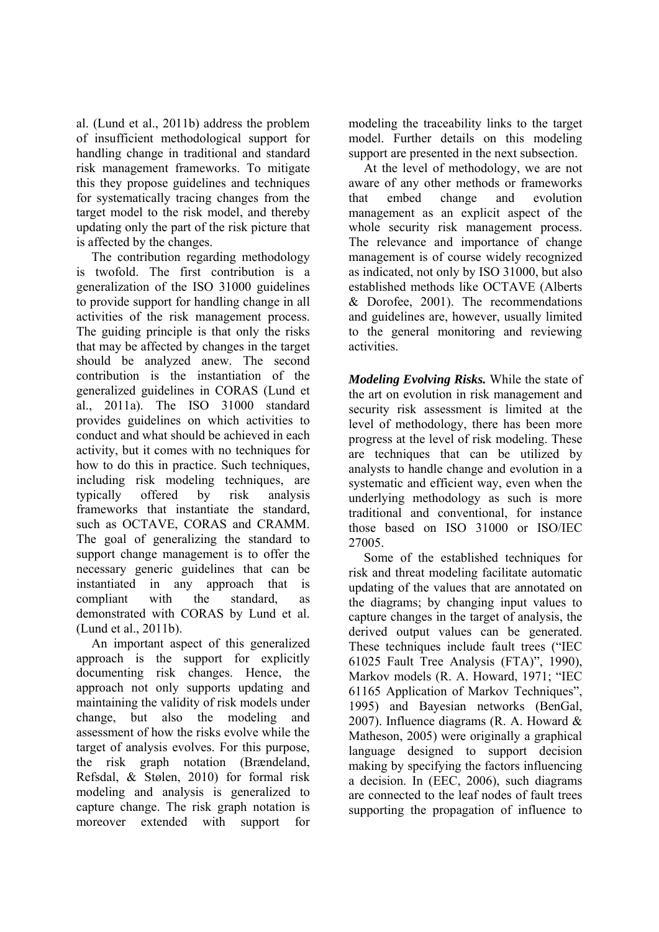al. (Lund et al., 2011b) address the problem of insufficient methodological support for handling change in traditional and standard risk management frameworks. To mitigate this they propose guidelines and techniques for systematically tracing changes from the target model to the risk model, and thereby updating only the part of the risk picture that is affected by the changes.

The contribution regarding methodology is twofold. The first contribution is a generalization of the ISO 31000 guidelines to provide support for handling change in all activities of the risk management process. The guiding principle is that only the risks that may be affected by changes in the target should be analyzed anew. The second contribution is the instantiation of the generalized guidelines in CORAS (Lund et al., 2011a). The ISO 31000 standard provides guidelines on which activities to conduct and what should be achieved in each activity, but it comes with no techniques for how to do this in practice. Such techniques, including risk modeling techniques, are typically offered by risk analysis frameworks that instantiate the standard, such as OCTAVE, CORAS and CRAMM. The goal of generalizing the standard to support change management is to offer the necessary generic guidelines that can be instantiated in any approach that is compliant with the standard, as demonstrated with CORAS by Lund et al. (Lund et al., 2011b).

An important aspect of this generalized approach is the support for explicitly documenting risk changes. Hence, the approach not only supports updating and maintaining the validity of risk models under change, but also the modeling and assessment of how the risks evolve while the target of analysis evolves. For this purpose, the risk graph notation (Brændeland, Refsdal, & Stølen, 2010) for formal risk modeling and analysis is generalized to capture change. The risk graph notation is moreover extended with support for

modeling the traceability links to the target model. Further details on this modeling support are presented in the next subsection.

At the level of methodology, we are not aware of any other methods or frameworks that embed change and evolution management as an explicit aspect of the whole security risk management process. The relevance and importance of change management is of course widely recognized as indicated, not only by ISO 31000, but also established methods like OCTAVE (Alberts & Dorofee, 2001). The recommendations and guidelines are, however, usually limited to the general monitoring and reviewing activities.

*Modeling Evolving Risks.* While the state of the art on evolution in risk management and security risk assessment is limited at the level of methodology, there has been more progress at the level of risk modeling. These are techniques that can be utilized by analysts to handle change and evolution in a systematic and efficient way, even when the underlying methodology as such is more traditional and conventional, for instance those based on ISO 31000 or ISO/IEC 27005.

Some of the established techniques for risk and threat modeling facilitate automatic updating of the values that are annotated on the diagrams; by changing input values to capture changes in the target of analysis, the derived output values can be generated. These techniques include fault trees ("IEC 61025 Fault Tree Analysis (FTA)", 1990), Markov models (R. A. Howard, 1971; "IEC 61165 Application of Markov Techniques", 1995) and Bayesian networks (BenGal, 2007). Influence diagrams  $(R, A, H$ oward  $\&$ Matheson, 2005) were originally a graphical language designed to support decision making by specifying the factors influencing a decision. In (EEC, 2006), such diagrams are connected to the leaf nodes of fault trees supporting the propagation of influence to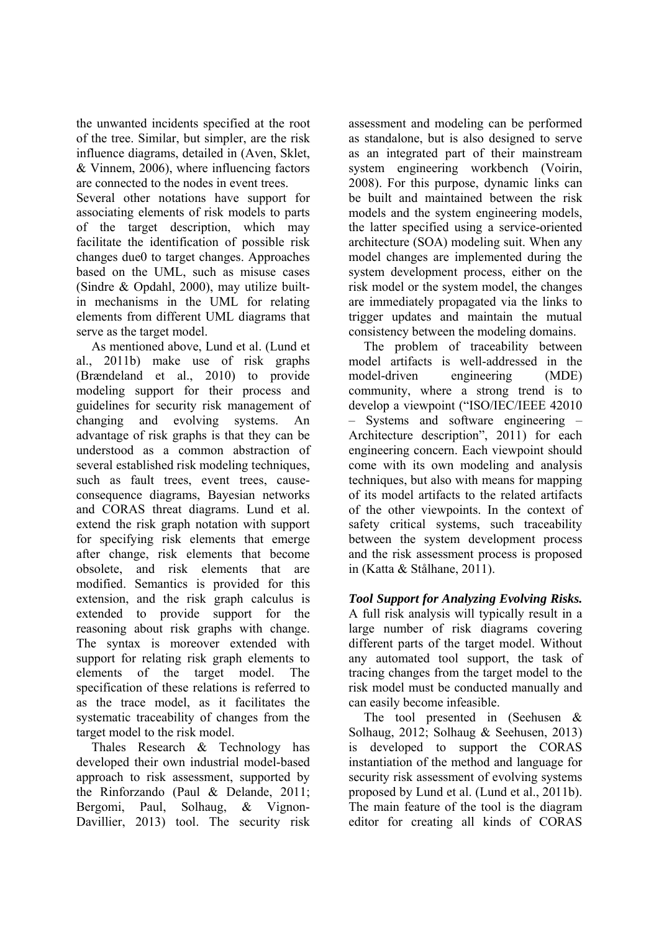the unwanted incidents specified at the root of the tree. Similar, but simpler, are the risk influence diagrams, detailed in (Aven, Sklet, & Vinnem, 2006), where influencing factors are connected to the nodes in event trees.

Several other notations have support for associating elements of risk models to parts of the target description, which may facilitate the identification of possible risk changes due0 to target changes. Approaches based on the UML, such as misuse cases (Sindre & Opdahl, 2000), may utilize builtin mechanisms in the UML for relating elements from different UML diagrams that serve as the target model.

As mentioned above, Lund et al. (Lund et al., 2011b) make use of risk graphs (Brændeland et al., 2010) to provide modeling support for their process and guidelines for security risk management of changing and evolving systems. An advantage of risk graphs is that they can be understood as a common abstraction of several established risk modeling techniques, such as fault trees, event trees, causeconsequence diagrams, Bayesian networks and CORAS threat diagrams. Lund et al. extend the risk graph notation with support for specifying risk elements that emerge after change, risk elements that become obsolete, and risk elements that are modified. Semantics is provided for this extension, and the risk graph calculus is extended to provide support for the reasoning about risk graphs with change. The syntax is moreover extended with support for relating risk graph elements to elements of the target model. The specification of these relations is referred to as the trace model, as it facilitates the systematic traceability of changes from the target model to the risk model.

Thales Research & Technology has developed their own industrial model-based approach to risk assessment, supported by the Rinforzando (Paul & Delande, 2011; Bergomi, Paul, Solhaug, & Vignon-Davillier, 2013) tool. The security risk

assessment and modeling can be performed as standalone, but is also designed to serve as an integrated part of their mainstream system engineering workbench (Voirin, 2008). For this purpose, dynamic links can be built and maintained between the risk models and the system engineering models, the latter specified using a service-oriented architecture (SOA) modeling suit. When any model changes are implemented during the system development process, either on the risk model or the system model, the changes are immediately propagated via the links to trigger updates and maintain the mutual consistency between the modeling domains.

The problem of traceability between model artifacts is well-addressed in the model-driven engineering (MDE) community, where a strong trend is to develop a viewpoint ("ISO/IEC/IEEE 42010 – Systems and software engineering – Architecture description", 2011) for each engineering concern. Each viewpoint should come with its own modeling and analysis techniques, but also with means for mapping of its model artifacts to the related artifacts of the other viewpoints. In the context of safety critical systems, such traceability between the system development process and the risk assessment process is proposed in (Katta & Stålhane, 2011).

*Tool Support for Analyzing Evolving Risks.*  A full risk analysis will typically result in a large number of risk diagrams covering different parts of the target model. Without any automated tool support, the task of tracing changes from the target model to the risk model must be conducted manually and can easily become infeasible.

The tool presented in (Seehusen & Solhaug, 2012; Solhaug & Seehusen, 2013) is developed to support the CORAS instantiation of the method and language for security risk assessment of evolving systems proposed by Lund et al. (Lund et al., 2011b). The main feature of the tool is the diagram editor for creating all kinds of CORAS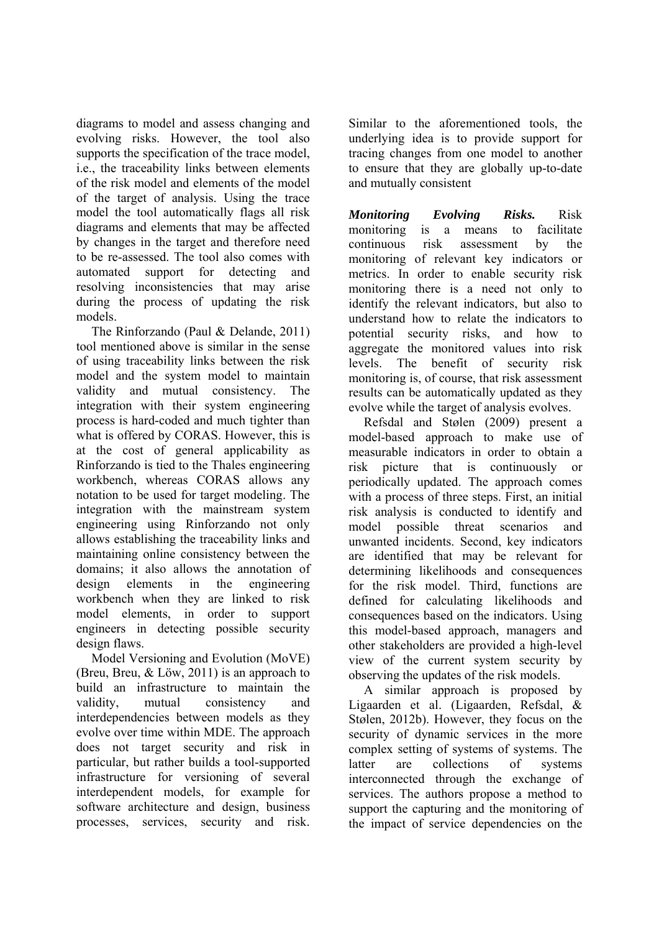diagrams to model and assess changing and evolving risks. However, the tool also supports the specification of the trace model, i.e., the traceability links between elements of the risk model and elements of the model of the target of analysis. Using the trace model the tool automatically flags all risk diagrams and elements that may be affected by changes in the target and therefore need to be re-assessed. The tool also comes with automated support for detecting and resolving inconsistencies that may arise during the process of updating the risk models.

The Rinforzando (Paul & Delande, 2011) tool mentioned above is similar in the sense of using traceability links between the risk model and the system model to maintain validity and mutual consistency. The integration with their system engineering process is hard-coded and much tighter than what is offered by CORAS. However, this is at the cost of general applicability as Rinforzando is tied to the Thales engineering workbench, whereas CORAS allows any notation to be used for target modeling. The integration with the mainstream system engineering using Rinforzando not only allows establishing the traceability links and maintaining online consistency between the domains; it also allows the annotation of design elements in the engineering workbench when they are linked to risk model elements, in order to support engineers in detecting possible security design flaws.

Model Versioning and Evolution (MoVE) (Breu, Breu, & Löw, 2011) is an approach to build an infrastructure to maintain the validity, mutual consistency and interdependencies between models as they evolve over time within MDE. The approach does not target security and risk in particular, but rather builds a tool-supported infrastructure for versioning of several interdependent models, for example for software architecture and design, business processes, services, security and risk.

Similar to the aforementioned tools, the underlying idea is to provide support for tracing changes from one model to another to ensure that they are globally up-to-date and mutually consistent

*Monitoring Evolving Risks.* Risk monitoring is a means to facilitate continuous risk assessment by the monitoring of relevant key indicators or metrics. In order to enable security risk monitoring there is a need not only to identify the relevant indicators, but also to understand how to relate the indicators to potential security risks, and how to aggregate the monitored values into risk levels. The benefit of security risk monitoring is, of course, that risk assessment results can be automatically updated as they evolve while the target of analysis evolves.

Refsdal and Stølen (2009) present a model-based approach to make use of measurable indicators in order to obtain a risk picture that is continuously or periodically updated. The approach comes with a process of three steps. First, an initial risk analysis is conducted to identify and model possible threat scenarios and unwanted incidents. Second, key indicators are identified that may be relevant for determining likelihoods and consequences for the risk model. Third, functions are defined for calculating likelihoods and consequences based on the indicators. Using this model-based approach, managers and other stakeholders are provided a high-level view of the current system security by observing the updates of the risk models.

A similar approach is proposed by Ligaarden et al. (Ligaarden, Refsdal, & Stølen, 2012b). However, they focus on the security of dynamic services in the more complex setting of systems of systems. The latter are collections of systems interconnected through the exchange of services. The authors propose a method to support the capturing and the monitoring of the impact of service dependencies on the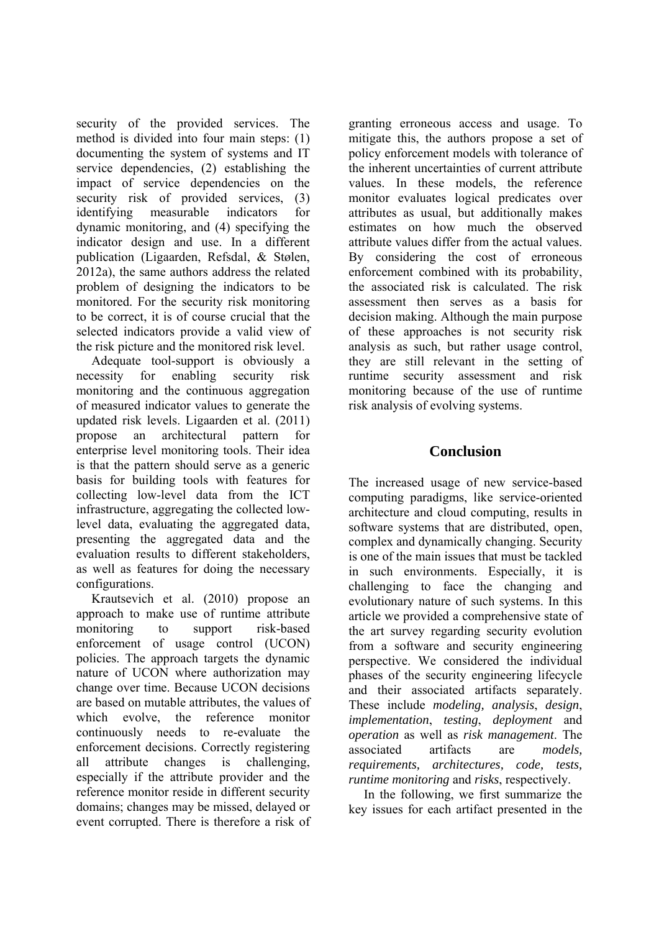security of the provided services. The method is divided into four main steps: (1) documenting the system of systems and IT service dependencies, (2) establishing the impact of service dependencies on the security risk of provided services, (3) identifying measurable indicators for dynamic monitoring, and (4) specifying the indicator design and use. In a different publication (Ligaarden, Refsdal, & Stølen, 2012a), the same authors address the related problem of designing the indicators to be monitored. For the security risk monitoring to be correct, it is of course crucial that the selected indicators provide a valid view of the risk picture and the monitored risk level.

Adequate tool-support is obviously a necessity for enabling security risk monitoring and the continuous aggregation of measured indicator values to generate the updated risk levels. Ligaarden et al. (2011) propose an architectural pattern for enterprise level monitoring tools. Their idea is that the pattern should serve as a generic basis for building tools with features for collecting low-level data from the ICT infrastructure, aggregating the collected lowlevel data, evaluating the aggregated data, presenting the aggregated data and the evaluation results to different stakeholders, as well as features for doing the necessary configurations.

Krautsevich et al. (2010) propose an approach to make use of runtime attribute monitoring to support risk-based enforcement of usage control (UCON) policies. The approach targets the dynamic nature of UCON where authorization may change over time. Because UCON decisions are based on mutable attributes, the values of which evolve, the reference monitor continuously needs to re-evaluate the enforcement decisions. Correctly registering all attribute changes is challenging, especially if the attribute provider and the reference monitor reside in different security domains; changes may be missed, delayed or event corrupted. There is therefore a risk of

granting erroneous access and usage. To mitigate this, the authors propose a set of policy enforcement models with tolerance of the inherent uncertainties of current attribute values. In these models, the reference monitor evaluates logical predicates over attributes as usual, but additionally makes estimates on how much the observed attribute values differ from the actual values. By considering the cost of erroneous enforcement combined with its probability, the associated risk is calculated. The risk assessment then serves as a basis for decision making. Although the main purpose of these approaches is not security risk analysis as such, but rather usage control, they are still relevant in the setting of runtime security assessment and risk monitoring because of the use of runtime risk analysis of evolving systems.

# **Conclusion**

The increased usage of new service-based computing paradigms, like service-oriented architecture and cloud computing, results in software systems that are distributed, open, complex and dynamically changing. Security is one of the main issues that must be tackled in such environments. Especially, it is challenging to face the changing and evolutionary nature of such systems. In this article we provided a comprehensive state of the art survey regarding security evolution from a software and security engineering perspective. We considered the individual phases of the security engineering lifecycle and their associated artifacts separately. These include *modeling, analysis*, *design*, *implementation*, *testing*, *deployment* and *operation* as well as *risk management*. The associated artifacts are *models, requirements, architectures, code, tests, runtime monitoring* and *risks*, respectively.

In the following, we first summarize the key issues for each artifact presented in the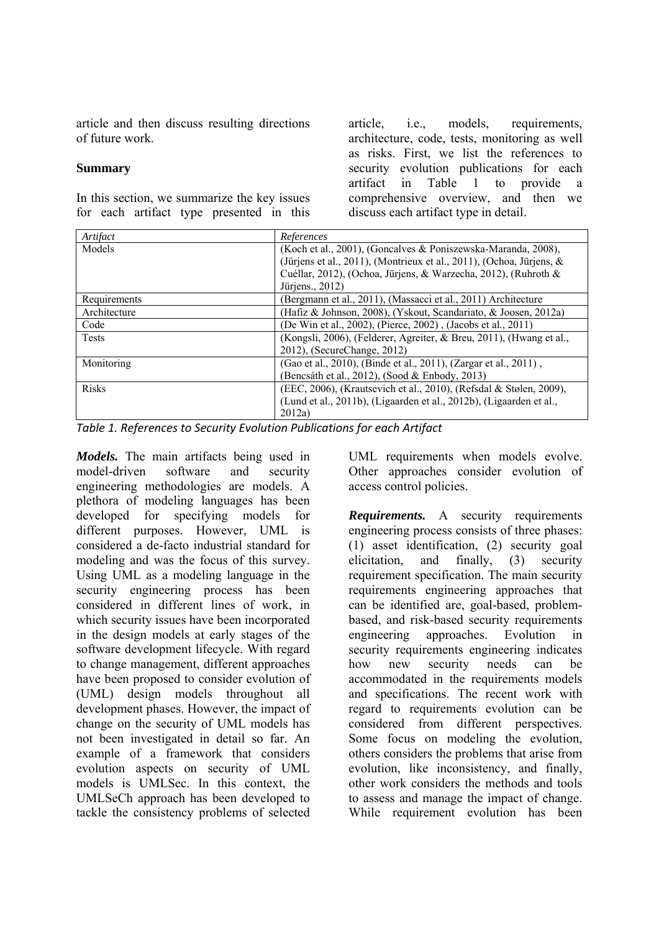article and then discuss resulting directions of future work.

#### **Summary**

In this section, we summarize the key issues for each artifact type presented in this article, i.e., models, requirements, architecture, code, tests, monitoring as well as risks. First, we list the references to security evolution publications for each artifact in Table 1 to provide a comprehensive overview, and then we discuss each artifact type in detail.

| Artifact     | References                                                           |
|--------------|----------------------------------------------------------------------|
| Models       | (Koch et al., 2001), (Goncalves & Poniszewska-Maranda, 2008),        |
|              | (Jürjens et al., 2011), (Montrieux et al., 2011), (Ochoa, Jürjens, & |
|              | Cuéllar, 2012), (Ochoa, Jürjens, & Warzecha, 2012), (Ruhroth &       |
|              | Jürjens., 2012)                                                      |
| Requirements | (Bergmann et al., 2011), (Massacci et al., 2011) Architecture        |
| Architecture | (Hafiz & Johnson, 2008), (Yskout, Scandariato, & Joosen, 2012a)      |
| Code         | (De Win et al., 2002), (Pierce, 2002), (Jacobs et al., 2011)         |
| <b>Tests</b> | (Kongsli, 2006), (Felderer, Agreiter, & Breu, 2011), (Hwang et al.,  |
|              | 2012), (SecureChange, 2012)                                          |
| Monitoring   | (Gao et al., 2010), (Binde et al., 2011), (Zargar et al., 2011),     |
|              | (Bencsáth et al., 2012), (Sood & Enbody, 2013)                       |
| <b>Risks</b> | (EEC, 2006), (Krautsevich et al., 2010), (Refsdal & Stølen, 2009),   |
|              | (Lund et al., 2011b), (Ligaarden et al., 2012b), (Ligaarden et al.,  |
|              | 2012a                                                                |

*Table 1. References to Security Evolution Publications for each Artifact*

*Models.* The main artifacts being used in model-driven software and security engineering methodologies are models. A plethora of modeling languages has been developed for specifying models for different purposes. However, UML is considered a de-facto industrial standard for modeling and was the focus of this survey. Using UML as a modeling language in the security engineering process has been considered in different lines of work, in which security issues have been incorporated in the design models at early stages of the software development lifecycle. With regard to change management, different approaches have been proposed to consider evolution of (UML) design models throughout all development phases. However, the impact of change on the security of UML models has not been investigated in detail so far. An example of a framework that considers evolution aspects on security of UML models is UMLSec. In this context, the UMLSeCh approach has been developed to tackle the consistency problems of selected

UML requirements when models evolve. Other approaches consider evolution of access control policies.

*Requirements.* A security requirements engineering process consists of three phases: (1) asset identification, (2) security goal elicitation, and finally, (3) security requirement specification. The main security requirements engineering approaches that can be identified are, goal-based, problembased, and risk-based security requirements engineering approaches. Evolution in security requirements engineering indicates how new security needs can be accommodated in the requirements models and specifications. The recent work with regard to requirements evolution can be considered from different perspectives. Some focus on modeling the evolution, others considers the problems that arise from evolution, like inconsistency, and finally, other work considers the methods and tools to assess and manage the impact of change. While requirement evolution has been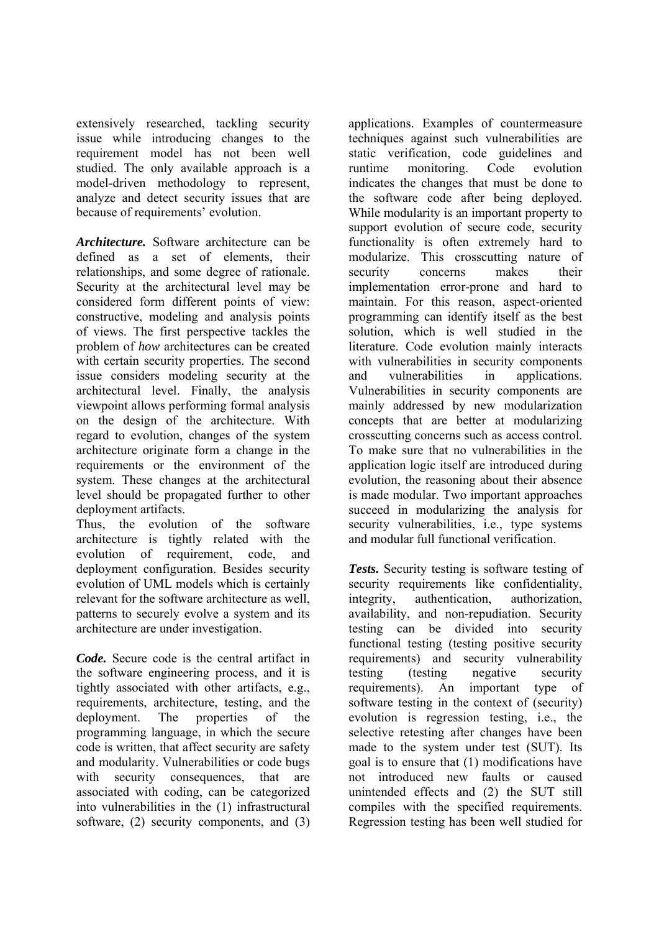extensively researched, tackling security issue while introducing changes to the requirement model has not been well studied. The only available approach is a model-driven methodology to represent, analyze and detect security issues that are because of requirements' evolution.

*Architecture.* Software architecture can be defined as a set of elements, their relationships, and some degree of rationale. Security at the architectural level may be considered form different points of view: constructive, modeling and analysis points of views. The first perspective tackles the problem of *how* architectures can be created with certain security properties. The second issue considers modeling security at the architectural level. Finally, the analysis viewpoint allows performing formal analysis on the design of the architecture. With regard to evolution, changes of the system architecture originate form a change in the requirements or the environment of the system. These changes at the architectural level should be propagated further to other deployment artifacts.

Thus, the evolution of the software architecture is tightly related with the evolution of requirement, code, and deployment configuration. Besides security evolution of UML models which is certainly relevant for the software architecture as well, patterns to securely evolve a system and its architecture are under investigation.

*Code.* Secure code is the central artifact in the software engineering process, and it is tightly associated with other artifacts, e.g., requirements, architecture, testing, and the deployment. The properties of the programming language, in which the secure code is written, that affect security are safety and modularity. Vulnerabilities or code bugs with security consequences, that are associated with coding, can be categorized into vulnerabilities in the (1) infrastructural software, (2) security components, and (3)

applications. Examples of countermeasure techniques against such vulnerabilities are static verification, code guidelines and runtime monitoring. Code evolution indicates the changes that must be done to the software code after being deployed. While modularity is an important property to support evolution of secure code, security functionality is often extremely hard to modularize. This crosscutting nature of security concerns makes their implementation error-prone and hard to maintain. For this reason, aspect-oriented programming can identify itself as the best solution, which is well studied in the literature. Code evolution mainly interacts with vulnerabilities in security components and vulnerabilities in applications. Vulnerabilities in security components are mainly addressed by new modularization concepts that are better at modularizing crosscutting concerns such as access control. To make sure that no vulnerabilities in the application logic itself are introduced during evolution, the reasoning about their absence is made modular. Two important approaches succeed in modularizing the analysis for security vulnerabilities, *i.e.*, type systems and modular full functional verification.

*Tests.* Security testing is software testing of security requirements like confidentiality, integrity, authentication, authorization, availability, and non-repudiation. Security testing can be divided into security functional testing (testing positive security requirements) and security vulnerability testing (testing negative security requirements). An important type of software testing in the context of (security) evolution is regression testing, i.e., the selective retesting after changes have been made to the system under test (SUT). Its goal is to ensure that (1) modifications have not introduced new faults or caused unintended effects and (2) the SUT still compiles with the specified requirements. Regression testing has been well studied for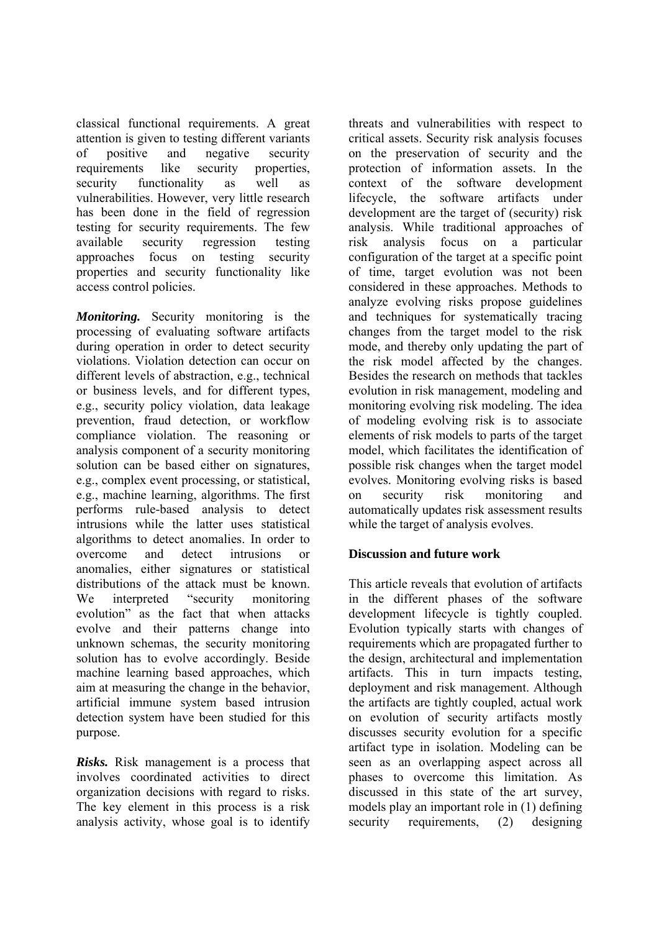classical functional requirements. A great attention is given to testing different variants of positive and negative security requirements like security properties, security functionality as well as vulnerabilities. However, very little research has been done in the field of regression testing for security requirements. The few available security regression testing approaches focus on testing security properties and security functionality like access control policies.

*Monitoring.* Security monitoring is the processing of evaluating software artifacts during operation in order to detect security violations. Violation detection can occur on different levels of abstraction, e.g., technical or business levels, and for different types, e.g., security policy violation, data leakage prevention, fraud detection, or workflow compliance violation. The reasoning or analysis component of a security monitoring solution can be based either on signatures, e.g., complex event processing, or statistical, e.g., machine learning, algorithms. The first performs rule-based analysis to detect intrusions while the latter uses statistical algorithms to detect anomalies. In order to overcome and detect intrusions or anomalies, either signatures or statistical distributions of the attack must be known. We interpreted "security monitoring evolution" as the fact that when attacks evolve and their patterns change into unknown schemas, the security monitoring solution has to evolve accordingly. Beside machine learning based approaches, which aim at measuring the change in the behavior, artificial immune system based intrusion detection system have been studied for this purpose.

*Risks.* Risk management is a process that involves coordinated activities to direct organization decisions with regard to risks. The key element in this process is a risk analysis activity, whose goal is to identify

threats and vulnerabilities with respect to critical assets. Security risk analysis focuses on the preservation of security and the protection of information assets. In the context of the software development lifecycle, the software artifacts under development are the target of (security) risk analysis. While traditional approaches of risk analysis focus on a particular configuration of the target at a specific point of time, target evolution was not been considered in these approaches. Methods to analyze evolving risks propose guidelines and techniques for systematically tracing changes from the target model to the risk mode, and thereby only updating the part of the risk model affected by the changes. Besides the research on methods that tackles evolution in risk management, modeling and monitoring evolving risk modeling. The idea of modeling evolving risk is to associate elements of risk models to parts of the target model, which facilitates the identification of possible risk changes when the target model evolves. Monitoring evolving risks is based on security risk monitoring and automatically updates risk assessment results while the target of analysis evolves.

# **Discussion and future work**

This article reveals that evolution of artifacts in the different phases of the software development lifecycle is tightly coupled. Evolution typically starts with changes of requirements which are propagated further to the design, architectural and implementation artifacts. This in turn impacts testing, deployment and risk management. Although the artifacts are tightly coupled, actual work on evolution of security artifacts mostly discusses security evolution for a specific artifact type in isolation. Modeling can be seen as an overlapping aspect across all phases to overcome this limitation. As discussed in this state of the art survey, models play an important role in (1) defining security requirements, (2) designing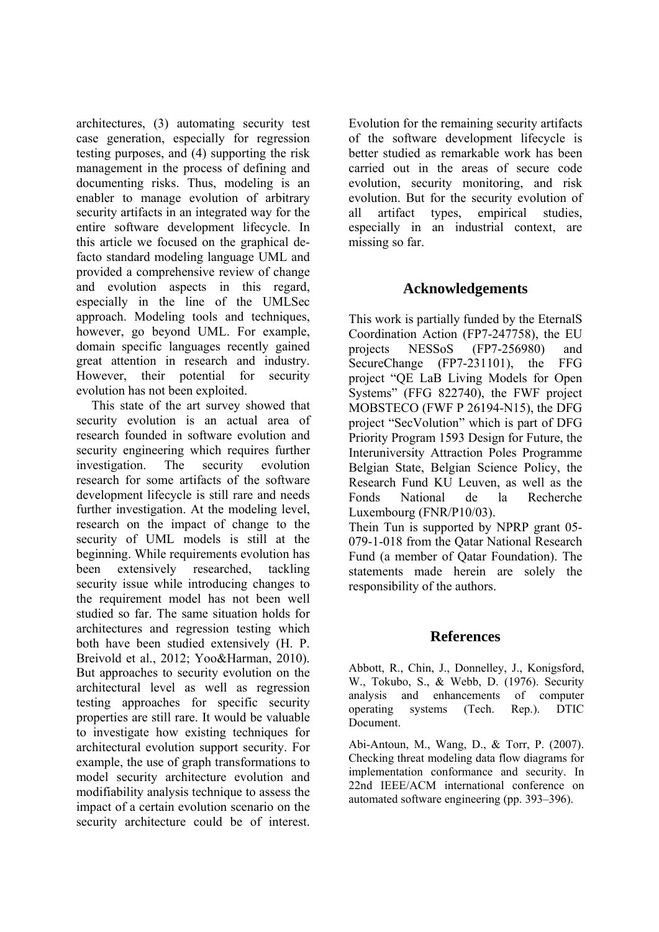architectures, (3) automating security test case generation, especially for regression testing purposes, and (4) supporting the risk management in the process of defining and documenting risks. Thus, modeling is an enabler to manage evolution of arbitrary security artifacts in an integrated way for the entire software development lifecycle. In this article we focused on the graphical defacto standard modeling language UML and provided a comprehensive review of change and evolution aspects in this regard, especially in the line of the UMLSec approach. Modeling tools and techniques, however, go beyond UML. For example, domain specific languages recently gained great attention in research and industry. However, their potential for security evolution has not been exploited.

This state of the art survey showed that security evolution is an actual area of research founded in software evolution and security engineering which requires further investigation. The security evolution research for some artifacts of the software development lifecycle is still rare and needs further investigation. At the modeling level, research on the impact of change to the security of UML models is still at the beginning. While requirements evolution has been extensively researched, tackling security issue while introducing changes to the requirement model has not been well studied so far. The same situation holds for architectures and regression testing which both have been studied extensively (H. P. Breivold et al., 2012; Yoo&Harman, 2010). But approaches to security evolution on the architectural level as well as regression testing approaches for specific security properties are still rare. It would be valuable to investigate how existing techniques for architectural evolution support security. For example, the use of graph transformations to model security architecture evolution and modifiability analysis technique to assess the impact of a certain evolution scenario on the security architecture could be of interest.

Evolution for the remaining security artifacts of the software development lifecycle is better studied as remarkable work has been carried out in the areas of secure code evolution, security monitoring, and risk evolution. But for the security evolution of all artifact types, empirical studies, especially in an industrial context, are missing so far.

# **Acknowledgements**

This work is partially funded by the EternalS Coordination Action (FP7-247758), the EU projects NESSoS (FP7-256980) and SecureChange (FP7-231101), the FFG project "QE LaB Living Models for Open Systems" (FFG 822740), the FWF project MOBSTECO (FWF P 26194-N15), the DFG project "SecVolution" which is part of DFG Priority Program 1593 Design for Future, the Interuniversity Attraction Poles Programme Belgian State, Belgian Science Policy, the Research Fund KU Leuven, as well as the Fonds National de la Recherche Luxembourg (FNR/P10/03).

Thein Tun is supported by NPRP grant 05- 079-1-018 from the Qatar National Research Fund (a member of Qatar Foundation). The statements made herein are solely the responsibility of the authors.

# **References**

Abbott, R., Chin, J., Donnelley, J., Konigsford, W., Tokubo, S., & Webb, D. (1976). Security analysis and enhancements of computer operating systems (Tech. Rep.). DTIC Document.

Abi-Antoun, M., Wang, D., & Torr, P. (2007). Checking threat modeling data flow diagrams for implementation conformance and security. In 22nd IEEE/ACM international conference on automated software engineering (pp. 393–396).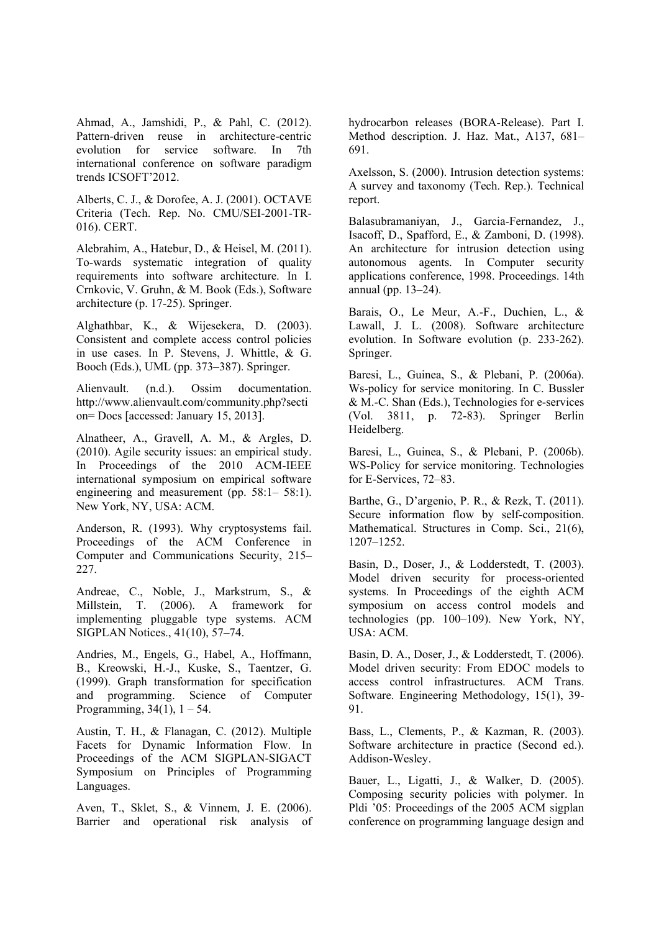Ahmad, A., Jamshidi, P., & Pahl, C. (2012). Pattern-driven reuse in architecture-centric evolution for service software. In 7th international conference on software paradigm trends ICSOFT'2012.

Alberts, C. J., & Dorofee, A. J. (2001). OCTAVE Criteria (Tech. Rep. No. CMU/SEI-2001-TR-016). CERT.

Alebrahim, A., Hatebur, D., & Heisel, M. (2011). To-wards systematic integration of quality requirements into software architecture. In I. Crnkovic, V. Gruhn, & M. Book (Eds.), Software architecture (p. 17-25). Springer.

Alghathbar, K., & Wijesekera, D. (2003). Consistent and complete access control policies in use cases. In P. Stevens, J. Whittle, & G. Booch (Eds.), UML (pp. 373–387). Springer.

Alienvault. (n.d.). Ossim documentation. http://www.alienvault.com/community.php?secti on= Docs [accessed: January 15, 2013].

Alnatheer, A., Gravell, A. M., & Argles, D. (2010). Agile security issues: an empirical study. In Proceedings of the 2010 ACM-IEEE international symposium on empirical software engineering and measurement (pp. 58:1– 58:1). New York, NY, USA: ACM.

Anderson, R. (1993). Why cryptosystems fail. Proceedings of the ACM Conference in Computer and Communications Security, 215– 227.

Andreae, C., Noble, J., Markstrum, S., & Millstein, T. (2006). A framework for implementing pluggable type systems. ACM SIGPLAN Notices., 41(10), 57–74.

Andries, M., Engels, G., Habel, A., Hoffmann, B., Kreowski, H.-J., Kuske, S., Taentzer, G. (1999). Graph transformation for specification and programming. Science of Computer Programming,  $34(1)$ ,  $1 - 54$ .

Austin, T. H., & Flanagan, C. (2012). Multiple Facets for Dynamic Information Flow. In Proceedings of the ACM SIGPLAN-SIGACT Symposium on Principles of Programming Languages.

Aven, T., Sklet, S., & Vinnem, J. E. (2006). Barrier and operational risk analysis of hydrocarbon releases (BORA-Release). Part I. Method description. J. Haz. Mat., A137, 681– 691.

Axelsson, S. (2000). Intrusion detection systems: A survey and taxonomy (Tech. Rep.). Technical report.

Balasubramaniyan, J., Garcia-Fernandez, J., Isacoff, D., Spafford, E., & Zamboni, D. (1998). An architecture for intrusion detection using autonomous agents. In Computer security applications conference, 1998. Proceedings. 14th annual (pp. 13–24).

Barais, O., Le Meur, A.-F., Duchien, L., & Lawall, J. L. (2008). Software architecture evolution. In Software evolution (p. 233-262). Springer.

Baresi, L., Guinea, S., & Plebani, P. (2006a). Ws-policy for service monitoring. In C. Bussler & M.-C. Shan (Eds.), Technologies for e-services (Vol. 3811, p. 72-83). Springer Berlin Heidelberg.

Baresi, L., Guinea, S., & Plebani, P. (2006b). WS-Policy for service monitoring. Technologies for E-Services, 72–83.

Barthe, G., D'argenio, P. R., & Rezk, T. (2011). Secure information flow by self-composition. Mathematical. Structures in Comp. Sci., 21(6), 1207–1252.

Basin, D., Doser, J., & Lodderstedt, T. (2003). Model driven security for process-oriented systems. In Proceedings of the eighth ACM symposium on access control models and technologies (pp. 100–109). New York, NY, USA: ACM.

Basin, D. A., Doser, J., & Lodderstedt, T. (2006). Model driven security: From EDOC models to access control infrastructures. ACM Trans. Software. Engineering Methodology, 15(1), 39- 91.

Bass, L., Clements, P., & Kazman, R. (2003). Software architecture in practice (Second ed.). Addison-Wesley.

Bauer, L., Ligatti, J., & Walker, D. (2005). Composing security policies with polymer. In Pldi '05: Proceedings of the 2005 ACM sigplan conference on programming language design and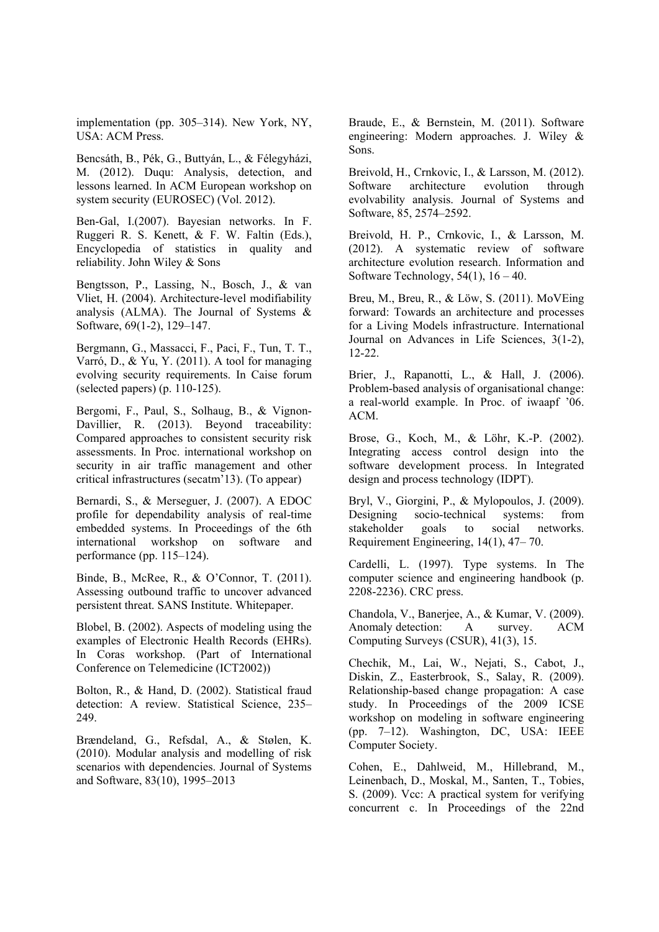implementation (pp. 305–314). New York, NY, USA: ACM Press.

Bencsáth, B., Pék, G., Buttyán, L., & Félegyházi, M. (2012). Duqu: Analysis, detection, and lessons learned. In ACM European workshop on system security (EUROSEC) (Vol. 2012).

Ben-Gal, I.(2007). Bayesian networks. In F. Ruggeri R. S. Kenett, & F. W. Faltin (Eds.), Encyclopedia of statistics in quality and reliability. John Wiley & Sons

Bengtsson, P., Lassing, N., Bosch, J., & van Vliet, H. (2004). Architecture-level modifiability analysis (ALMA). The Journal of Systems & Software, 69(1-2), 129–147.

Bergmann, G., Massacci, F., Paci, F., Tun, T. T., Varró, D., & Yu, Y. (2011). A tool for managing evolving security requirements. In Caise forum (selected papers) (p. 110-125).

Bergomi, F., Paul, S., Solhaug, B., & Vignon-Davillier, R. (2013). Beyond traceability: Compared approaches to consistent security risk assessments. In Proc. international workshop on security in air traffic management and other critical infrastructures (secatm'13). (To appear)

Bernardi, S., & Merseguer, J. (2007). A EDOC profile for dependability analysis of real-time embedded systems. In Proceedings of the 6th international workshop on software and performance (pp. 115–124).

Binde, B., McRee, R., & O'Connor, T. (2011). Assessing outbound traffic to uncover advanced persistent threat. SANS Institute. Whitepaper.

Blobel, B. (2002). Aspects of modeling using the examples of Electronic Health Records (EHRs). In Coras workshop. (Part of International Conference on Telemedicine (ICT2002))

Bolton, R., & Hand, D. (2002). Statistical fraud detection: A review. Statistical Science, 235– 249.

Brændeland, G., Refsdal, A., & Stølen, K. (2010). Modular analysis and modelling of risk scenarios with dependencies. Journal of Systems and Software, 83(10), 1995–2013

Braude, E., & Bernstein, M. (2011). Software engineering: Modern approaches. J. Wiley & Sons.

Breivold, H., Crnkovic, I., & Larsson, M. (2012). Software architecture evolution through evolvability analysis. Journal of Systems and Software, 85, 2574–2592.

Breivold, H. P., Crnkovic, I., & Larsson, M. (2012). A systematic review of software architecture evolution research. Information and Software Technology,  $54(1)$ ,  $16 - 40$ .

Breu, M., Breu, R., & Löw, S. (2011). MoVEing forward: Towards an architecture and processes for a Living Models infrastructure. International Journal on Advances in Life Sciences, 3(1-2), 12-22.

Brier, J., Rapanotti, L., & Hall, J. (2006). Problem-based analysis of organisational change: a real-world example. In Proc. of iwaapf '06. ACM.

Brose, G., Koch, M., & Löhr, K.-P. (2002). Integrating access control design into the software development process. In Integrated design and process technology (IDPT).

Bryl, V., Giorgini, P., & Mylopoulos, J. (2009). Designing socio-technical systems: from stakeholder goals to social networks. Requirement Engineering, 14(1), 47– 70.

Cardelli, L. (1997). Type systems. In The computer science and engineering handbook (p. 2208-2236). CRC press.

Chandola, V., Banerjee, A., & Kumar, V. (2009). Anomaly detection: A survey. ACM Computing Surveys (CSUR), 41(3), 15.

Chechik, M., Lai, W., Nejati, S., Cabot, J., Diskin, Z., Easterbrook, S., Salay, R. (2009). Relationship-based change propagation: A case study. In Proceedings of the 2009 ICSE workshop on modeling in software engineering (pp. 7–12). Washington, DC, USA: IEEE Computer Society.

Cohen, E., Dahlweid, M., Hillebrand, M., Leinenbach, D., Moskal, M., Santen, T., Tobies, S. (2009). Vcc: A practical system for verifying concurrent c. In Proceedings of the 22nd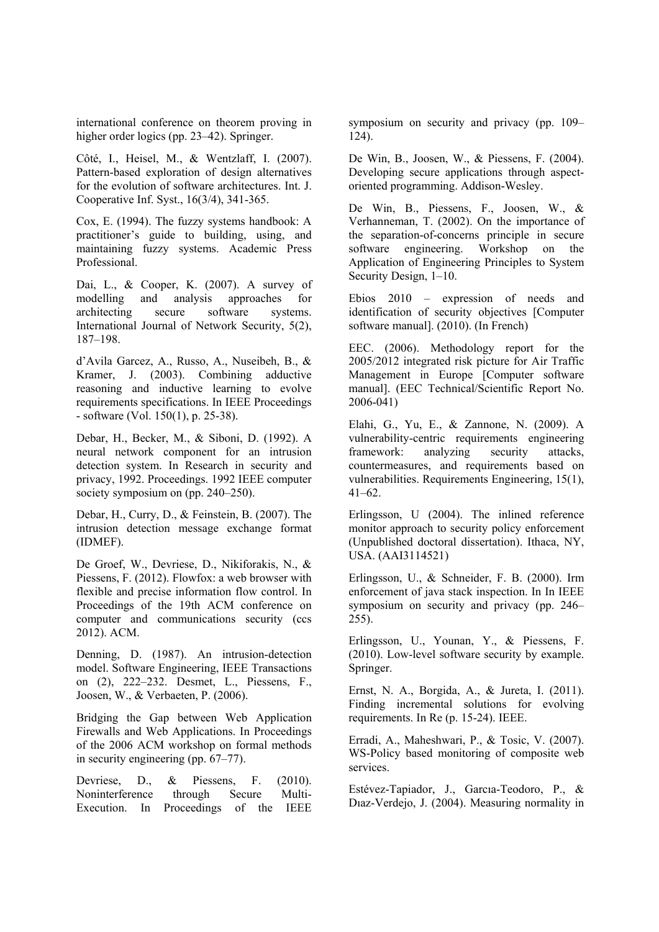international conference on theorem proving in higher order logics (pp. 23–42). Springer.

Côté, I., Heisel, M., & Wentzlaff, I. (2007). Pattern-based exploration of design alternatives for the evolution of software architectures. Int. J. Cooperative Inf. Syst., 16(3/4), 341-365.

Cox, E. (1994). The fuzzy systems handbook: A practitioner's guide to building, using, and maintaining fuzzy systems. Academic Press Professional.

Dai, L., & Cooper, K. (2007). A survey of modelling and analysis approaches for architecting secure software systems. International Journal of Network Security, 5(2), 187–198.

d'Avila Garcez, A., Russo, A., Nuseibeh, B., & Kramer, J. (2003). Combining adductive reasoning and inductive learning to evolve requirements specifications. In IEEE Proceedings - software (Vol. 150(1), p. 25-38).

Debar, H., Becker, M., & Siboni, D. (1992). A neural network component for an intrusion detection system. In Research in security and privacy, 1992. Proceedings. 1992 IEEE computer society symposium on (pp. 240–250).

Debar, H., Curry, D., & Feinstein, B. (2007). The intrusion detection message exchange format (IDMEF).

De Groef, W., Devriese, D., Nikiforakis, N., & Piessens, F. (2012). Flowfox: a web browser with flexible and precise information flow control. In Proceedings of the 19th ACM conference on computer and communications security (ccs 2012). ACM.

Denning, D. (1987). An intrusion-detection model. Software Engineering, IEEE Transactions on (2), 222–232. Desmet, L., Piessens, F., Joosen, W., & Verbaeten, P. (2006).

Bridging the Gap between Web Application Firewalls and Web Applications. In Proceedings of the 2006 ACM workshop on formal methods in security engineering (pp. 67–77).

Devriese, D., & Piessens, F. (2010). Noninterference through Secure Multi-Execution. In Proceedings of the IEEE symposium on security and privacy (pp. 109– 124).

De Win, B., Joosen, W., & Piessens, F. (2004). Developing secure applications through aspectoriented programming. Addison-Wesley.

De Win, B., Piessens, F., Joosen, W., & Verhanneman, T. (2002). On the importance of the separation-of-concerns principle in secure software engineering. Workshop on the Application of Engineering Principles to System Security Design, 1–10.

Ebios 2010 – expression of needs and identification of security objectives [Computer software manual]. (2010). (In French)

EEC. (2006). Methodology report for the 2005/2012 integrated risk picture for Air Traffic Management in Europe [Computer software manual]. (EEC Technical/Scientific Report No. 2006-041)

Elahi, G., Yu, E., & Zannone, N. (2009). A vulnerability-centric requirements engineering framework: analyzing security attacks, countermeasures, and requirements based on vulnerabilities. Requirements Engineering, 15(1), 41–62.

Erlingsson, U (2004). The inlined reference monitor approach to security policy enforcement (Unpublished doctoral dissertation). Ithaca, NY, USA. (AAI3114521)

Erlingsson, U., & Schneider, F. B. (2000). Irm enforcement of java stack inspection. In In IEEE symposium on security and privacy (pp. 246– 255).

Erlingsson, U., Younan, Y., & Piessens, F. (2010). Low-level software security by example. Springer.

Ernst, N. A., Borgida, A., & Jureta, I. (2011). Finding incremental solutions for evolving requirements. In Re (p. 15-24). IEEE.

Erradi, A., Maheshwari, P., & Tosic, V. (2007). WS-Policy based monitoring of composite web services.

Estévez-Tapiador, J., Garcıa-Teodoro, P., & Dıaz-Verdejo, J. (2004). Measuring normality in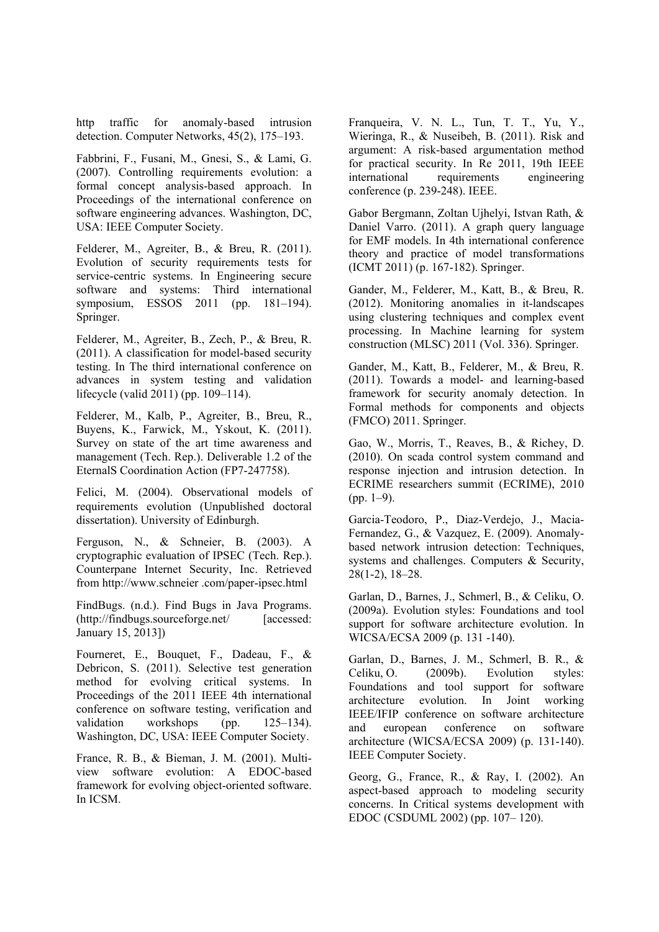http traffic for anomaly-based intrusion detection. Computer Networks, 45(2), 175–193.

Fabbrini, F., Fusani, M., Gnesi, S., & Lami, G. (2007). Controlling requirements evolution: a formal concept analysis-based approach. In Proceedings of the international conference on software engineering advances. Washington, DC, USA: IEEE Computer Society.

Felderer, M., Agreiter, B., & Breu, R. (2011). Evolution of security requirements tests for service-centric systems. In Engineering secure software and systems: Third international symposium, ESSOS 2011 (pp. 181–194). Springer.

Felderer, M., Agreiter, B., Zech, P., & Breu, R. (2011). A classification for model-based security testing. In The third international conference on advances in system testing and validation lifecycle (valid 2011) (pp. 109–114).

Felderer, M., Kalb, P., Agreiter, B., Breu, R., Buyens, K., Farwick, M., Yskout, K. (2011). Survey on state of the art time awareness and management (Tech. Rep.). Deliverable 1.2 of the EternalS Coordination Action (FP7-247758).

Felici, M. (2004). Observational models of requirements evolution (Unpublished doctoral dissertation). University of Edinburgh.

Ferguson, N., & Schneier, B. (2003). A cryptographic evaluation of IPSEC (Tech. Rep.). Counterpane Internet Security, Inc. Retrieved from http://www.schneier .com/paper-ipsec.html

FindBugs. (n.d.). Find Bugs in Java Programs. (http://findbugs.sourceforge.net/ [accessed: January 15, 2013])

Fourneret, E., Bouquet, F., Dadeau, F., & Debricon, S. (2011). Selective test generation method for evolving critical systems. In Proceedings of the 2011 IEEE 4th international conference on software testing, verification and validation workshops (pp. 125–134). Washington, DC, USA: IEEE Computer Society.

France, R. B., & Bieman, J. M. (2001). Multiview software evolution: A EDOC-based framework for evolving object-oriented software. In ICSM.

Franqueira, V. N. L., Tun, T. T., Yu, Y., Wieringa, R., & Nuseibeh, B. (2011). Risk and argument: A risk-based argumentation method for practical security. In Re 2011, 19th IEEE international requirements engineering conference (p. 239-248). IEEE.

Gabor Bergmann, Zoltan Ujhelyi, Istvan Rath, & Daniel Varro. (2011). A graph query language for EMF models. In 4th international conference theory and practice of model transformations (ICMT 2011) (p. 167-182). Springer.

Gander, M., Felderer, M., Katt, B., & Breu, R. (2012). Monitoring anomalies in it-landscapes using clustering techniques and complex event processing. In Machine learning for system construction (MLSC) 2011 (Vol. 336). Springer.

Gander, M., Katt, B., Felderer, M., & Breu, R. (2011). Towards a model- and learning-based framework for security anomaly detection. In Formal methods for components and objects (FMCO) 2011. Springer.

Gao, W., Morris, T., Reaves, B., & Richey, D. (2010). On scada control system command and response injection and intrusion detection. In ECRIME researchers summit (ECRIME), 2010 (pp. 1–9).

Garcia-Teodoro, P., Diaz-Verdejo, J., Macia-Fernandez, G., & Vazquez, E. (2009). Anomalybased network intrusion detection: Techniques, systems and challenges. Computers & Security, 28(1-2), 18–28.

Garlan, D., Barnes, J., Schmerl, B., & Celiku, O. (2009a). Evolution styles: Foundations and tool support for software architecture evolution. In WICSA/ECSA 2009 (p. 131 -140).

Garlan, D., Barnes, J. M., Schmerl, B. R., & Celiku, O. (2009b). Evolution styles: Foundations and tool support for software architecture evolution. In Joint working IEEE/IFIP conference on software architecture and european conference on software architecture (WICSA/ECSA 2009) (p. 131-140). IEEE Computer Society.

Georg, G., France, R., & Ray, I. (2002). An aspect-based approach to modeling security concerns. In Critical systems development with EDOC (CSDUML 2002) (pp. 107– 120).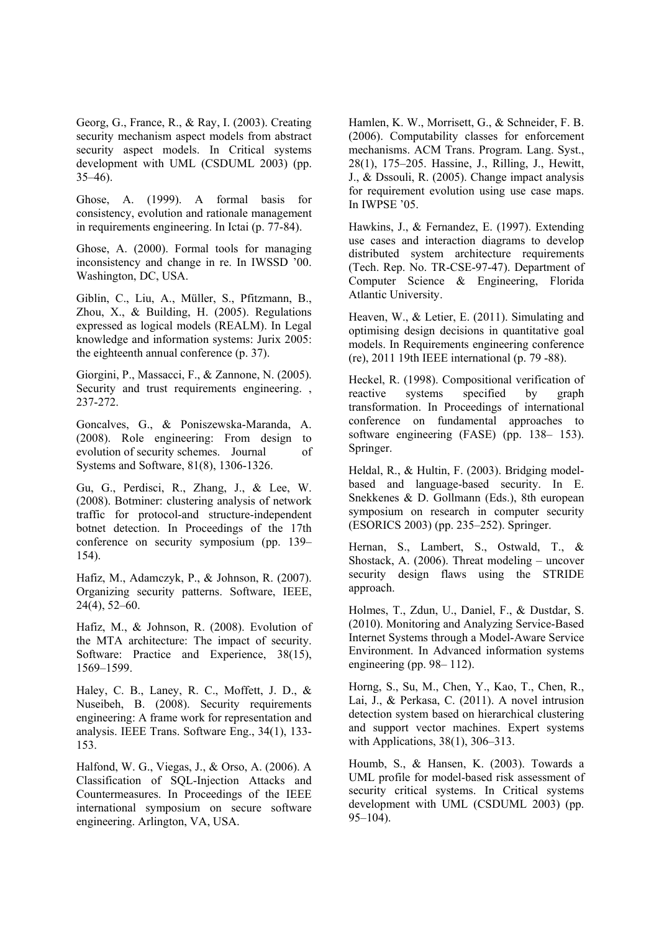Georg, G., France, R., & Ray, I. (2003). Creating security mechanism aspect models from abstract security aspect models. In Critical systems development with UML (CSDUML 2003) (pp.  $35-46$ ).

Ghose, A. (1999). A formal basis for consistency, evolution and rationale management in requirements engineering. In Ictai (p. 77-84).

Ghose, A. (2000). Formal tools for managing inconsistency and change in re. In IWSSD '00. Washington, DC, USA.

Giblin, C., Liu, A., Müller, S., Pfitzmann, B., Zhou, X., & Building, H. (2005). Regulations expressed as logical models (REALM). In Legal knowledge and information systems: Jurix 2005: the eighteenth annual conference (p. 37).

Giorgini, P., Massacci, F., & Zannone, N. (2005). Security and trust requirements engineering. , 237-272.

Goncalves, G., & Poniszewska-Maranda, A. (2008). Role engineering: From design to evolution of security schemes. Journal of Systems and Software, 81(8), 1306-1326.

Gu, G., Perdisci, R., Zhang, J., & Lee, W. (2008). Botminer: clustering analysis of network traffic for protocol-and structure-independent botnet detection. In Proceedings of the 17th conference on security symposium (pp. 139– 154).

Hafiz, M., Adamczyk, P., & Johnson, R. (2007). Organizing security patterns. Software, IEEE, 24(4), 52–60.

Hafiz, M., & Johnson, R. (2008). Evolution of the MTA architecture: The impact of security. Software: Practice and Experience, 38(15), 1569–1599.

Haley, C. B., Laney, R. C., Moffett, J. D., & Nuseibeh, B. (2008). Security requirements engineering: A frame work for representation and analysis. IEEE Trans. Software Eng., 34(1), 133- 153.

Halfond, W. G., Viegas, J., & Orso, A. (2006). A Classification of SQL-Injection Attacks and Countermeasures. In Proceedings of the IEEE international symposium on secure software engineering. Arlington, VA, USA.

Hamlen, K. W., Morrisett, G., & Schneider, F. B. (2006). Computability classes for enforcement mechanisms. ACM Trans. Program. Lang. Syst., 28(1), 175–205. Hassine, J., Rilling, J., Hewitt, J., & Dssouli, R. (2005). Change impact analysis for requirement evolution using use case maps. In IWPSE '05.

Hawkins, J., & Fernandez, E. (1997). Extending use cases and interaction diagrams to develop distributed system architecture requirements (Tech. Rep. No. TR-CSE-97-47). Department of Computer Science & Engineering, Florida Atlantic University.

Heaven, W., & Letier, E. (2011). Simulating and optimising design decisions in quantitative goal models. In Requirements engineering conference (re), 2011 19th IEEE international (p. 79 -88).

Heckel, R. (1998). Compositional verification of reactive systems specified by graph transformation. In Proceedings of international conference on fundamental approaches to software engineering (FASE) (pp. 138– 153). Springer.

Heldal, R., & Hultin, F. (2003). Bridging modelbased and language-based security. In E. Snekkenes & D. Gollmann (Eds.), 8th european symposium on research in computer security (ESORICS 2003) (pp. 235–252). Springer.

Hernan, S., Lambert, S., Ostwald, T., & Shostack, A. (2006). Threat modeling – uncover security design flaws using the STRIDE approach.

Holmes, T., Zdun, U., Daniel, F., & Dustdar, S. (2010). Monitoring and Analyzing Service-Based Internet Systems through a Model-Aware Service Environment. In Advanced information systems engineering (pp. 98– 112).

Horng, S., Su, M., Chen, Y., Kao, T., Chen, R., Lai, J., & Perkasa, C. (2011). A novel intrusion detection system based on hierarchical clustering and support vector machines. Expert systems with Applications, 38(1), 306–313.

Houmb, S., & Hansen, K. (2003). Towards a UML profile for model-based risk assessment of security critical systems. In Critical systems development with UML (CSDUML 2003) (pp. 95–104).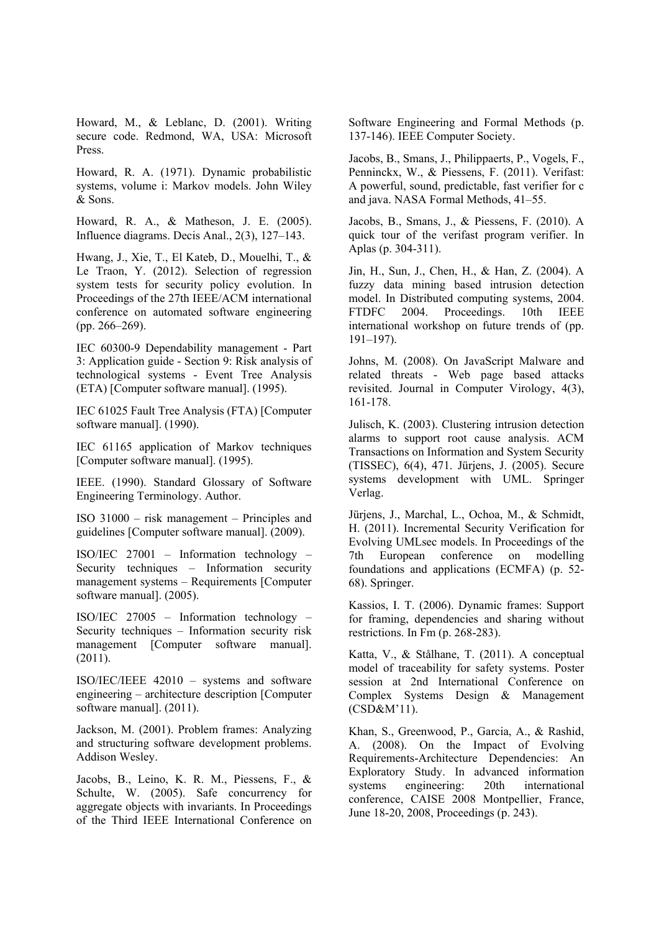Howard, M., & Leblanc, D. (2001). Writing secure code. Redmond, WA, USA: Microsoft Press.

Howard, R. A. (1971). Dynamic probabilistic systems, volume i: Markov models. John Wiley & Sons.

Howard, R. A., & Matheson, J. E. (2005). Influence diagrams. Decis Anal., 2(3), 127–143.

Hwang, J., Xie, T., El Kateb, D., Mouelhi, T., & Le Traon, Y. (2012). Selection of regression system tests for security policy evolution. In Proceedings of the 27th IEEE/ACM international conference on automated software engineering (pp. 266–269).

IEC 60300-9 Dependability management - Part 3: Application guide - Section 9: Risk analysis of technological systems - Event Tree Analysis (ETA) [Computer software manual]. (1995).

IEC 61025 Fault Tree Analysis (FTA) [Computer software manual]. (1990).

IEC 61165 application of Markov techniques [Computer software manual]. (1995).

IEEE. (1990). Standard Glossary of Software Engineering Terminology. Author.

ISO 31000 – risk management – Principles and guidelines [Computer software manual]. (2009).

ISO/IEC 27001 – Information technology – Security techniques – Information security management systems – Requirements [Computer software manual]. (2005).

ISO/IEC 27005 – Information technology – Security techniques – Information security risk management [Computer software manual]. (2011).

ISO/IEC/IEEE 42010 – systems and software engineering – architecture description [Computer software manual]. (2011).

Jackson, M. (2001). Problem frames: Analyzing and structuring software development problems. Addison Wesley.

Jacobs, B., Leino, K. R. M., Piessens, F., & Schulte, W. (2005). Safe concurrency for aggregate objects with invariants. In Proceedings of the Third IEEE International Conference on Software Engineering and Formal Methods (p. 137-146). IEEE Computer Society.

Jacobs, B., Smans, J., Philippaerts, P., Vogels, F., Penninckx, W., & Piessens, F. (2011). Verifast: A powerful, sound, predictable, fast verifier for c and java. NASA Formal Methods, 41–55.

Jacobs, B., Smans, J., & Piessens, F. (2010). A quick tour of the verifast program verifier. In Aplas (p. 304-311).

Jin, H., Sun, J., Chen, H., & Han, Z. (2004). A fuzzy data mining based intrusion detection model. In Distributed computing systems, 2004. FTDFC 2004. Proceedings. 10th IEEE international workshop on future trends of (pp. 191–197).

Johns, M. (2008). On JavaScript Malware and related threats - Web page based attacks revisited. Journal in Computer Virology, 4(3), 161-178.

Julisch, K. (2003). Clustering intrusion detection alarms to support root cause analysis. ACM Transactions on Information and System Security (TISSEC), 6(4), 471. Jürjens, J. (2005). Secure systems development with UML. Springer Verlag.

Jürjens, J., Marchal, L., Ochoa, M., & Schmidt, H. (2011). Incremental Security Verification for Evolving UMLsec models. In Proceedings of the 7th European conference on modelling foundations and applications (ECMFA) (p. 52- 68). Springer.

Kassios, I. T. (2006). Dynamic frames: Support for framing, dependencies and sharing without restrictions. In Fm (p. 268-283).

Katta, V., & Stålhane, T. (2011). A conceptual model of traceability for safety systems. Poster session at 2nd International Conference on Complex Systems Design & Management (CSD&M'11).

Khan, S., Greenwood, P., Garcia, A., & Rashid, A. (2008). On the Impact of Evolving Requirements-Architecture Dependencies: An Exploratory Study. In advanced information systems engineering: 20th international conference, CAISE 2008 Montpellier, France, June 18-20, 2008, Proceedings (p. 243).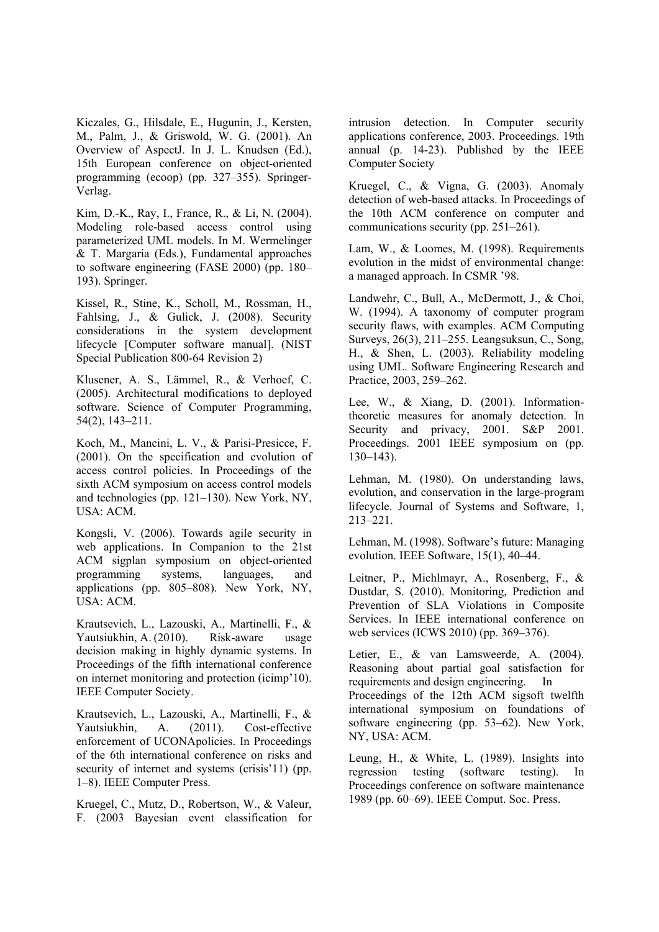Kiczales, G., Hilsdale, E., Hugunin, J., Kersten, M., Palm, J., & Griswold, W. G. (2001). An Overview of AspectJ. In J. L. Knudsen (Ed.), 15th European conference on object-oriented programming (ecoop) (pp. 327–355). Springer-Verlag.

Kim, D.-K., Ray, I., France, R., & Li, N. (2004). Modeling role-based access control using parameterized UML models. In M. Wermelinger & T. Margaria (Eds.), Fundamental approaches to software engineering (FASE 2000) (pp. 180– 193). Springer.

Kissel, R., Stine, K., Scholl, M., Rossman, H., Fahlsing, J., & Gulick, J. (2008). Security considerations in the system development lifecycle [Computer software manual]. (NIST Special Publication 800-64 Revision 2)

Klusener, A. S., Lämmel, R., & Verhoef, C. (2005). Architectural modifications to deployed software. Science of Computer Programming, 54(2), 143–211.

Koch, M., Mancini, L. V., & Parisi-Presicce, F. (2001). On the specification and evolution of access control policies. In Proceedings of the sixth ACM symposium on access control models and technologies (pp. 121–130). New York, NY, USA: ACM.

Kongsli, V. (2006). Towards agile security in web applications. In Companion to the 21st ACM sigplan symposium on object-oriented programming systems, languages, and applications (pp. 805–808). New York, NY, USA: ACM.

Krautsevich, L., Lazouski, A., Martinelli, F., & Yautsiukhin, A. (2010). Risk-aware usage decision making in highly dynamic systems. In Proceedings of the fifth international conference on internet monitoring and protection (icimp'10). IEEE Computer Society.

Krautsevich, L., Lazouski, A., Martinelli, F., & Yautsiukhin, A. (2011). Cost-effective enforcement of UCONApolicies. In Proceedings of the 6th international conference on risks and security of internet and systems (crisis'11) (pp. 1–8). IEEE Computer Press.

Kruegel, C., Mutz, D., Robertson, W., & Valeur, F. (2003 Bayesian event classification for intrusion detection. In Computer security applications conference, 2003. Proceedings. 19th annual (p. 14-23). Published by the IEEE Computer Society

Kruegel, C., & Vigna, G. (2003). Anomaly detection of web-based attacks. In Proceedings of the 10th ACM conference on computer and communications security (pp. 251–261).

Lam, W., & Loomes, M. (1998). Requirements evolution in the midst of environmental change: a managed approach. In CSMR '98.

Landwehr, C., Bull, A., McDermott, J., & Choi, W. (1994). A taxonomy of computer program security flaws, with examples. ACM Computing Surveys, 26(3), 211–255. Leangsuksun, C., Song, H., & Shen, L. (2003). Reliability modeling using UML. Software Engineering Research and Practice, 2003, 259–262.

Lee, W., & Xiang, D. (2001). Informationtheoretic measures for anomaly detection. In Security and privacy, 2001. S&P 2001. Proceedings. 2001 IEEE symposium on (pp. 130–143).

Lehman, M. (1980). On understanding laws, evolution, and conservation in the large-program lifecycle. Journal of Systems and Software, 1, 213–221.

Lehman, M. (1998). Software's future: Managing evolution. IEEE Software, 15(1), 40–44.

Leitner, P., Michlmayr, A., Rosenberg, F., & Dustdar, S. (2010). Monitoring, Prediction and Prevention of SLA Violations in Composite Services. In IEEE international conference on web services (ICWS 2010) (pp. 369–376).

Letier, E., & van Lamsweerde, A. (2004). Reasoning about partial goal satisfaction for requirements and design engineering. In Proceedings of the 12th ACM sigsoft twelfth international symposium on foundations of software engineering (pp. 53–62). New York, NY, USA: ACM.

Leung, H., & White, L. (1989). Insights into regression testing (software testing). In Proceedings conference on software maintenance 1989 (pp. 60–69). IEEE Comput. Soc. Press.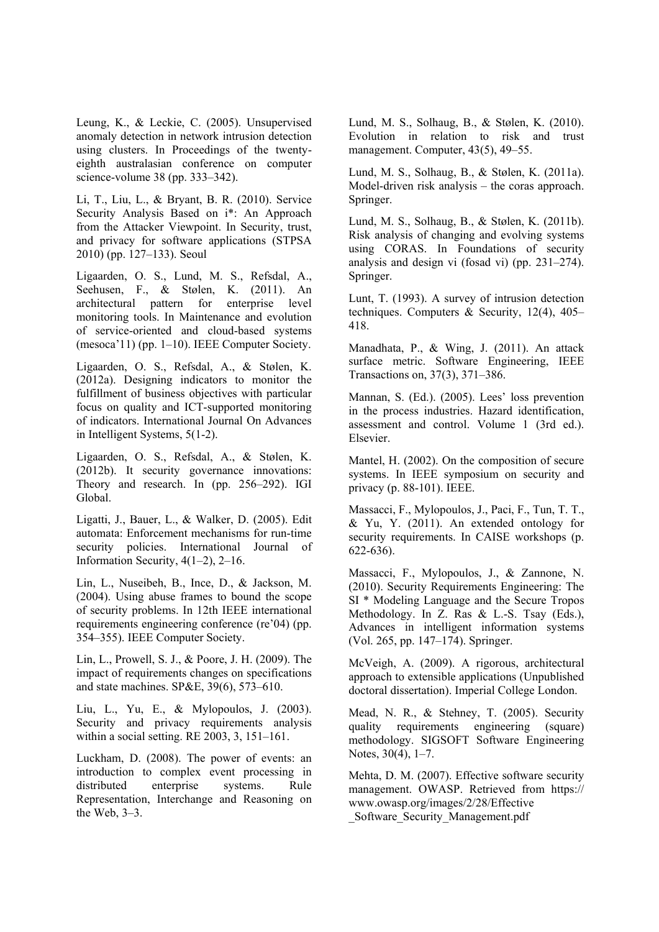Leung, K., & Leckie, C. (2005). Unsupervised anomaly detection in network intrusion detection using clusters. In Proceedings of the twentyeighth australasian conference on computer science-volume 38 (pp. 333–342).

Li, T., Liu, L., & Bryant, B. R. (2010). Service Security Analysis Based on i\*: An Approach from the Attacker Viewpoint. In Security, trust, and privacy for software applications (STPSA 2010) (pp. 127–133). Seoul

Ligaarden, O. S., Lund, M. S., Refsdal, A., Seehusen, F., & Stølen, K. (2011). An architectural pattern for enterprise level monitoring tools. In Maintenance and evolution of service-oriented and cloud-based systems (mesoca'11) (pp. 1–10). IEEE Computer Society.

Ligaarden, O. S., Refsdal, A., & Stølen, K. (2012a). Designing indicators to monitor the fulfillment of business objectives with particular focus on quality and ICT-supported monitoring of indicators. International Journal On Advances in Intelligent Systems, 5(1-2).

Ligaarden, O. S., Refsdal, A., & Stølen, K. (2012b). It security governance innovations: Theory and research. In (pp. 256–292). IGI Global.

Ligatti, J., Bauer, L., & Walker, D. (2005). Edit automata: Enforcement mechanisms for run-time security policies. International Journal of Information Security, 4(1–2), 2–16.

Lin, L., Nuseibeh, B., Ince, D., & Jackson, M. (2004). Using abuse frames to bound the scope of security problems. In 12th IEEE international requirements engineering conference (re'04) (pp. 354–355). IEEE Computer Society.

Lin, L., Prowell, S. J., & Poore, J. H. (2009). The impact of requirements changes on specifications and state machines. SP&E, 39(6), 573–610.

Liu, L., Yu, E., & Mylopoulos, J. (2003). Security and privacy requirements analysis within a social setting. RE 2003, 3, 151–161.

Luckham, D. (2008). The power of events: an introduction to complex event processing in distributed enterprise systems. Rule Representation, Interchange and Reasoning on the Web, 3–3.

Lund, M. S., Solhaug, B., & Stølen, K. (2010). Evolution in relation to risk and trust management. Computer, 43(5), 49–55.

Lund, M. S., Solhaug, B., & Stølen, K. (2011a). Model-driven risk analysis – the coras approach. Springer.

Lund, M. S., Solhaug, B., & Stølen, K. (2011b). Risk analysis of changing and evolving systems using CORAS. In Foundations of security analysis and design vi (fosad vi) (pp. 231–274). Springer.

Lunt, T. (1993). A survey of intrusion detection techniques. Computers & Security, 12(4), 405– 418.

Manadhata, P., & Wing, J. (2011). An attack surface metric. Software Engineering, IEEE Transactions on, 37(3), 371–386.

Mannan, S. (Ed.). (2005). Lees' loss prevention in the process industries. Hazard identification, assessment and control. Volume 1 (3rd ed.). Elsevier.

Mantel, H. (2002). On the composition of secure systems. In IEEE symposium on security and privacy (p. 88-101). IEEE.

Massacci, F., Mylopoulos, J., Paci, F., Tun, T. T., & Yu, Y. (2011). An extended ontology for security requirements. In CAISE workshops (p. 622-636).

Massacci, F., Mylopoulos, J., & Zannone, N. (2010). Security Requirements Engineering: The SI \* Modeling Language and the Secure Tropos Methodology. In Z. Ras & L.-S. Tsay (Eds.), Advances in intelligent information systems (Vol. 265, pp. 147–174). Springer.

McVeigh, A. (2009). A rigorous, architectural approach to extensible applications (Unpublished doctoral dissertation). Imperial College London.

Mead, N. R., & Stehney, T. (2005). Security quality requirements engineering (square) methodology. SIGSOFT Software Engineering Notes, 30(4), 1–7.

Mehta, D. M. (2007). Effective software security management. OWASP. Retrieved from https:// www.owasp.org/images/2/28/Effective \_Software\_Security\_Management.pdf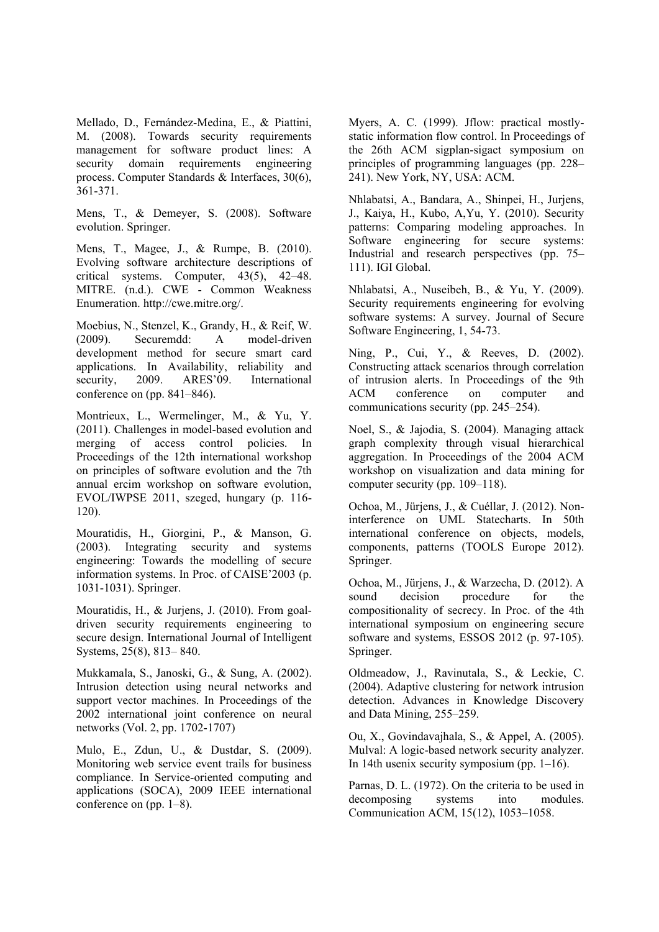Mellado, D., Fernández-Medina, E., & Piattini, M. (2008). Towards security requirements management for software product lines: A security domain requirements engineering process. Computer Standards & Interfaces, 30(6), 361-371.

Mens, T., & Demeyer, S. (2008). Software evolution. Springer.

Mens, T., Magee, J., & Rumpe, B. (2010). Evolving software architecture descriptions of critical systems. Computer, 43(5), 42–48. MITRE. (n.d.). CWE - Common Weakness Enumeration. http://cwe.mitre.org/.

Moebius, N., Stenzel, K., Grandy, H., & Reif, W. (2009). Securemdd: A model-driven development method for secure smart card applications. In Availability, reliability and security, 2009. ARES'09. International conference on (pp. 841–846).

Montrieux, L., Wermelinger, M., & Yu, Y. (2011). Challenges in model-based evolution and merging of access control policies. In Proceedings of the 12th international workshop on principles of software evolution and the 7th annual ercim workshop on software evolution, EVOL/IWPSE 2011, szeged, hungary (p. 116- 120).

Mouratidis, H., Giorgini, P., & Manson, G. (2003). Integrating security and systems engineering: Towards the modelling of secure information systems. In Proc. of CAISE'2003 (p. 1031-1031). Springer.

Mouratidis, H., & Jurjens, J. (2010). From goaldriven security requirements engineering to secure design. International Journal of Intelligent Systems, 25(8), 813– 840.

Mukkamala, S., Janoski, G., & Sung, A. (2002). Intrusion detection using neural networks and support vector machines. In Proceedings of the 2002 international joint conference on neural networks (Vol. 2, pp. 1702-1707)

Mulo, E., Zdun, U., & Dustdar, S. (2009). Monitoring web service event trails for business compliance. In Service-oriented computing and applications (SOCA), 2009 IEEE international conference on (pp. 1–8).

Myers, A. C. (1999). Jflow: practical mostlystatic information flow control. In Proceedings of the 26th ACM sigplan-sigact symposium on principles of programming languages (pp. 228– 241). New York, NY, USA: ACM.

Nhlabatsi, A., Bandara, A., Shinpei, H., Jurjens, J., Kaiya, H., Kubo, A,Yu, Y. (2010). Security patterns: Comparing modeling approaches. In Software engineering for secure systems: Industrial and research perspectives (pp. 75– 111). IGI Global.

Nhlabatsi, A., Nuseibeh, B., & Yu, Y. (2009). Security requirements engineering for evolving software systems: A survey. Journal of Secure Software Engineering, 1, 54-73.

Ning, P., Cui, Y., & Reeves, D. (2002). Constructing attack scenarios through correlation of intrusion alerts. In Proceedings of the 9th ACM conference on computer and communications security (pp. 245–254).

Noel, S., & Jajodia, S. (2004). Managing attack graph complexity through visual hierarchical aggregation. In Proceedings of the 2004 ACM workshop on visualization and data mining for computer security (pp. 109–118).

Ochoa, M., Jürjens, J., & Cuéllar, J. (2012). Noninterference on UML Statecharts. In 50th international conference on objects, models, components, patterns (TOOLS Europe 2012). Springer.

Ochoa, M., Jürjens, J., & Warzecha, D. (2012). A sound decision procedure for the compositionality of secrecy. In Proc. of the 4th international symposium on engineering secure software and systems, ESSOS 2012 (p. 97-105). Springer.

Oldmeadow, J., Ravinutala, S., & Leckie, C. (2004). Adaptive clustering for network intrusion detection. Advances in Knowledge Discovery and Data Mining, 255–259.

Ou, X., Govindavajhala, S., & Appel, A. (2005). Mulval: A logic-based network security analyzer. In 14th usenix security symposium (pp. 1–16).

Parnas, D. L. (1972). On the criteria to be used in decomposing systems into modules. Communication ACM, 15(12), 1053–1058.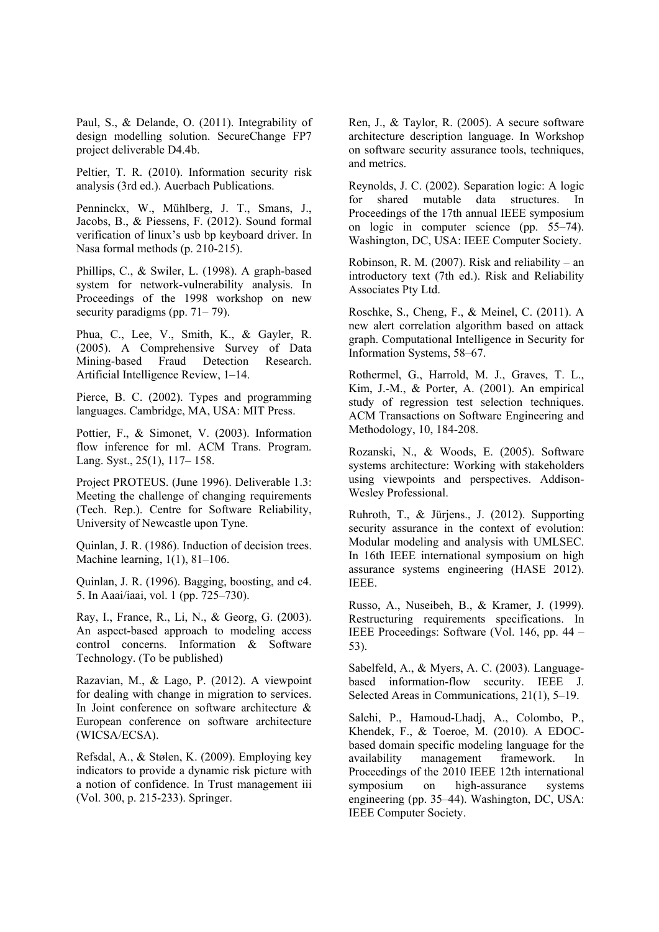Paul, S., & Delande, O. (2011). Integrability of design modelling solution. SecureChange FP7 project deliverable D4.4b.

Peltier, T. R. (2010). Information security risk analysis (3rd ed.). Auerbach Publications.

Penninckx, W., Mühlberg, J. T., Smans, J., Jacobs, B., & Piessens, F. (2012). Sound formal verification of linux's usb bp keyboard driver. In Nasa formal methods (p. 210-215).

Phillips, C., & Swiler, L. (1998). A graph-based system for network-vulnerability analysis. In Proceedings of the 1998 workshop on new security paradigms (pp. 71– 79).

Phua, C., Lee, V., Smith, K., & Gayler, R. (2005). A Comprehensive Survey of Data Mining-based Fraud Detection Research. Artificial Intelligence Review, 1–14.

Pierce, B. C. (2002). Types and programming languages. Cambridge, MA, USA: MIT Press.

Pottier, F., & Simonet, V. (2003). Information flow inference for ml. ACM Trans. Program. Lang. Syst., 25(1), 117– 158.

Project PROTEUS. (June 1996). Deliverable 1.3: Meeting the challenge of changing requirements (Tech. Rep.). Centre for Software Reliability, University of Newcastle upon Tyne.

Quinlan, J. R. (1986). Induction of decision trees. Machine learning, 1(1), 81–106.

Quinlan, J. R. (1996). Bagging, boosting, and c4. 5. In Aaai/iaai, vol. 1 (pp. 725–730).

Ray, I., France, R., Li, N., & Georg, G. (2003). An aspect-based approach to modeling access control concerns. Information & Software Technology. (To be published)

Razavian, M., & Lago, P. (2012). A viewpoint for dealing with change in migration to services. In Joint conference on software architecture & European conference on software architecture (WICSA/ECSA).

Refsdal, A., & Stølen, K. (2009). Employing key indicators to provide a dynamic risk picture with a notion of confidence. In Trust management iii (Vol. 300, p. 215-233). Springer.

Ren, J., & Taylor, R. (2005). A secure software architecture description language. In Workshop on software security assurance tools, techniques, and metrics.

Reynolds, J. C. (2002). Separation logic: A logic for shared mutable data structures. In Proceedings of the 17th annual IEEE symposium on logic in computer science (pp. 55–74). Washington, DC, USA: IEEE Computer Society.

Robinson, R. M.  $(2007)$ . Risk and reliability – an introductory text (7th ed.). Risk and Reliability Associates Pty Ltd.

Roschke, S., Cheng, F., & Meinel, C. (2011). A new alert correlation algorithm based on attack graph. Computational Intelligence in Security for Information Systems, 58–67.

Rothermel, G., Harrold, M. J., Graves, T. L., Kim, J.-M., & Porter, A. (2001). An empirical study of regression test selection techniques. ACM Transactions on Software Engineering and Methodology, 10, 184-208.

Rozanski, N., & Woods, E. (2005). Software systems architecture: Working with stakeholders using viewpoints and perspectives. Addison-Wesley Professional.

Ruhroth, T., & Jürjens., J. (2012). Supporting security assurance in the context of evolution: Modular modeling and analysis with UMLSEC. In 16th IEEE international symposium on high assurance systems engineering (HASE 2012). IEEE.

Russo, A., Nuseibeh, B., & Kramer, J. (1999). Restructuring requirements specifications. In IEEE Proceedings: Software (Vol. 146, pp. 44 – 53).

Sabelfeld, A., & Myers, A. C. (2003). Languagebased information-flow security. IEEE J. Selected Areas in Communications, 21(1), 5–19.

Salehi, P., Hamoud-Lhadj, A., Colombo, P., Khendek, F., & Toeroe, M. (2010). A EDOCbased domain specific modeling language for the availability management framework. In Proceedings of the 2010 IEEE 12th international symposium on high-assurance systems engineering (pp. 35–44). Washington, DC, USA: IEEE Computer Society.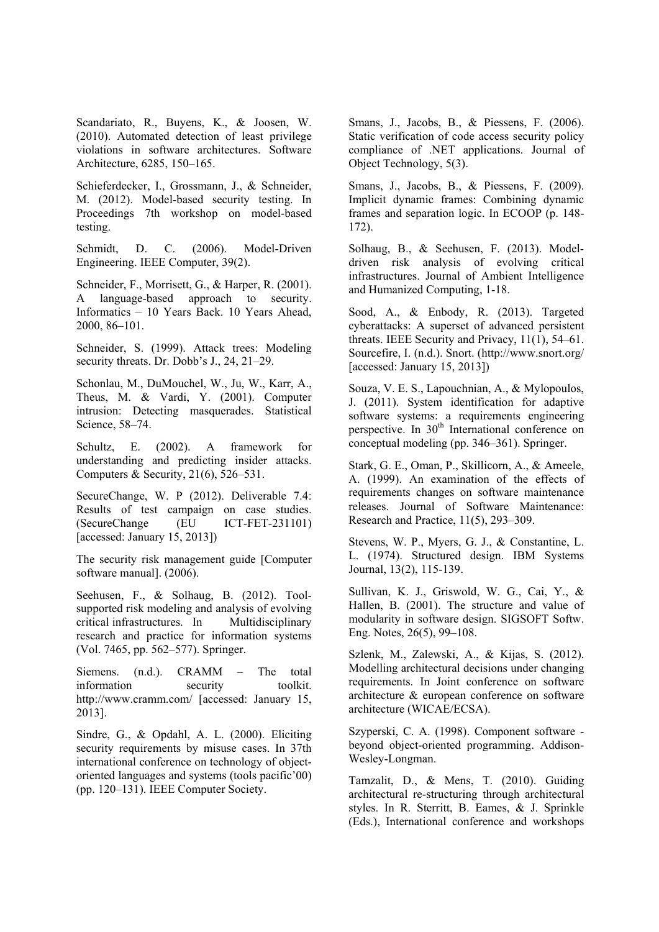Scandariato, R., Buyens, K., & Joosen, W. (2010). Automated detection of least privilege violations in software architectures. Software Architecture, 6285, 150–165.

Schieferdecker, I., Grossmann, J., & Schneider, M. (2012). Model-based security testing. In Proceedings 7th workshop on model-based testing.

Schmidt, D. C. (2006). Model-Driven Engineering. IEEE Computer, 39(2).

Schneider, F., Morrisett, G., & Harper, R. (2001). A language-based approach to security. Informatics – 10 Years Back. 10 Years Ahead, 2000, 86–101.

Schneider, S. (1999). Attack trees: Modeling security threats. Dr. Dobb's J., 24, 21-29.

Schonlau, M., DuMouchel, W., Ju, W., Karr, A., Theus, M. & Vardi, Y. (2001). Computer intrusion: Detecting masquerades. Statistical Science, 58–74.

Schultz, E. (2002). A framework for understanding and predicting insider attacks. Computers & Security, 21(6), 526–531.

SecureChange, W. P (2012). Deliverable 7.4: Results of test campaign on case studies. (SecureChange (EU ICT-FET-231101) [accessed: January 15, 2013])

The security risk management guide [Computer software manual]. (2006).

Seehusen, F., & Solhaug, B. (2012). Toolsupported risk modeling and analysis of evolving critical infrastructures. In Multidisciplinary research and practice for information systems (Vol. 7465, pp. 562–577). Springer.

Siemens. (n.d.). CRAMM – The total information security toolkit. http://www.cramm.com/ [accessed: January 15, 2013].

Sindre, G., & Opdahl, A. L. (2000). Eliciting security requirements by misuse cases. In 37th international conference on technology of objectoriented languages and systems (tools pacific'00) (pp. 120–131). IEEE Computer Society.

Smans, J., Jacobs, B., & Piessens, F. (2006). Static verification of code access security policy compliance of .NET applications. Journal of Object Technology, 5(3).

Smans, J., Jacobs, B., & Piessens, F. (2009). Implicit dynamic frames: Combining dynamic frames and separation logic. In ECOOP (p. 148- 172).

Solhaug, B., & Seehusen, F. (2013). Modeldriven risk analysis of evolving critical infrastructures. Journal of Ambient Intelligence and Humanized Computing, 1-18.

Sood, A., & Enbody, R. (2013). Targeted cyberattacks: A superset of advanced persistent threats. IEEE Security and Privacy, 11(1), 54–61. Sourcefire, I. (n.d.). Snort. (http://www.snort.org/ [accessed: January 15, 2013])

Souza, V. E. S., Lapouchnian, A., & Mylopoulos, J. (2011). System identification for adaptive software systems: a requirements engineering perspective. In 30<sup>th</sup> International conference on conceptual modeling (pp. 346–361). Springer.

Stark, G. E., Oman, P., Skillicorn, A., & Ameele, A. (1999). An examination of the effects of requirements changes on software maintenance releases. Journal of Software Maintenance: Research and Practice, 11(5), 293–309.

Stevens, W. P., Myers, G. J., & Constantine, L. L. (1974). Structured design. IBM Systems Journal, 13(2), 115-139.

Sullivan, K. J., Griswold, W. G., Cai, Y., & Hallen, B. (2001). The structure and value of modularity in software design. SIGSOFT Softw. Eng. Notes, 26(5), 99–108.

Szlenk, M., Zalewski, A., & Kijas, S. (2012). Modelling architectural decisions under changing requirements. In Joint conference on software architecture & european conference on software architecture (WICAE/ECSA).

Szyperski, C. A. (1998). Component software beyond object-oriented programming. Addison-Wesley-Longman.

Tamzalit, D., & Mens, T. (2010). Guiding architectural re-structuring through architectural styles. In R. Sterritt, B. Eames, & J. Sprinkle (Eds.), International conference and workshops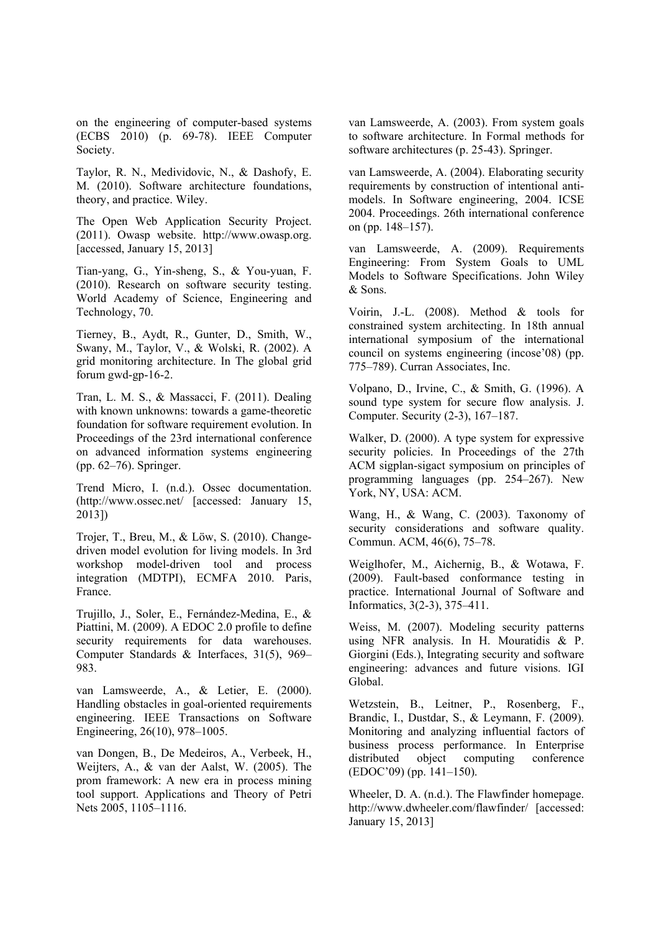on the engineering of computer-based systems (ECBS 2010) (p. 69-78). IEEE Computer Society.

Taylor, R. N., Medividovic, N., & Dashofy, E. M. (2010). Software architecture foundations, theory, and practice. Wiley.

The Open Web Application Security Project. (2011). Owasp website. http://www.owasp.org. [accessed, January 15, 2013]

Tian-yang, G., Yin-sheng, S., & You-yuan, F. (2010). Research on software security testing. World Academy of Science, Engineering and Technology, 70.

Tierney, B., Aydt, R., Gunter, D., Smith, W., Swany, M., Taylor, V., & Wolski, R. (2002). A grid monitoring architecture. In The global grid forum gwd-gp-16-2.

Tran, L. M. S., & Massacci, F. (2011). Dealing with known unknowns: towards a game-theoretic foundation for software requirement evolution. In Proceedings of the 23rd international conference on advanced information systems engineering (pp. 62–76). Springer.

Trend Micro, I. (n.d.). Ossec documentation. (http://www.ossec.net/ [accessed: January 15, 2013])

Trojer, T., Breu, M., & Löw, S. (2010). Changedriven model evolution for living models. In 3rd workshop model-driven tool and process integration (MDTPI), ECMFA 2010. Paris, France.

Trujillo, J., Soler, E., Fernández-Medina, E., & Piattini, M. (2009). A EDOC 2.0 profile to define security requirements for data warehouses. Computer Standards & Interfaces, 31(5), 969– 983.

van Lamsweerde, A., & Letier, E. (2000). Handling obstacles in goal-oriented requirements engineering. IEEE Transactions on Software Engineering, 26(10), 978–1005.

van Dongen, B., De Medeiros, A., Verbeek, H., Weijters, A., & van der Aalst, W. (2005). The prom framework: A new era in process mining tool support. Applications and Theory of Petri Nets 2005, 1105–1116.

van Lamsweerde, A. (2003). From system goals to software architecture. In Formal methods for software architectures (p. 25-43). Springer.

van Lamsweerde, A. (2004). Elaborating security requirements by construction of intentional antimodels. In Software engineering, 2004. ICSE 2004. Proceedings. 26th international conference on (pp. 148–157).

van Lamsweerde, A. (2009). Requirements Engineering: From System Goals to UML Models to Software Specifications. John Wiley & Sons.

Voirin, J.-L. (2008). Method & tools for constrained system architecting. In 18th annual international symposium of the international council on systems engineering (incose'08) (pp. 775–789). Curran Associates, Inc.

Volpano, D., Irvine, C., & Smith, G. (1996). A sound type system for secure flow analysis. J. Computer. Security (2-3), 167–187.

Walker, D. (2000). A type system for expressive security policies. In Proceedings of the 27th ACM sigplan-sigact symposium on principles of programming languages (pp. 254–267). New York, NY, USA: ACM.

Wang, H., & Wang, C. (2003). Taxonomy of security considerations and software quality. Commun. ACM, 46(6), 75–78.

Weiglhofer, M., Aichernig, B., & Wotawa, F. (2009). Fault-based conformance testing in practice. International Journal of Software and Informatics, 3(2-3), 375–411.

Weiss, M. (2007). Modeling security patterns using NFR analysis. In H. Mouratidis & P. Giorgini (Eds.), Integrating security and software engineering: advances and future visions. IGI Global.

Wetzstein, B., Leitner, P., Rosenberg, F., Brandic, I., Dustdar, S., & Leymann, F. (2009). Monitoring and analyzing influential factors of business process performance. In Enterprise distributed object computing conference (EDOC'09) (pp. 141–150).

Wheeler, D. A. (n.d.). The Flawfinder homepage. http://www.dwheeler.com/flawfinder/ [accessed: January 15, 2013]